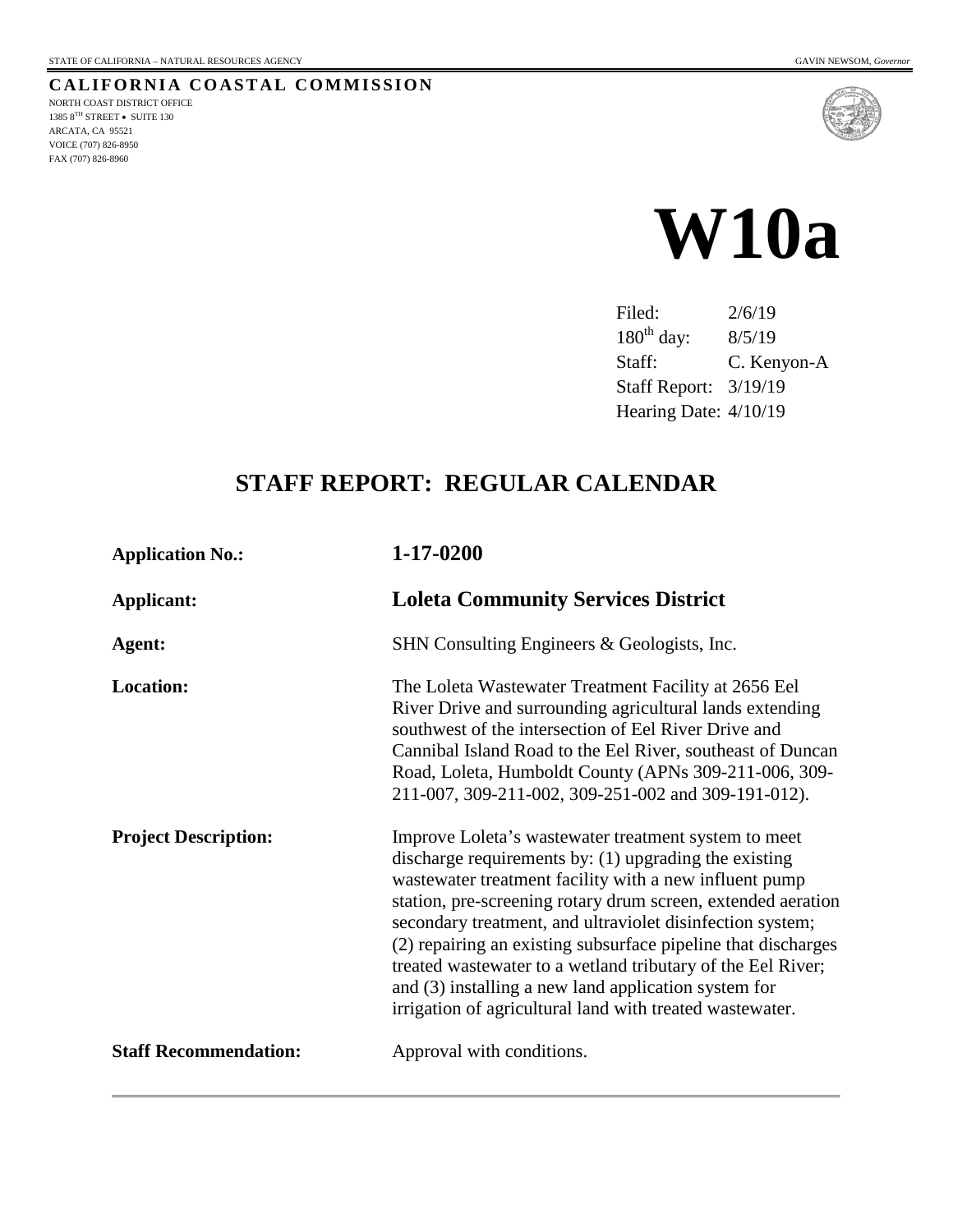NORTH COAST DISTRICT OFFICE 1385 $8^{\mathrm{TH}}$  STREET • SUITE 130 ARCATA, CA 95521 VOICE (707) 826-8950 FAX (707) 826-8960

**CALIFORNIA COASTAL COMMISSION**



Filed: 2/6/19 180<sup>th</sup> day: 8/5/19 Staff: C. Kenyon-A Staff Report: 3/19/19 Hearing Date: 4/10/19

# **STAFF REPORT: REGULAR CALENDAR**

| <b>Application No.:</b>      | 1-17-0200                                                                                                                                                                                                                                                                                                                                                                                                                                                                                                                                                |  |
|------------------------------|----------------------------------------------------------------------------------------------------------------------------------------------------------------------------------------------------------------------------------------------------------------------------------------------------------------------------------------------------------------------------------------------------------------------------------------------------------------------------------------------------------------------------------------------------------|--|
| Applicant:                   | <b>Loleta Community Services District</b>                                                                                                                                                                                                                                                                                                                                                                                                                                                                                                                |  |
| Agent:                       | SHN Consulting Engineers & Geologists, Inc.                                                                                                                                                                                                                                                                                                                                                                                                                                                                                                              |  |
| <b>Location:</b>             | The Loleta Wastewater Treatment Facility at 2656 Eel<br>River Drive and surrounding agricultural lands extending<br>southwest of the intersection of Eel River Drive and<br>Cannibal Island Road to the Eel River, southeast of Duncan<br>Road, Loleta, Humboldt County (APNs 309-211-006, 309-<br>211-007, 309-211-002, 309-251-002 and 309-191-012).                                                                                                                                                                                                   |  |
| <b>Project Description:</b>  | Improve Loleta's wastewater treatment system to meet<br>discharge requirements by: (1) upgrading the existing<br>wastewater treatment facility with a new influent pump<br>station, pre-screening rotary drum screen, extended aeration<br>secondary treatment, and ultraviolet disinfection system;<br>(2) repairing an existing subsurface pipeline that discharges<br>treated wastewater to a wetland tributary of the Eel River;<br>and (3) installing a new land application system for<br>irrigation of agricultural land with treated wastewater. |  |
| <b>Staff Recommendation:</b> | Approval with conditions.                                                                                                                                                                                                                                                                                                                                                                                                                                                                                                                                |  |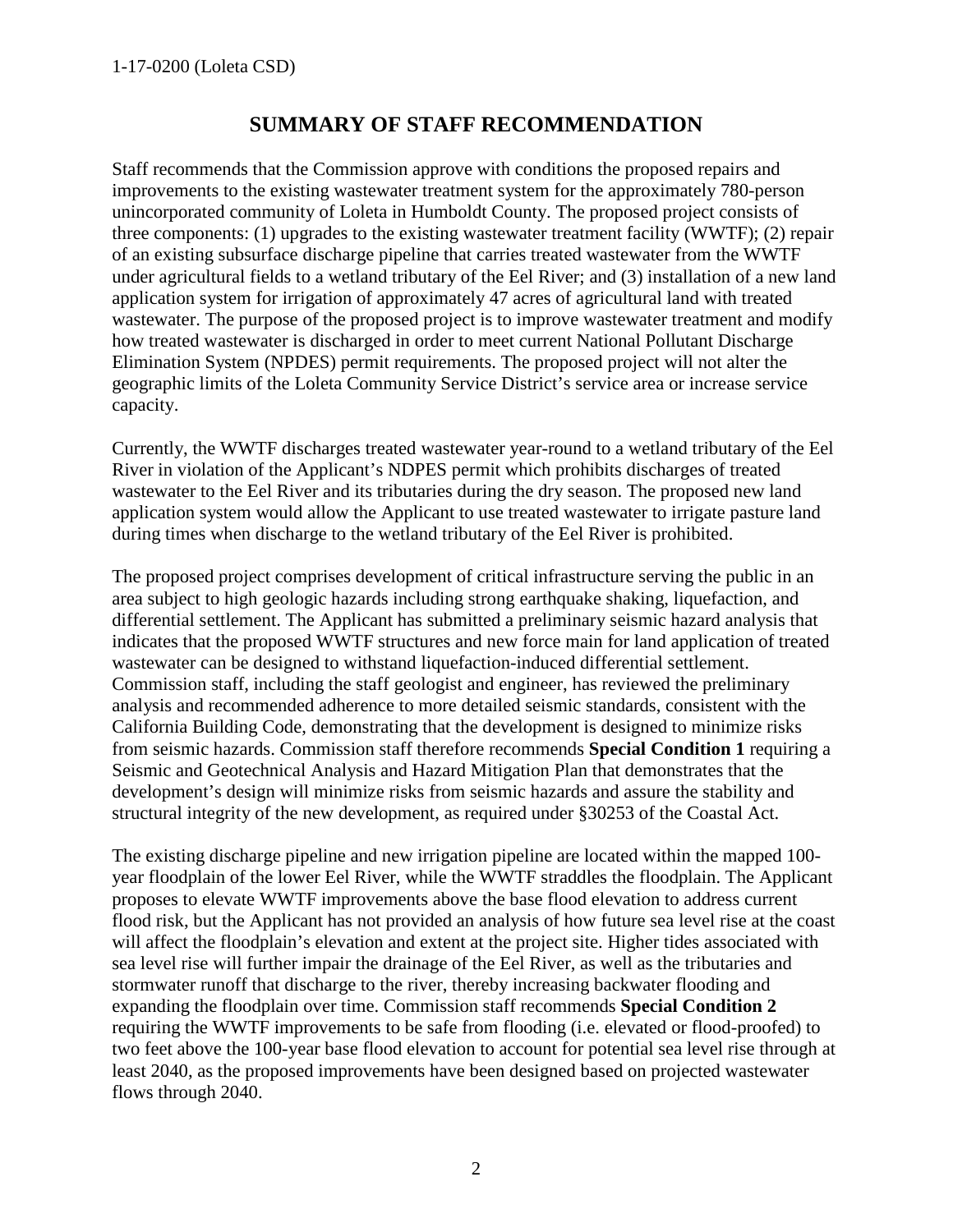# **SUMMARY OF STAFF RECOMMENDATION**

Staff recommends that the Commission approve with conditions the proposed repairs and improvements to the existing wastewater treatment system for the approximately 780-person unincorporated community of Loleta in Humboldt County. The proposed project consists of three components: (1) upgrades to the existing wastewater treatment facility (WWTF); (2) repair of an existing subsurface discharge pipeline that carries treated wastewater from the WWTF under agricultural fields to a wetland tributary of the Eel River; and (3) installation of a new land application system for irrigation of approximately 47 acres of agricultural land with treated wastewater. The purpose of the proposed project is to improve wastewater treatment and modify how treated wastewater is discharged in order to meet current National Pollutant Discharge Elimination System (NPDES) permit requirements. The proposed project will not alter the geographic limits of the Loleta Community Service District's service area or increase service capacity.

Currently, the WWTF discharges treated wastewater year-round to a wetland tributary of the Eel River in violation of the Applicant's NDPES permit which prohibits discharges of treated wastewater to the Eel River and its tributaries during the dry season. The proposed new land application system would allow the Applicant to use treated wastewater to irrigate pasture land during times when discharge to the wetland tributary of the Eel River is prohibited.

The proposed project comprises development of critical infrastructure serving the public in an area subject to high geologic hazards including strong earthquake shaking, liquefaction, and differential settlement. The Applicant has submitted a preliminary seismic hazard analysis that indicates that the proposed WWTF structures and new force main for land application of treated wastewater can be designed to withstand liquefaction-induced differential settlement. Commission staff, including the staff geologist and engineer, has reviewed the preliminary analysis and recommended adherence to more detailed seismic standards, consistent with the California Building Code, demonstrating that the development is designed to minimize risks from seismic hazards. Commission staff therefore recommends **Special Condition 1** requiring a Seismic and Geotechnical Analysis and Hazard Mitigation Plan that demonstrates that the development's design will minimize risks from seismic hazards and assure the stability and structural integrity of the new development, as required under §30253 of the Coastal Act.

The existing discharge pipeline and new irrigation pipeline are located within the mapped 100 year floodplain of the lower Eel River, while the WWTF straddles the floodplain. The Applicant proposes to elevate WWTF improvements above the base flood elevation to address current flood risk, but the Applicant has not provided an analysis of how future sea level rise at the coast will affect the floodplain's elevation and extent at the project site. Higher tides associated with sea level rise will further impair the drainage of the Eel River, as well as the tributaries and stormwater runoff that discharge to the river, thereby increasing backwater flooding and expanding the floodplain over time. Commission staff recommends **Special Condition 2** requiring the WWTF improvements to be safe from flooding (i.e. elevated or flood-proofed) to two feet above the 100-year base flood elevation to account for potential sea level rise through at least 2040, as the proposed improvements have been designed based on projected wastewater flows through 2040.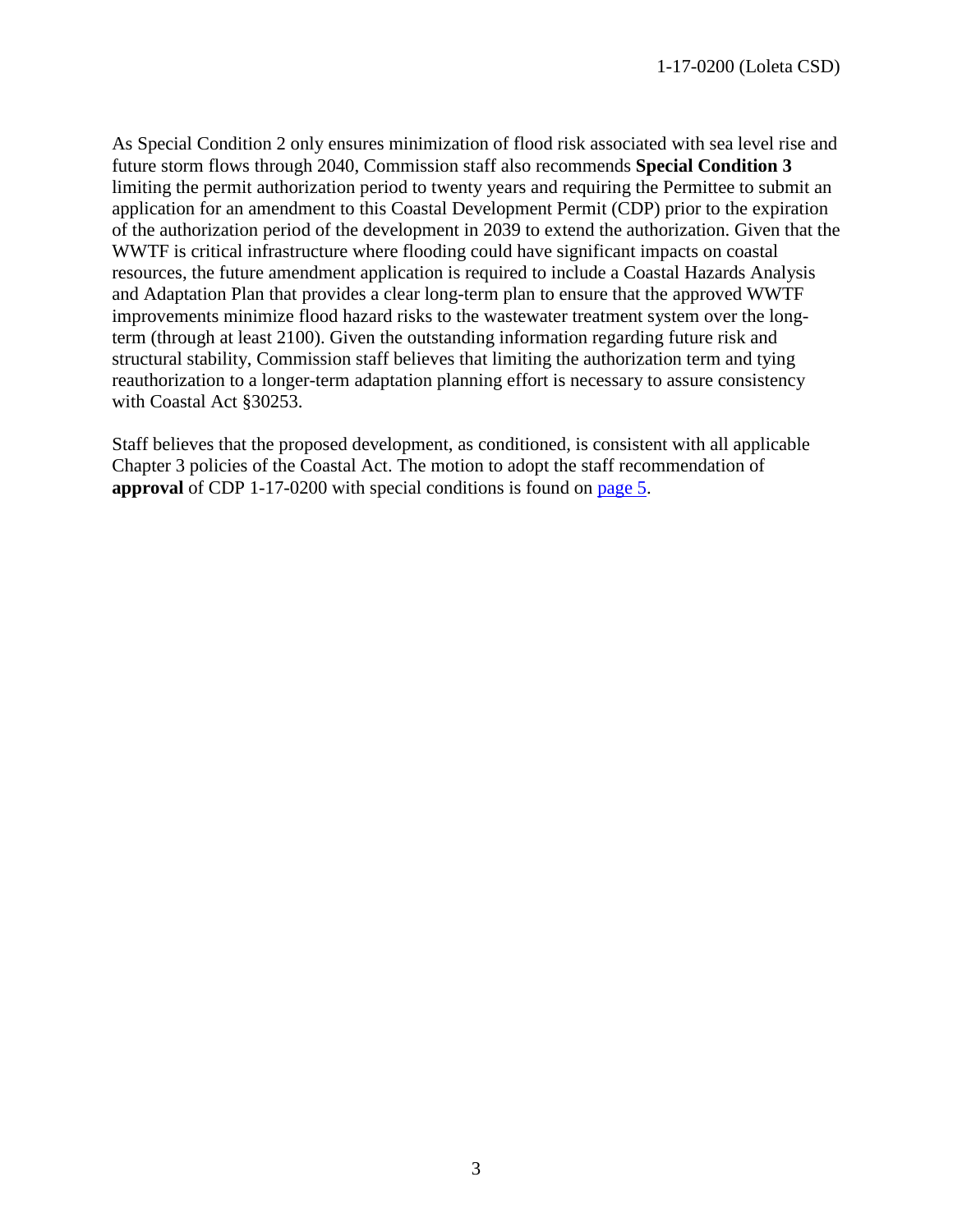As Special Condition 2 only ensures minimization of flood risk associated with sea level rise and future storm flows through 2040, Commission staff also recommends **Special Condition 3** limiting the permit authorization period to twenty years and requiring the Permittee to submit an application for an amendment to this Coastal Development Permit (CDP) prior to the expiration of the authorization period of the development in 2039 to extend the authorization. Given that the WWTF is critical infrastructure where flooding could have significant impacts on coastal resources, the future amendment application is required to include a Coastal Hazards Analysis and Adaptation Plan that provides a clear long-term plan to ensure that the approved WWTF improvements minimize flood hazard risks to the wastewater treatment system over the longterm (through at least 2100). Given the outstanding information regarding future risk and structural stability, Commission staff believes that limiting the authorization term and tying reauthorization to a longer-term adaptation planning effort is necessary to assure consistency with Coastal Act §30253.

Staff believes that the proposed development, as conditioned, is consistent with all applicable Chapter 3 policies of the Coastal Act. The motion to adopt the staff recommendation of **approval** of CDP 1-17-0200 with special conditions is found on [page 5.](#page-4-0)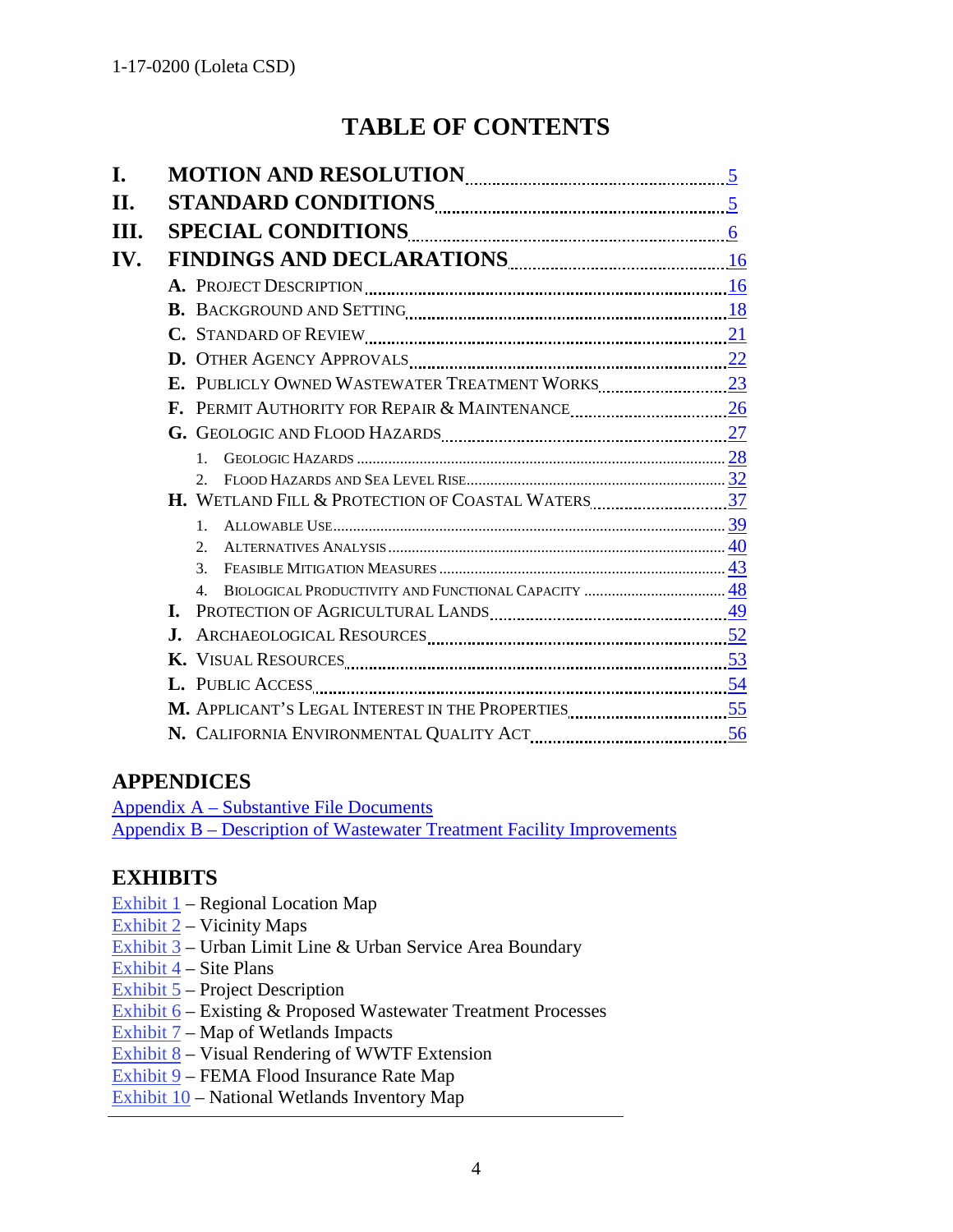# **TABLE OF CONTENTS**

| I.  |                                                                    |  |  |  |
|-----|--------------------------------------------------------------------|--|--|--|
| II. |                                                                    |  |  |  |
| Ш.  |                                                                    |  |  |  |
| IV. | FINDINGS AND DECLARATIONS ENTIRE AND THE RESERVE AND DECLARATIONS  |  |  |  |
|     |                                                                    |  |  |  |
|     |                                                                    |  |  |  |
|     |                                                                    |  |  |  |
|     |                                                                    |  |  |  |
|     |                                                                    |  |  |  |
|     |                                                                    |  |  |  |
|     |                                                                    |  |  |  |
|     | $\mathbf{1}$                                                       |  |  |  |
|     | $2_{1}$                                                            |  |  |  |
|     | H. WETLAND FILL & PROTECTION OF COASTAL WATERS <b>WEILL ASSETS</b> |  |  |  |
|     | 1.                                                                 |  |  |  |
|     | 2.<br>3.                                                           |  |  |  |
|     | $\mathbf{4}$ .                                                     |  |  |  |
|     |                                                                    |  |  |  |
|     |                                                                    |  |  |  |
|     |                                                                    |  |  |  |
|     |                                                                    |  |  |  |
|     |                                                                    |  |  |  |
|     |                                                                    |  |  |  |

# **APPENDICES**

[Appendix A – Substantive File Documents](#page-57-0) [Appendix B – Description of Wastewater Treatment Facility Improvements](#page-58-0)

# **EXHIBITS**

- Exhibit  $1$  Regional Location Map
- Exhibit 2 Vicinity Maps
- Exhibit 3 Urban Limit Line & Urban Service Area Boundary
- Exhibit 4 Site Plans
- Exhibit 5 Project Description
- [Exhibit 6 Existing & Proposed Wastewater Treatment Processes](https://documents.coastal.ca.gov/reports/2019/4/w10a/w10a-4-2019-exhibits.pdf)
- Exhibit  $7 Map$  of Wetlands Impacts
- Exhibit 8 Visual Rendering of WWTF Extension
- Exhibit 9 FEMA Flood Insurance Rate Map
- Exhibit 10 National Wetlands Inventory Map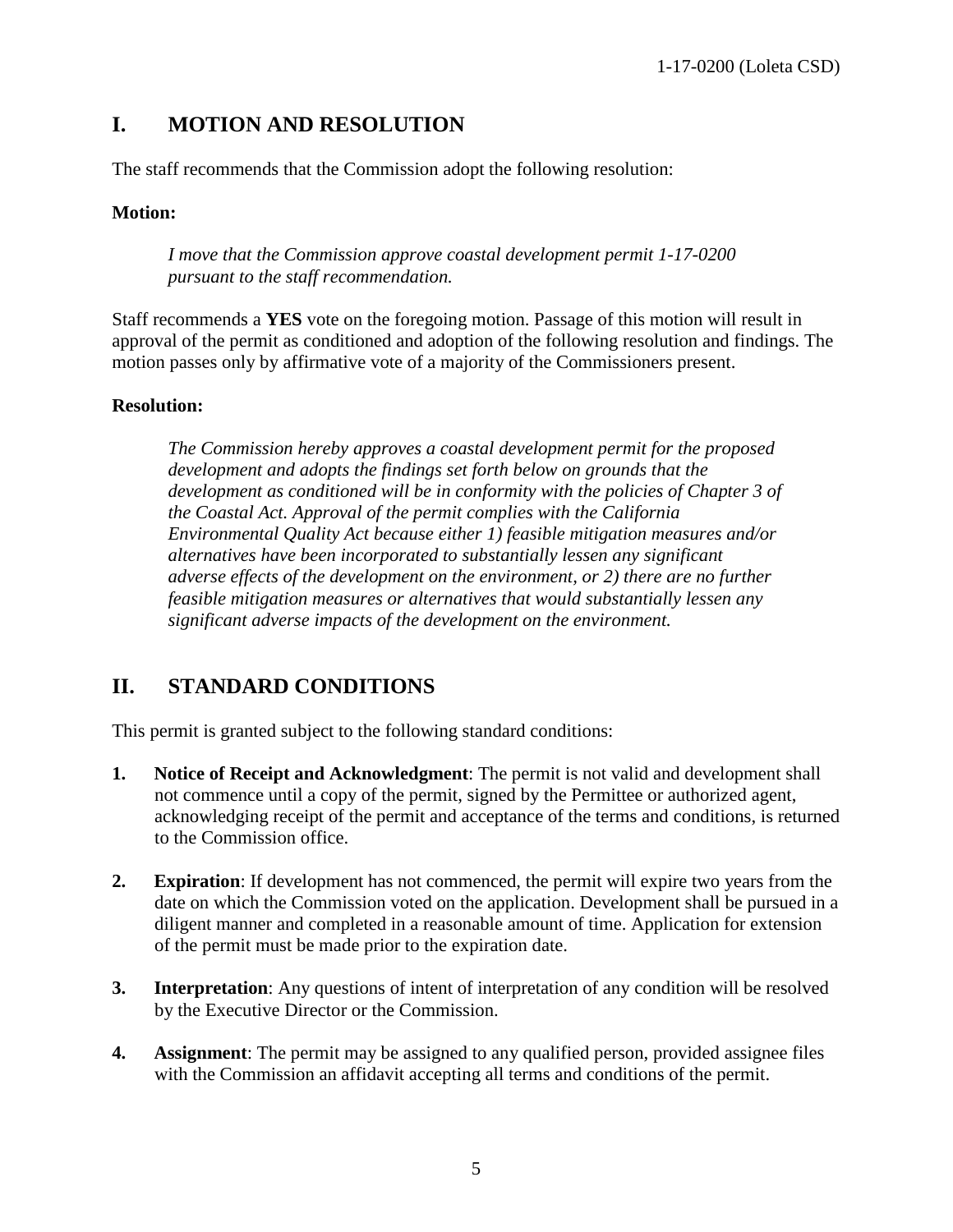# <span id="page-4-0"></span>**I. MOTION AND RESOLUTION**

The staff recommends that the Commission adopt the following resolution:

## **Motion:**

*I move that the Commission approve coastal development permit 1-17-0200 pursuant to the staff recommendation.* 

Staff recommends a **YES** vote on the foregoing motion. Passage of this motion will result in approval of the permit as conditioned and adoption of the following resolution and findings. The motion passes only by affirmative vote of a majority of the Commissioners present.

#### **Resolution:**

*The Commission hereby approves a coastal development permit for the proposed development and adopts the findings set forth below on grounds that the development as conditioned will be in conformity with the policies of Chapter 3 of the Coastal Act. Approval of the permit complies with the California Environmental Quality Act because either 1) feasible mitigation measures and/or alternatives have been incorporated to substantially lessen any significant adverse effects of the development on the environment, or 2) there are no further feasible mitigation measures or alternatives that would substantially lessen any significant adverse impacts of the development on the environment.* 

# <span id="page-4-1"></span>**II. STANDARD CONDITIONS**

This permit is granted subject to the following standard conditions:

- **1. Notice of Receipt and Acknowledgment**: The permit is not valid and development shall not commence until a copy of the permit, signed by the Permittee or authorized agent, acknowledging receipt of the permit and acceptance of the terms and conditions, is returned to the Commission office.
- **2. Expiration**: If development has not commenced, the permit will expire two years from the date on which the Commission voted on the application. Development shall be pursued in a diligent manner and completed in a reasonable amount of time. Application for extension of the permit must be made prior to the expiration date.
- **3. Interpretation**: Any questions of intent of interpretation of any condition will be resolved by the Executive Director or the Commission.
- **4. Assignment**: The permit may be assigned to any qualified person, provided assignee files with the Commission an affidavit accepting all terms and conditions of the permit.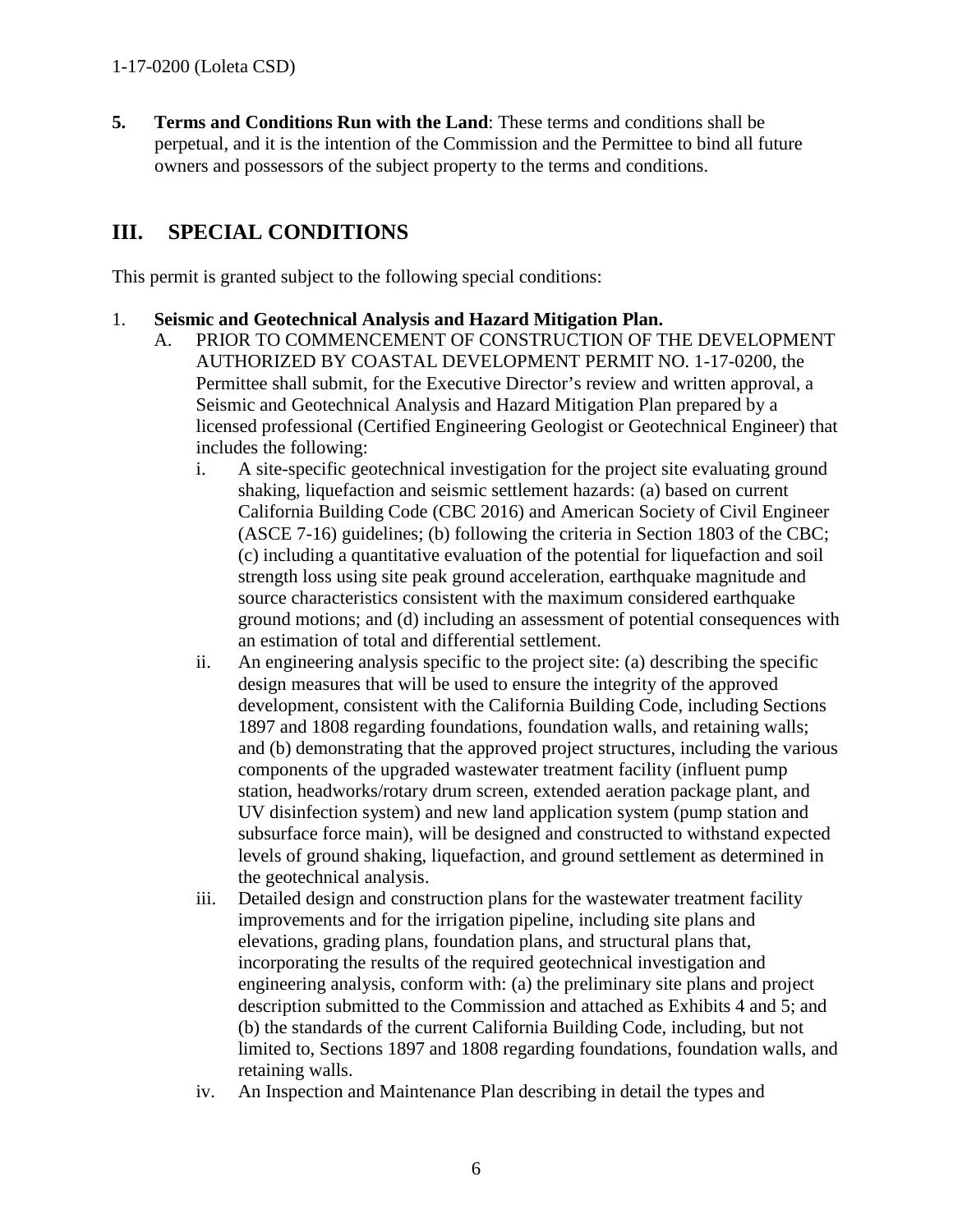**5. Terms and Conditions Run with the Land**: These terms and conditions shall be perpetual, and it is the intention of the Commission and the Permittee to bind all future owners and possessors of the subject property to the terms and conditions.

# <span id="page-5-0"></span>**III. SPECIAL CONDITIONS**

This permit is granted subject to the following special conditions:

#### 1. **Seismic and Geotechnical Analysis and Hazard Mitigation Plan.**

- A. PRIOR TO COMMENCEMENT OF CONSTRUCTION OF THE DEVELOPMENT AUTHORIZED BY COASTAL DEVELOPMENT PERMIT NO. 1-17-0200, the Permittee shall submit, for the Executive Director's review and written approval, a Seismic and Geotechnical Analysis and Hazard Mitigation Plan prepared by a licensed professional (Certified Engineering Geologist or Geotechnical Engineer) that includes the following:
	- i. A site-specific geotechnical investigation for the project site evaluating ground shaking, liquefaction and seismic settlement hazards: (a) based on current California Building Code (CBC 2016) and American Society of Civil Engineer (ASCE 7-16) guidelines; (b) following the criteria in Section 1803 of the CBC; (c) including a quantitative evaluation of the potential for liquefaction and soil strength loss using site peak ground acceleration, earthquake magnitude and source characteristics consistent with the maximum considered earthquake ground motions; and (d) including an assessment of potential consequences with an estimation of total and differential settlement.
	- ii. An engineering analysis specific to the project site: (a) describing the specific design measures that will be used to ensure the integrity of the approved development, consistent with the California Building Code, including Sections 1897 and 1808 regarding foundations, foundation walls, and retaining walls; and (b) demonstrating that the approved project structures, including the various components of the upgraded wastewater treatment facility (influent pump station, headworks/rotary drum screen, extended aeration package plant, and UV disinfection system) and new land application system (pump station and subsurface force main), will be designed and constructed to withstand expected levels of ground shaking, liquefaction, and ground settlement as determined in the geotechnical analysis.
	- iii. Detailed design and construction plans for the wastewater treatment facility improvements and for the irrigation pipeline, including site plans and elevations, grading plans, foundation plans, and structural plans that, incorporating the results of the required geotechnical investigation and engineering analysis, conform with: (a) the preliminary site plans and project description submitted to the Commission and attached as Exhibits 4 and 5; and (b) the standards of the current California Building Code, including, but not limited to, Sections 1897 and 1808 regarding foundations, foundation walls, and retaining walls.
	- iv. An Inspection and Maintenance Plan describing in detail the types and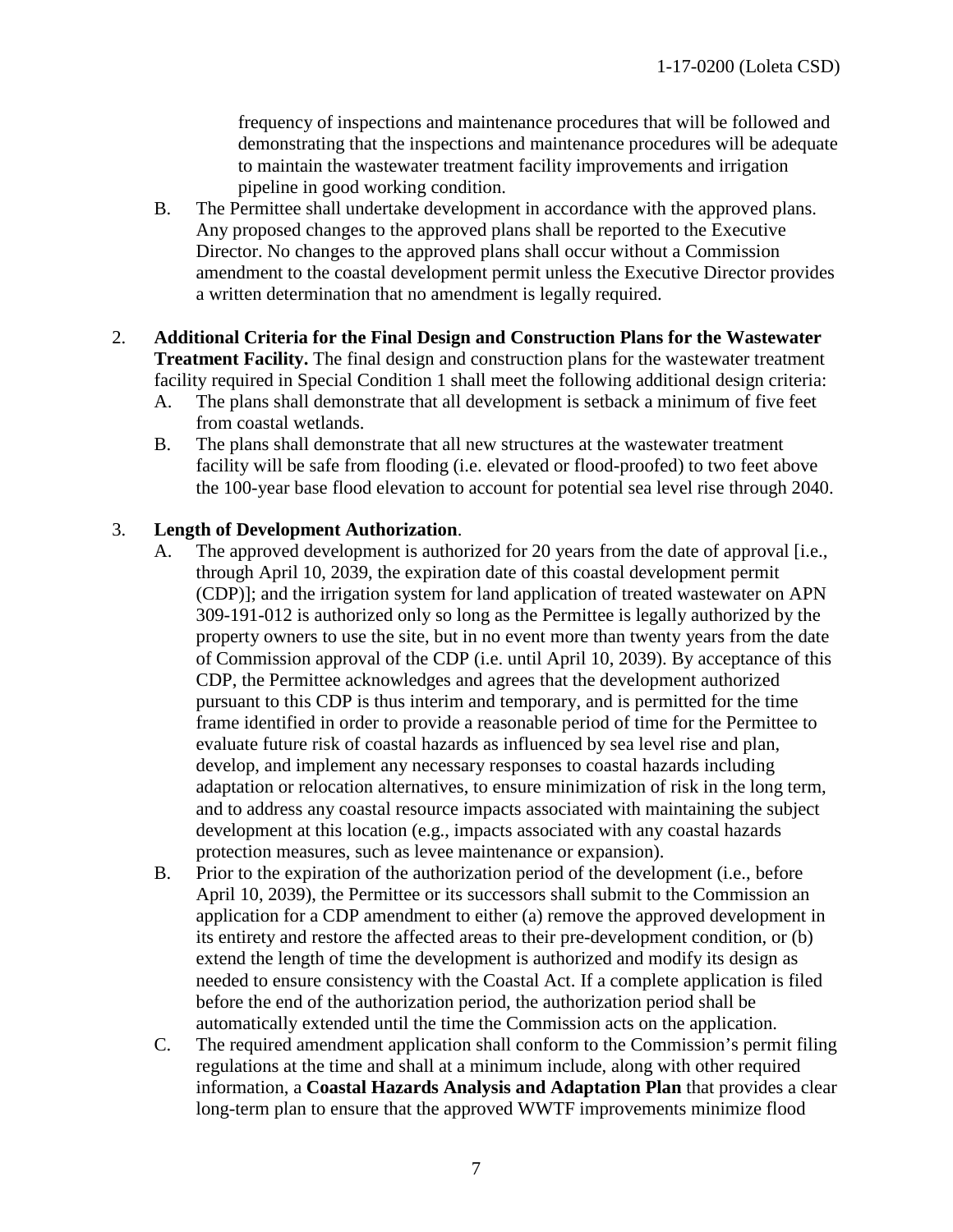frequency of inspections and maintenance procedures that will be followed and demonstrating that the inspections and maintenance procedures will be adequate to maintain the wastewater treatment facility improvements and irrigation pipeline in good working condition.

- B. The Permittee shall undertake development in accordance with the approved plans. Any proposed changes to the approved plans shall be reported to the Executive Director. No changes to the approved plans shall occur without a Commission amendment to the coastal development permit unless the Executive Director provides a written determination that no amendment is legally required.
- 2. **Additional Criteria for the Final Design and Construction Plans for the Wastewater Treatment Facility.** The final design and construction plans for the wastewater treatment facility required in Special Condition 1 shall meet the following additional design criteria:
	- A. The plans shall demonstrate that all development is setback a minimum of five feet from coastal wetlands.
	- B. The plans shall demonstrate that all new structures at the wastewater treatment facility will be safe from flooding (i.e. elevated or flood-proofed) to two feet above the 100-year base flood elevation to account for potential sea level rise through 2040.

#### 3. **Length of Development Authorization**.

- A. The approved development is authorized for 20 years from the date of approval [i.e., through April 10, 2039, the expiration date of this coastal development permit (CDP)]; and the irrigation system for land application of treated wastewater on APN 309-191-012 is authorized only so long as the Permittee is legally authorized by the property owners to use the site, but in no event more than twenty years from the date of Commission approval of the CDP (i.e. until April 10, 2039). By acceptance of this CDP, the Permittee acknowledges and agrees that the development authorized pursuant to this CDP is thus interim and temporary, and is permitted for the time frame identified in order to provide a reasonable period of time for the Permittee to evaluate future risk of coastal hazards as influenced by sea level rise and plan, develop, and implement any necessary responses to coastal hazards including adaptation or relocation alternatives, to ensure minimization of risk in the long term, and to address any coastal resource impacts associated with maintaining the subject development at this location (e.g., impacts associated with any coastal hazards protection measures, such as levee maintenance or expansion).
- B. Prior to the expiration of the authorization period of the development (i.e., before April 10, 2039), the Permittee or its successors shall submit to the Commission an application for a CDP amendment to either (a) remove the approved development in its entirety and restore the affected areas to their pre-development condition, or (b) extend the length of time the development is authorized and modify its design as needed to ensure consistency with the Coastal Act. If a complete application is filed before the end of the authorization period, the authorization period shall be automatically extended until the time the Commission acts on the application.
- C. The required amendment application shall conform to the Commission's permit filing regulations at the time and shall at a minimum include, along with other required information, a **Coastal Hazards Analysis and Adaptation Plan** that provides a clear long-term plan to ensure that the approved WWTF improvements minimize flood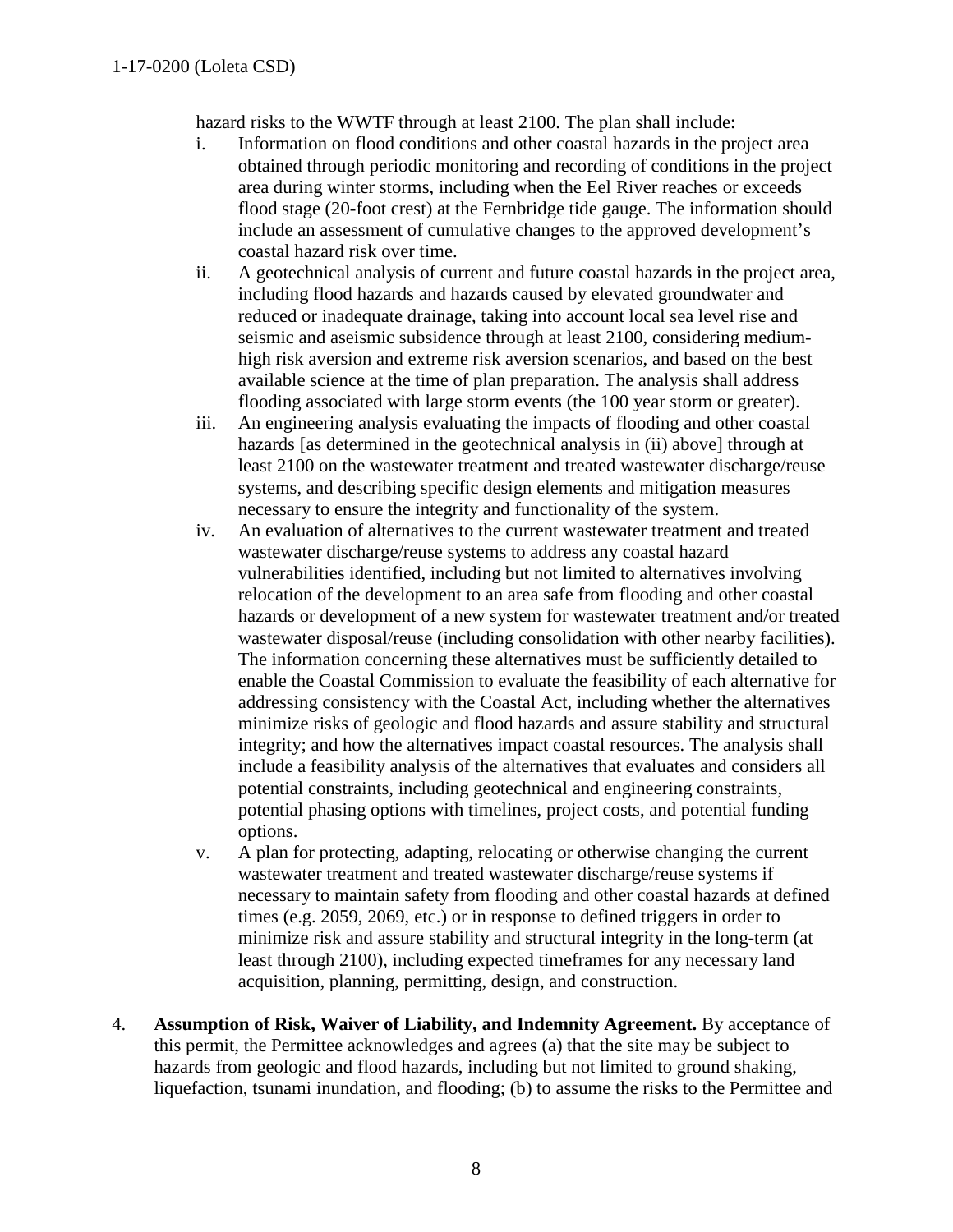hazard risks to the WWTF through at least 2100. The plan shall include:

- i. Information on flood conditions and other coastal hazards in the project area obtained through periodic monitoring and recording of conditions in the project area during winter storms, including when the Eel River reaches or exceeds flood stage (20-foot crest) at the Fernbridge tide gauge. The information should include an assessment of cumulative changes to the approved development's coastal hazard risk over time.
- ii. A geotechnical analysis of current and future coastal hazards in the project area, including flood hazards and hazards caused by elevated groundwater and reduced or inadequate drainage, taking into account local sea level rise and seismic and aseismic subsidence through at least 2100, considering mediumhigh risk aversion and extreme risk aversion scenarios, and based on the best available science at the time of plan preparation. The analysis shall address flooding associated with large storm events (the 100 year storm or greater).
- iii. An engineering analysis evaluating the impacts of flooding and other coastal hazards [as determined in the geotechnical analysis in (ii) above] through at least 2100 on the wastewater treatment and treated wastewater discharge/reuse systems, and describing specific design elements and mitigation measures necessary to ensure the integrity and functionality of the system.
- iv. An evaluation of alternatives to the current wastewater treatment and treated wastewater discharge/reuse systems to address any coastal hazard vulnerabilities identified, including but not limited to alternatives involving relocation of the development to an area safe from flooding and other coastal hazards or development of a new system for wastewater treatment and/or treated wastewater disposal/reuse (including consolidation with other nearby facilities). The information concerning these alternatives must be sufficiently detailed to enable the Coastal Commission to evaluate the feasibility of each alternative for addressing consistency with the Coastal Act, including whether the alternatives minimize risks of geologic and flood hazards and assure stability and structural integrity; and how the alternatives impact coastal resources. The analysis shall include a feasibility analysis of the alternatives that evaluates and considers all potential constraints, including geotechnical and engineering constraints, potential phasing options with timelines, project costs, and potential funding options.
- v. A plan for protecting, adapting, relocating or otherwise changing the current wastewater treatment and treated wastewater discharge/reuse systems if necessary to maintain safety from flooding and other coastal hazards at defined times (e.g. 2059, 2069, etc.) or in response to defined triggers in order to minimize risk and assure stability and structural integrity in the long-term (at least through 2100), including expected timeframes for any necessary land acquisition, planning, permitting, design, and construction.
- 4. **Assumption of Risk, Waiver of Liability, and Indemnity Agreement.** By acceptance of this permit, the Permittee acknowledges and agrees (a) that the site may be subject to hazards from geologic and flood hazards, including but not limited to ground shaking, liquefaction, tsunami inundation, and flooding; (b) to assume the risks to the Permittee and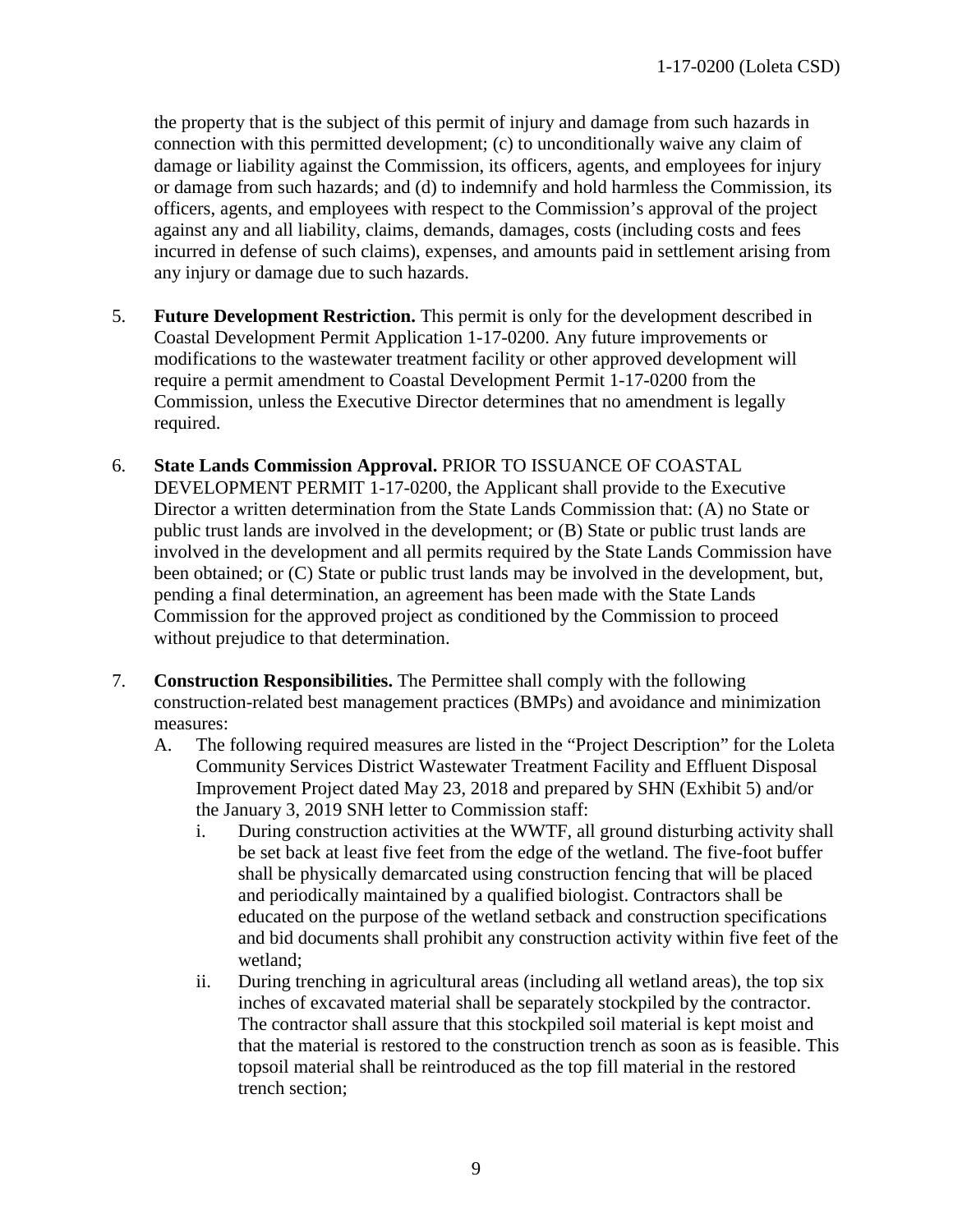the property that is the subject of this permit of injury and damage from such hazards in connection with this permitted development; (c) to unconditionally waive any claim of damage or liability against the Commission, its officers, agents, and employees for injury or damage from such hazards; and (d) to indemnify and hold harmless the Commission, its officers, agents, and employees with respect to the Commission's approval of the project against any and all liability, claims, demands, damages, costs (including costs and fees incurred in defense of such claims), expenses, and amounts paid in settlement arising from any injury or damage due to such hazards.

- 5. **Future Development Restriction.** This permit is only for the development described in Coastal Development Permit Application 1-17-0200. Any future improvements or modifications to the wastewater treatment facility or other approved development will require a permit amendment to Coastal Development Permit 1-17-0200 from the Commission, unless the Executive Director determines that no amendment is legally required.
- 6. **State Lands Commission Approval.** PRIOR TO ISSUANCE OF COASTAL DEVELOPMENT PERMIT 1-17-0200, the Applicant shall provide to the Executive Director a written determination from the State Lands Commission that: (A) no State or public trust lands are involved in the development; or (B) State or public trust lands are involved in the development and all permits required by the State Lands Commission have been obtained; or (C) State or public trust lands may be involved in the development, but, pending a final determination, an agreement has been made with the State Lands Commission for the approved project as conditioned by the Commission to proceed without prejudice to that determination.
- 7. **Construction Responsibilities.** The Permittee shall comply with the following construction-related best management practices (BMPs) and avoidance and minimization measures:
	- A. The following required measures are listed in the "Project Description" for the Loleta Community Services District Wastewater Treatment Facility and Effluent Disposal Improvement Project dated May 23, 2018 and prepared by SHN (Exhibit 5) and/or the January 3, 2019 SNH letter to Commission staff:
		- i. During construction activities at the WWTF, all ground disturbing activity shall be set back at least five feet from the edge of the wetland. The five-foot buffer shall be physically demarcated using construction fencing that will be placed and periodically maintained by a qualified biologist. Contractors shall be educated on the purpose of the wetland setback and construction specifications and bid documents shall prohibit any construction activity within five feet of the wetland;
		- ii. During trenching in agricultural areas (including all wetland areas), the top six inches of excavated material shall be separately stockpiled by the contractor. The contractor shall assure that this stockpiled soil material is kept moist and that the material is restored to the construction trench as soon as is feasible. This topsoil material shall be reintroduced as the top fill material in the restored trench section;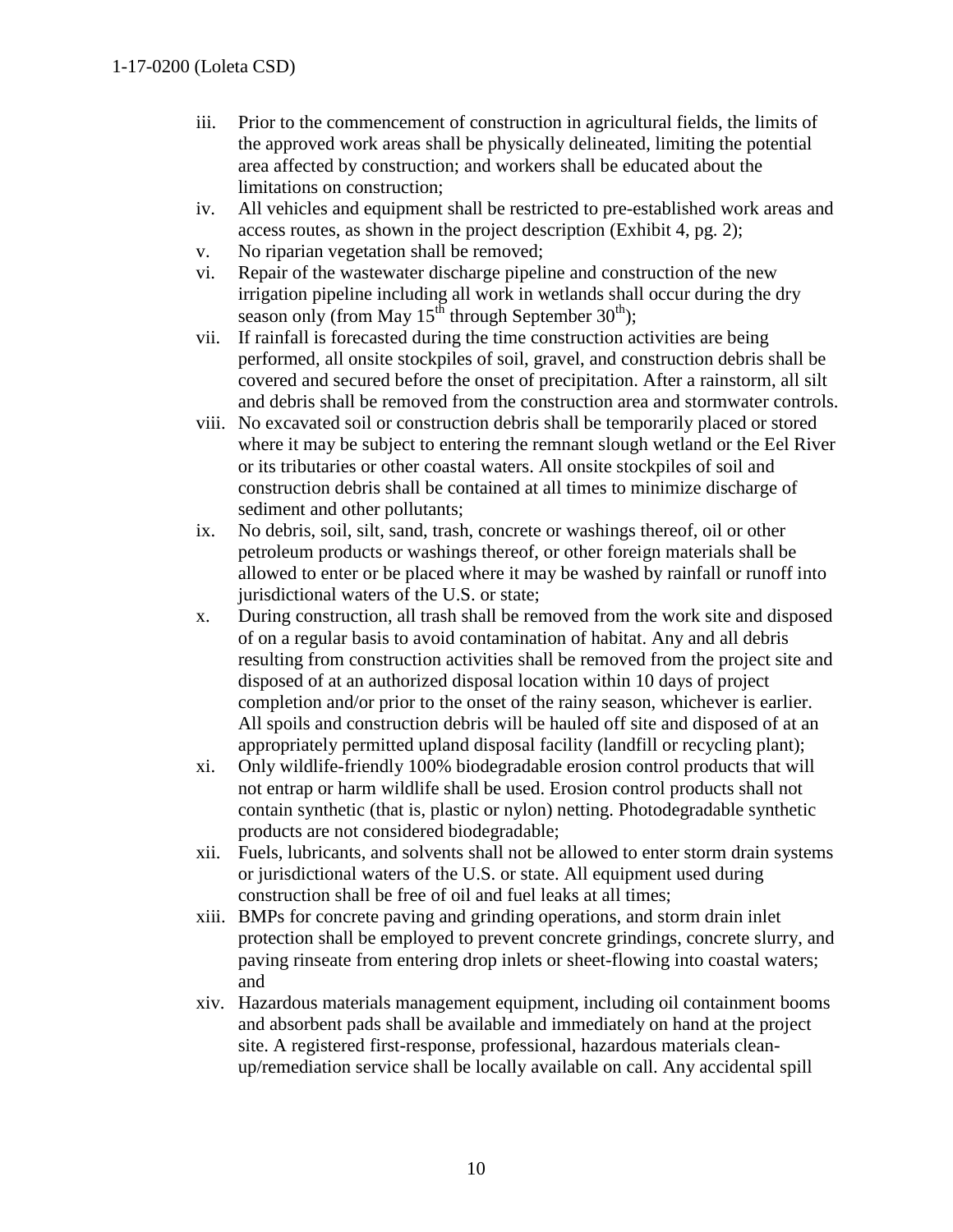- iii. Prior to the commencement of construction in agricultural fields, the limits of the approved work areas shall be physically delineated, limiting the potential area affected by construction; and workers shall be educated about the limitations on construction;
- iv. All vehicles and equipment shall be restricted to pre-established work areas and access routes, as shown in the project description (Exhibit 4, pg. 2);
- v. No riparian vegetation shall be removed;
- vi. Repair of the wastewater discharge pipeline and construction of the new irrigation pipeline including all work in wetlands shall occur during the dry season only (from May  $15^{th}$  through September  $30^{th}$ );
- vii. If rainfall is forecasted during the time construction activities are being performed, all onsite stockpiles of soil, gravel, and construction debris shall be covered and secured before the onset of precipitation. After a rainstorm, all silt and debris shall be removed from the construction area and stormwater controls.
- viii. No excavated soil or construction debris shall be temporarily placed or stored where it may be subject to entering the remnant slough wetland or the Eel River or its tributaries or other coastal waters. All onsite stockpiles of soil and construction debris shall be contained at all times to minimize discharge of sediment and other pollutants;
- ix. No debris, soil, silt, sand, trash, concrete or washings thereof, oil or other petroleum products or washings thereof, or other foreign materials shall be allowed to enter or be placed where it may be washed by rainfall or runoff into jurisdictional waters of the U.S. or state;
- x. During construction, all trash shall be removed from the work site and disposed of on a regular basis to avoid contamination of habitat. Any and all debris resulting from construction activities shall be removed from the project site and disposed of at an authorized disposal location within 10 days of project completion and/or prior to the onset of the rainy season, whichever is earlier. All spoils and construction debris will be hauled off site and disposed of at an appropriately permitted upland disposal facility (landfill or recycling plant);
- xi. Only wildlife-friendly 100% biodegradable erosion control products that will not entrap or harm wildlife shall be used. Erosion control products shall not contain synthetic (that is, plastic or nylon) netting. Photodegradable synthetic products are not considered biodegradable;
- xii. Fuels, lubricants, and solvents shall not be allowed to enter storm drain systems or jurisdictional waters of the U.S. or state. All equipment used during construction shall be free of oil and fuel leaks at all times;
- xiii. BMPs for concrete paving and grinding operations, and storm drain inlet protection shall be employed to prevent concrete grindings, concrete slurry, and paving rinseate from entering drop inlets or sheet-flowing into coastal waters; and
- xiv. Hazardous materials management equipment, including oil containment booms and absorbent pads shall be available and immediately on hand at the project site. A registered first-response, professional, hazardous materials cleanup/remediation service shall be locally available on call. Any accidental spill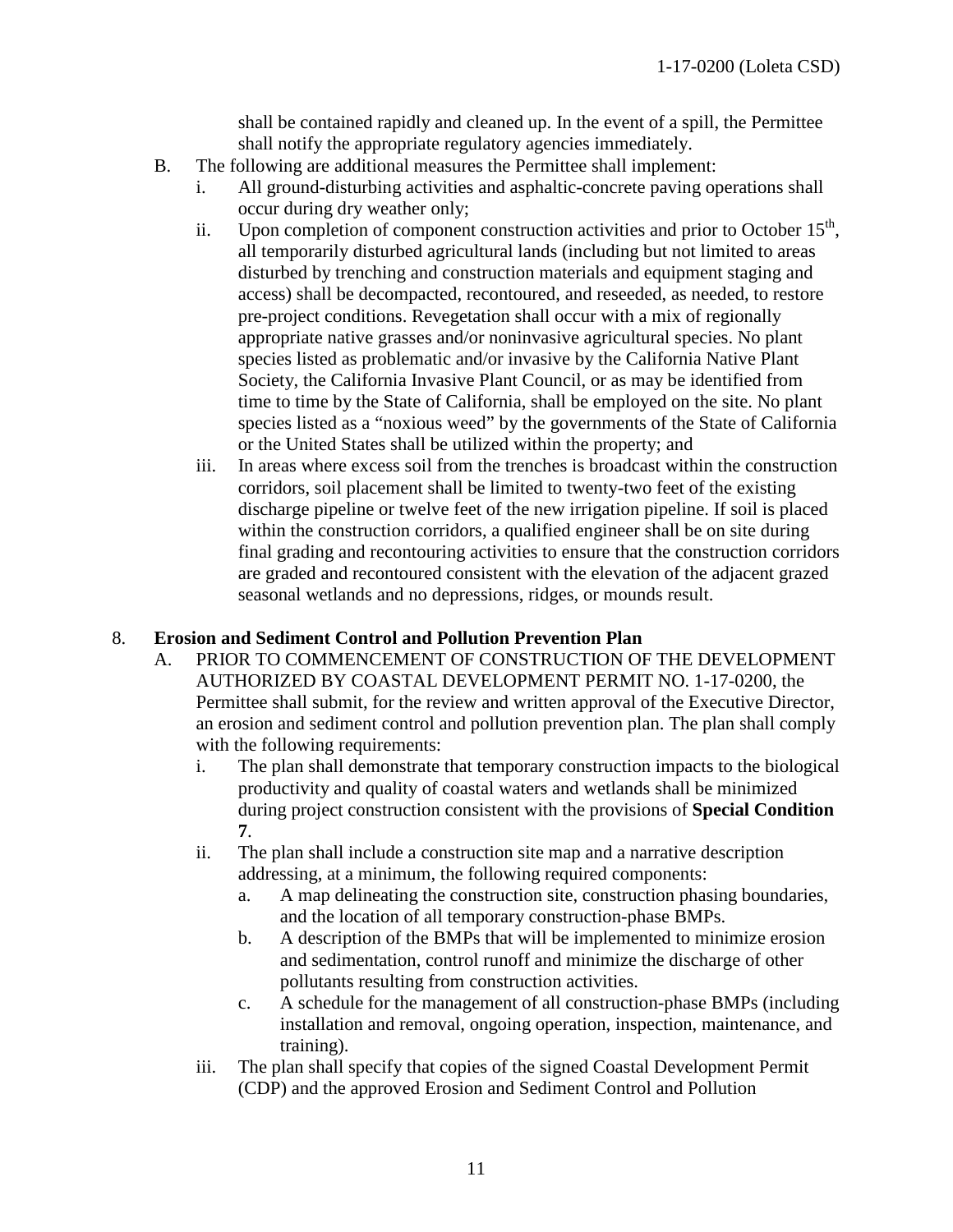shall be contained rapidly and cleaned up. In the event of a spill, the Permittee shall notify the appropriate regulatory agencies immediately.

- B. The following are additional measures the Permittee shall implement:
	- i. All ground-disturbing activities and asphaltic-concrete paving operations shall occur during dry weather only;
	- ii. Upon completion of component construction activities and prior to October  $15<sup>th</sup>$ , all temporarily disturbed agricultural lands (including but not limited to areas disturbed by trenching and construction materials and equipment staging and access) shall be decompacted, recontoured, and reseeded, as needed, to restore pre-project conditions. Revegetation shall occur with a mix of regionally appropriate native grasses and/or noninvasive agricultural species. No plant species listed as problematic and/or invasive by the California Native Plant Society, the California Invasive Plant Council, or as may be identified from time to time by the State of California, shall be employed on the site. No plant species listed as a "noxious weed" by the governments of the State of California or the United States shall be utilized within the property; and
	- iii. In areas where excess soil from the trenches is broadcast within the construction corridors, soil placement shall be limited to twenty-two feet of the existing discharge pipeline or twelve feet of the new irrigation pipeline. If soil is placed within the construction corridors, a qualified engineer shall be on site during final grading and recontouring activities to ensure that the construction corridors are graded and recontoured consistent with the elevation of the adjacent grazed seasonal wetlands and no depressions, ridges, or mounds result.

#### 8. **Erosion and Sediment Control and Pollution Prevention Plan**

- A. PRIOR TO COMMENCEMENT OF CONSTRUCTION OF THE DEVELOPMENT AUTHORIZED BY COASTAL DEVELOPMENT PERMIT NO. 1-17-0200, the Permittee shall submit, for the review and written approval of the Executive Director, an erosion and sediment control and pollution prevention plan. The plan shall comply with the following requirements:
	- i. The plan shall demonstrate that temporary construction impacts to the biological productivity and quality of coastal waters and wetlands shall be minimized during project construction consistent with the provisions of **Special Condition 7**.
	- ii. The plan shall include a construction site map and a narrative description addressing, at a minimum, the following required components:
		- a. A map delineating the construction site, construction phasing boundaries, and the location of all temporary construction-phase BMPs.
		- b. A description of the BMPs that will be implemented to minimize erosion and sedimentation, control runoff and minimize the discharge of other pollutants resulting from construction activities.
		- c. A schedule for the management of all construction-phase BMPs (including installation and removal, ongoing operation, inspection, maintenance, and training).
	- iii. The plan shall specify that copies of the signed Coastal Development Permit (CDP) and the approved Erosion and Sediment Control and Pollution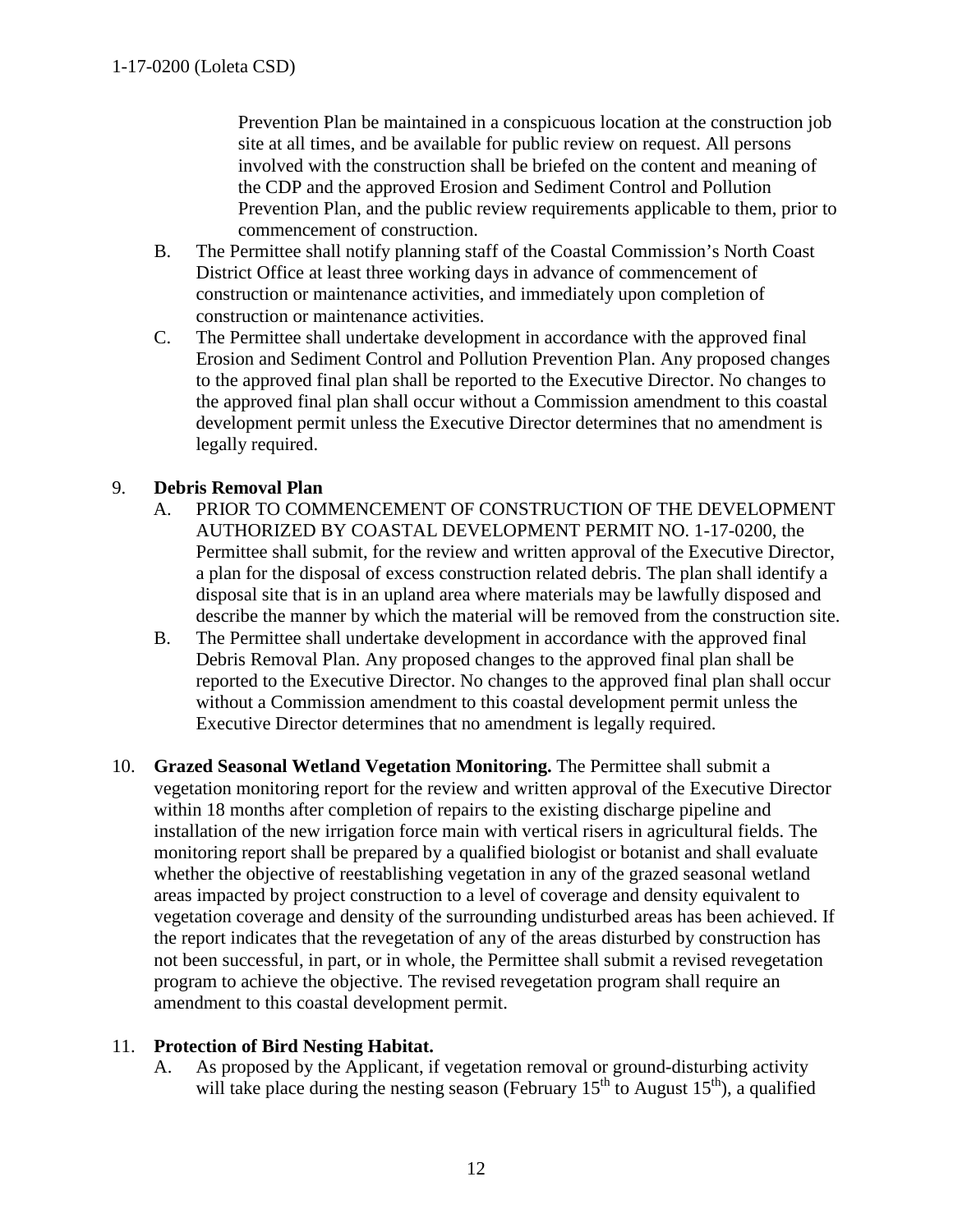Prevention Plan be maintained in a conspicuous location at the construction job site at all times, and be available for public review on request. All persons involved with the construction shall be briefed on the content and meaning of the CDP and the approved Erosion and Sediment Control and Pollution Prevention Plan, and the public review requirements applicable to them, prior to commencement of construction.

- B. The Permittee shall notify planning staff of the Coastal Commission's North Coast District Office at least three working days in advance of commencement of construction or maintenance activities, and immediately upon completion of construction or maintenance activities.
- C. The Permittee shall undertake development in accordance with the approved final Erosion and Sediment Control and Pollution Prevention Plan. Any proposed changes to the approved final plan shall be reported to the Executive Director. No changes to the approved final plan shall occur without a Commission amendment to this coastal development permit unless the Executive Director determines that no amendment is legally required.

## 9. **Debris Removal Plan**

- A. PRIOR TO COMMENCEMENT OF CONSTRUCTION OF THE DEVELOPMENT AUTHORIZED BY COASTAL DEVELOPMENT PERMIT NO. 1-17-0200, the Permittee shall submit, for the review and written approval of the Executive Director, a plan for the disposal of excess construction related debris. The plan shall identify a disposal site that is in an upland area where materials may be lawfully disposed and describe the manner by which the material will be removed from the construction site.
- B. The Permittee shall undertake development in accordance with the approved final Debris Removal Plan. Any proposed changes to the approved final plan shall be reported to the Executive Director. No changes to the approved final plan shall occur without a Commission amendment to this coastal development permit unless the Executive Director determines that no amendment is legally required.
- 10. **Grazed Seasonal Wetland Vegetation Monitoring.** The Permittee shall submit a vegetation monitoring report for the review and written approval of the Executive Director within 18 months after completion of repairs to the existing discharge pipeline and installation of the new irrigation force main with vertical risers in agricultural fields. The monitoring report shall be prepared by a qualified biologist or botanist and shall evaluate whether the objective of reestablishing vegetation in any of the grazed seasonal wetland areas impacted by project construction to a level of coverage and density equivalent to vegetation coverage and density of the surrounding undisturbed areas has been achieved. If the report indicates that the revegetation of any of the areas disturbed by construction has not been successful, in part, or in whole, the Permittee shall submit a revised revegetation program to achieve the objective. The revised revegetation program shall require an amendment to this coastal development permit.

#### 11. **Protection of Bird Nesting Habitat.**

A. As proposed by the Applicant, if vegetation removal or ground-disturbing activity will take place during the nesting season (February  $15<sup>th</sup>$  to August  $15<sup>th</sup>$ ), a qualified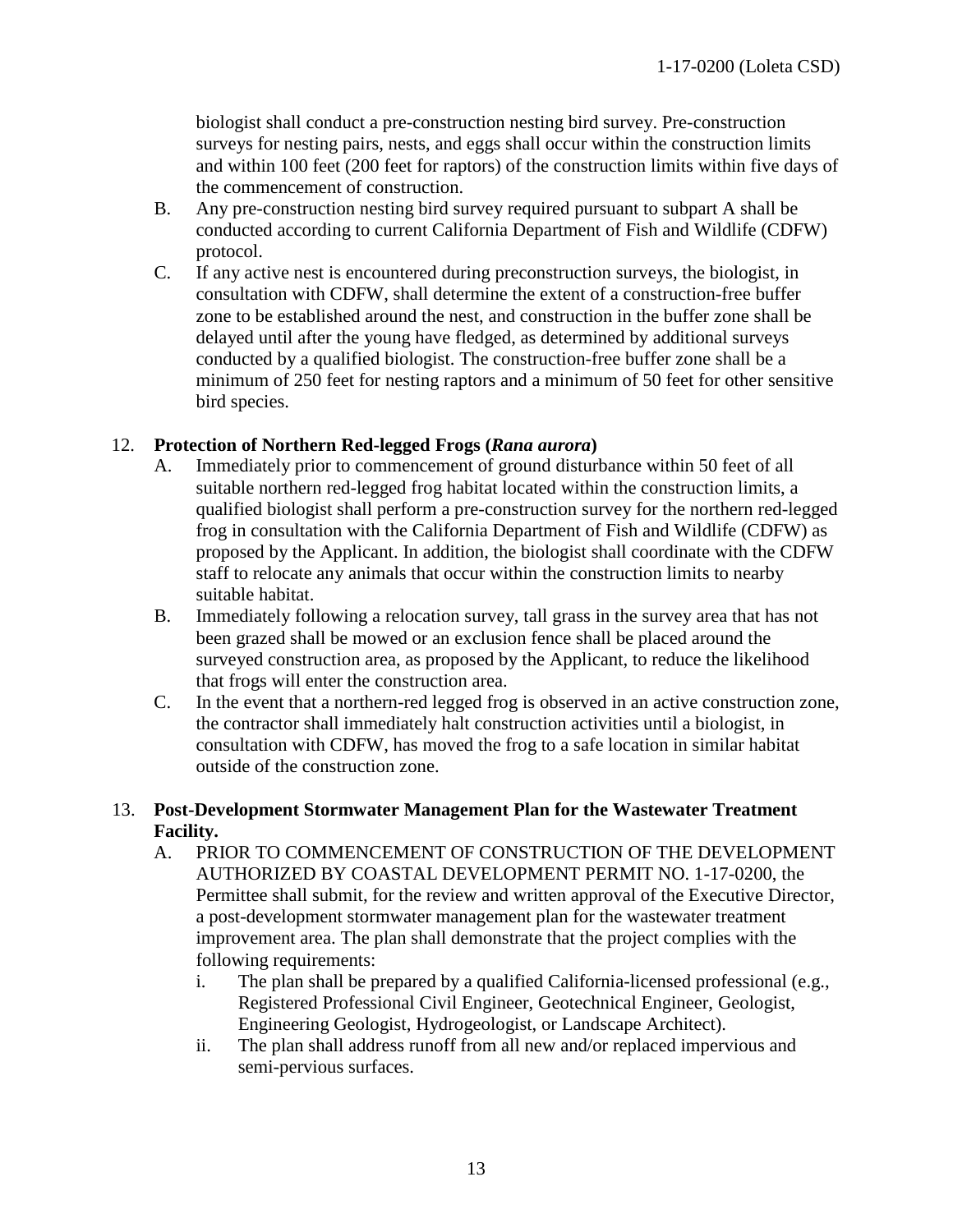biologist shall conduct a pre-construction nesting bird survey. Pre-construction surveys for nesting pairs, nests, and eggs shall occur within the construction limits and within 100 feet (200 feet for raptors) of the construction limits within five days of the commencement of construction.

- B. Any pre-construction nesting bird survey required pursuant to subpart A shall be conducted according to current California Department of Fish and Wildlife (CDFW) protocol.
- C. If any active nest is encountered during preconstruction surveys, the biologist, in consultation with CDFW, shall determine the extent of a construction-free buffer zone to be established around the nest, and construction in the buffer zone shall be delayed until after the young have fledged, as determined by additional surveys conducted by a qualified biologist. The construction-free buffer zone shall be a minimum of 250 feet for nesting raptors and a minimum of 50 feet for other sensitive bird species.

#### 12. **Protection of Northern Red-legged Frogs (***Rana aurora***)**

- A. Immediately prior to commencement of ground disturbance within 50 feet of all suitable northern red-legged frog habitat located within the construction limits, a qualified biologist shall perform a pre-construction survey for the northern red-legged frog in consultation with the California Department of Fish and Wildlife (CDFW) as proposed by the Applicant. In addition, the biologist shall coordinate with the CDFW staff to relocate any animals that occur within the construction limits to nearby suitable habitat.
- B. Immediately following a relocation survey, tall grass in the survey area that has not been grazed shall be mowed or an exclusion fence shall be placed around the surveyed construction area, as proposed by the Applicant, to reduce the likelihood that frogs will enter the construction area.
- C. In the event that a northern-red legged frog is observed in an active construction zone, the contractor shall immediately halt construction activities until a biologist, in consultation with CDFW, has moved the frog to a safe location in similar habitat outside of the construction zone.

#### 13. **Post-Development Stormwater Management Plan for the Wastewater Treatment Facility.**

- A. PRIOR TO COMMENCEMENT OF CONSTRUCTION OF THE DEVELOPMENT AUTHORIZED BY COASTAL DEVELOPMENT PERMIT NO. 1-17-0200, the Permittee shall submit, for the review and written approval of the Executive Director, a post-development stormwater management plan for the wastewater treatment improvement area. The plan shall demonstrate that the project complies with the following requirements:
	- i. The plan shall be prepared by a qualified California-licensed professional (e.g., Registered Professional Civil Engineer, Geotechnical Engineer, Geologist, Engineering Geologist, Hydrogeologist, or Landscape Architect).
	- ii. The plan shall address runoff from all new and/or replaced impervious and semi-pervious surfaces.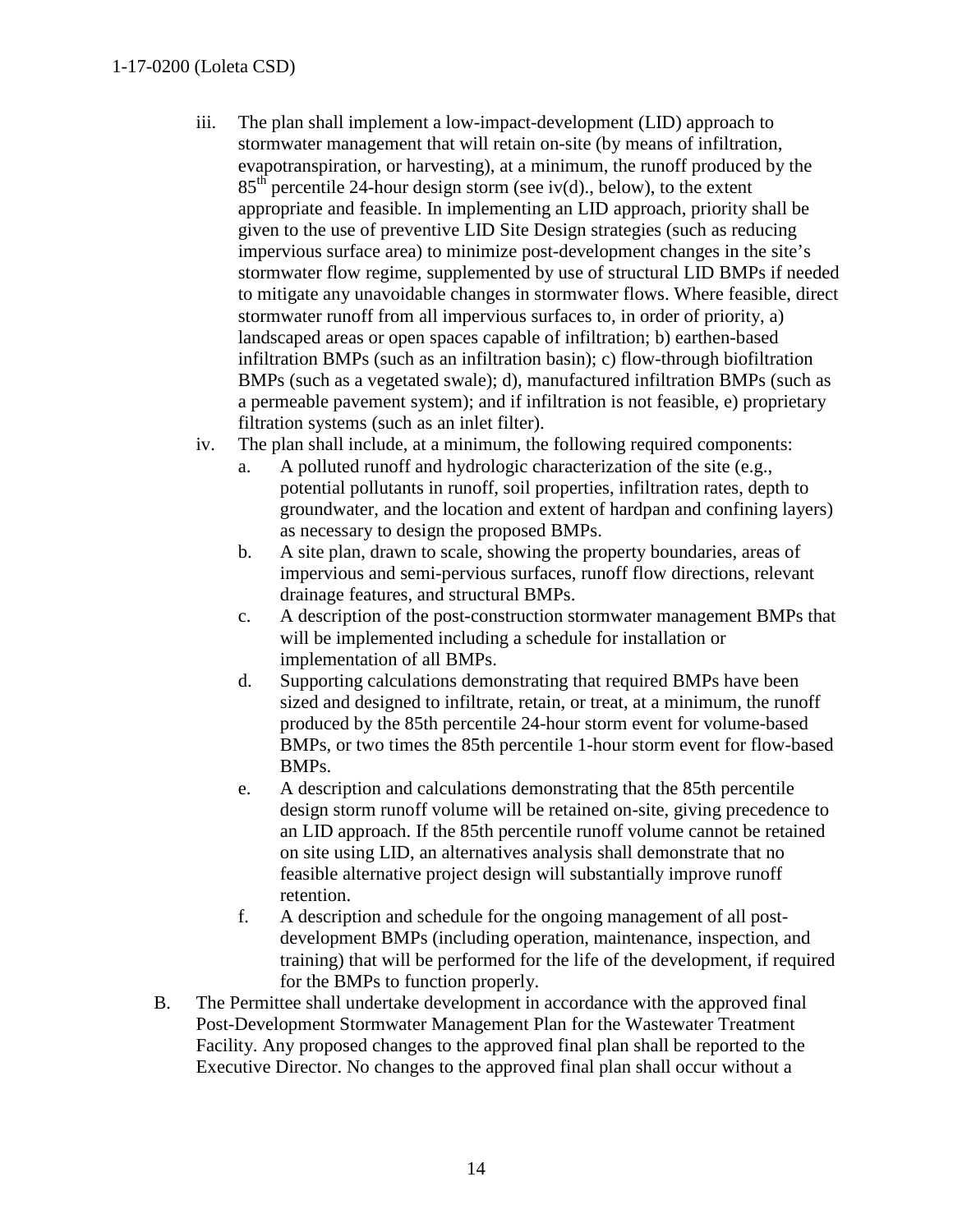#### 1-17-0200 (Loleta CSD)

- iii. The plan shall implement a low-impact-development (LID) approach to stormwater management that will retain on-site (by means of infiltration, evapotranspiration, or harvesting), at a minimum, the runoff produced by the  $85<sup>th</sup>$  percentile 24-hour design storm (see iv(d), below), to the extent appropriate and feasible. In implementing an LID approach, priority shall be given to the use of preventive LID Site Design strategies (such as reducing impervious surface area) to minimize post-development changes in the site's stormwater flow regime, supplemented by use of structural LID BMPs if needed to mitigate any unavoidable changes in stormwater flows. Where feasible, direct stormwater runoff from all impervious surfaces to, in order of priority, a) landscaped areas or open spaces capable of infiltration; b) earthen-based infiltration BMPs (such as an infiltration basin); c) flow-through biofiltration BMPs (such as a vegetated swale); d), manufactured infiltration BMPs (such as a permeable pavement system); and if infiltration is not feasible, e) proprietary filtration systems (such as an inlet filter).
- iv. The plan shall include, at a minimum, the following required components:
	- a. A polluted runoff and hydrologic characterization of the site (e.g., potential pollutants in runoff, soil properties, infiltration rates, depth to groundwater, and the location and extent of hardpan and confining layers) as necessary to design the proposed BMPs.
	- b. A site plan, drawn to scale, showing the property boundaries, areas of impervious and semi-pervious surfaces, runoff flow directions, relevant drainage features, and structural BMPs.
	- c. A description of the post-construction stormwater management BMPs that will be implemented including a schedule for installation or implementation of all BMPs.
	- d. Supporting calculations demonstrating that required BMPs have been sized and designed to infiltrate, retain, or treat, at a minimum, the runoff produced by the 85th percentile 24-hour storm event for volume-based BMPs, or two times the 85th percentile 1-hour storm event for flow-based BMPs.
	- e. A description and calculations demonstrating that the 85th percentile design storm runoff volume will be retained on-site, giving precedence to an LID approach. If the 85th percentile runoff volume cannot be retained on site using LID, an alternatives analysis shall demonstrate that no feasible alternative project design will substantially improve runoff retention.
	- f. A description and schedule for the ongoing management of all postdevelopment BMPs (including operation, maintenance, inspection, and training) that will be performed for the life of the development, if required for the BMPs to function properly.
- B. The Permittee shall undertake development in accordance with the approved final Post-Development Stormwater Management Plan for the Wastewater Treatment Facility. Any proposed changes to the approved final plan shall be reported to the Executive Director. No changes to the approved final plan shall occur without a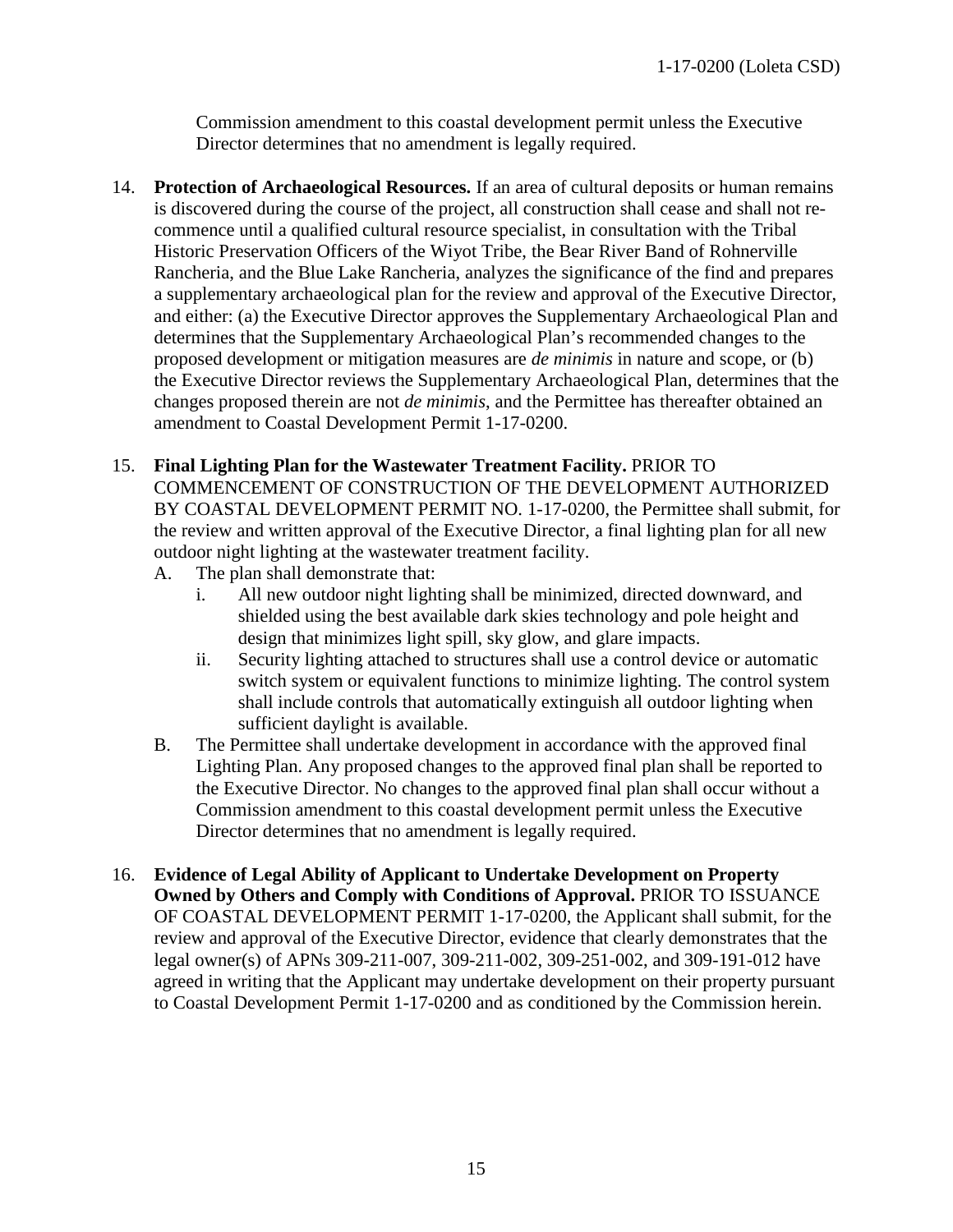Commission amendment to this coastal development permit unless the Executive Director determines that no amendment is legally required.

14. **Protection of Archaeological Resources.** If an area of cultural deposits or human remains is discovered during the course of the project, all construction shall cease and shall not recommence until a qualified cultural resource specialist, in consultation with the Tribal Historic Preservation Officers of the Wiyot Tribe, the Bear River Band of Rohnerville Rancheria, and the Blue Lake Rancheria, analyzes the significance of the find and prepares a supplementary archaeological plan for the review and approval of the Executive Director, and either: (a) the Executive Director approves the Supplementary Archaeological Plan and determines that the Supplementary Archaeological Plan's recommended changes to the proposed development or mitigation measures are *de minimis* in nature and scope, or (b) the Executive Director reviews the Supplementary Archaeological Plan, determines that the changes proposed therein are not *de minimis*, and the Permittee has thereafter obtained an amendment to Coastal Development Permit 1-17-0200.

#### 15. **Final Lighting Plan for the Wastewater Treatment Facility.** PRIOR TO

COMMENCEMENT OF CONSTRUCTION OF THE DEVELOPMENT AUTHORIZED BY COASTAL DEVELOPMENT PERMIT NO. 1-17-0200, the Permittee shall submit, for the review and written approval of the Executive Director, a final lighting plan for all new outdoor night lighting at the wastewater treatment facility.

- A. The plan shall demonstrate that:
	- i. All new outdoor night lighting shall be minimized, directed downward, and shielded using the best available dark skies technology and pole height and design that minimizes light spill, sky glow, and glare impacts.
	- ii. Security lighting attached to structures shall use a control device or automatic switch system or equivalent functions to minimize lighting. The control system shall include controls that automatically extinguish all outdoor lighting when sufficient daylight is available.
- B. The Permittee shall undertake development in accordance with the approved final Lighting Plan. Any proposed changes to the approved final plan shall be reported to the Executive Director. No changes to the approved final plan shall occur without a Commission amendment to this coastal development permit unless the Executive Director determines that no amendment is legally required.
- <span id="page-14-0"></span>16. **Evidence of Legal Ability of Applicant to Undertake Development on Property Owned by Others and Comply with Conditions of Approval.** PRIOR TO ISSUANCE OF COASTAL DEVELOPMENT PERMIT 1-17-0200, the Applicant shall submit, for the review and approval of the Executive Director, evidence that clearly demonstrates that the legal owner(s) of APNs 309-211-007, 309-211-002, 309-251-002, and 309-191-012 have agreed in writing that the Applicant may undertake development on their property pursuant to Coastal Development Permit 1-17-0200 and as conditioned by the Commission herein.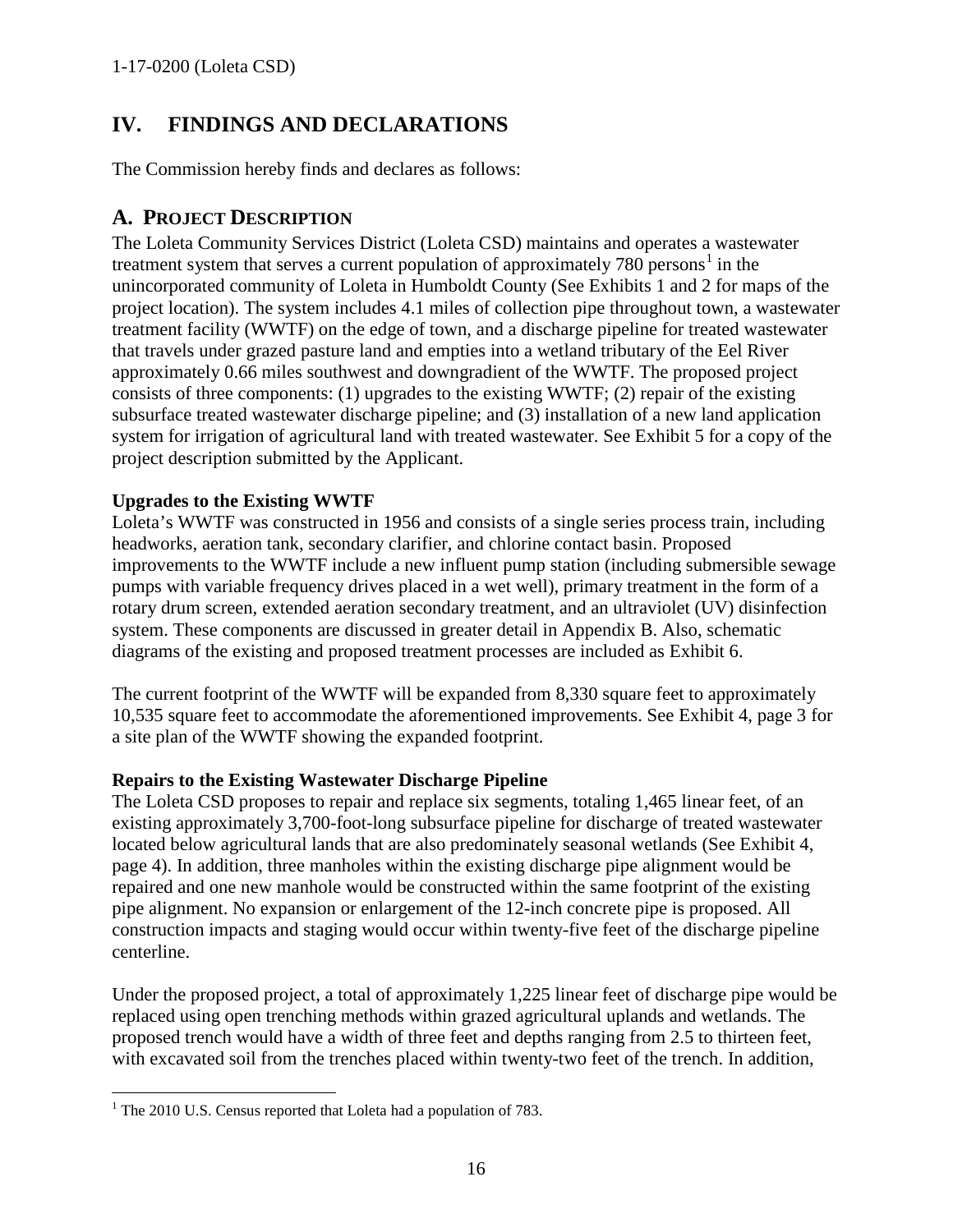# **IV. FINDINGS AND DECLARATIONS**

The Commission hereby finds and declares as follows:

## <span id="page-15-0"></span>**A. PROJECT DESCRIPTION**

The Loleta Community Services District (Loleta CSD) maintains and operates a wastewater treatment system that serves a current population of approximately  $780$  persons<sup>[1](#page-15-1)</sup> in the unincorporated community of Loleta in Humboldt County (See Exhibits 1 and 2 for maps of the project location). The system includes 4.1 miles of collection pipe throughout town, a wastewater treatment facility (WWTF) on the edge of town, and a discharge pipeline for treated wastewater that travels under grazed pasture land and empties into a wetland tributary of the Eel River approximately 0.66 miles southwest and downgradient of the WWTF. The proposed project consists of three components: (1) upgrades to the existing WWTF; (2) repair of the existing subsurface treated wastewater discharge pipeline; and (3) installation of a new land application system for irrigation of agricultural land with treated wastewater. See Exhibit 5 for a copy of the project description submitted by the Applicant.

## **Upgrades to the Existing WWTF**

Loleta's WWTF was constructed in 1956 and consists of a single series process train, including headworks, aeration tank, secondary clarifier, and chlorine contact basin. Proposed improvements to the WWTF include a new influent pump station (including submersible sewage pumps with variable frequency drives placed in a wet well), primary treatment in the form of a rotary drum screen, extended aeration secondary treatment, and an ultraviolet (UV) disinfection system. These components are discussed in greater detail in Appendix B. Also, schematic diagrams of the existing and proposed treatment processes are included as Exhibit 6.

The current footprint of the WWTF will be expanded from 8,330 square feet to approximately 10,535 square feet to accommodate the aforementioned improvements. See Exhibit 4, page 3 for a site plan of the WWTF showing the expanded footprint.

#### **Repairs to the Existing Wastewater Discharge Pipeline**

The Loleta CSD proposes to repair and replace six segments, totaling 1,465 linear feet, of an existing approximately 3,700-foot-long subsurface pipeline for discharge of treated wastewater located below agricultural lands that are also predominately seasonal wetlands (See Exhibit 4, page 4). In addition, three manholes within the existing discharge pipe alignment would be repaired and one new manhole would be constructed within the same footprint of the existing pipe alignment. No expansion or enlargement of the 12-inch concrete pipe is proposed. All construction impacts and staging would occur within twenty-five feet of the discharge pipeline centerline.

Under the proposed project, a total of approximately 1,225 linear feet of discharge pipe would be replaced using open trenching methods within grazed agricultural uplands and wetlands. The proposed trench would have a width of three feet and depths ranging from 2.5 to thirteen feet, with excavated soil from the trenches placed within twenty-two feet of the trench. In addition,

<span id="page-15-1"></span> $\overline{a}$ <sup>1</sup> The 2010 U.S. Census reported that Loleta had a population of 783.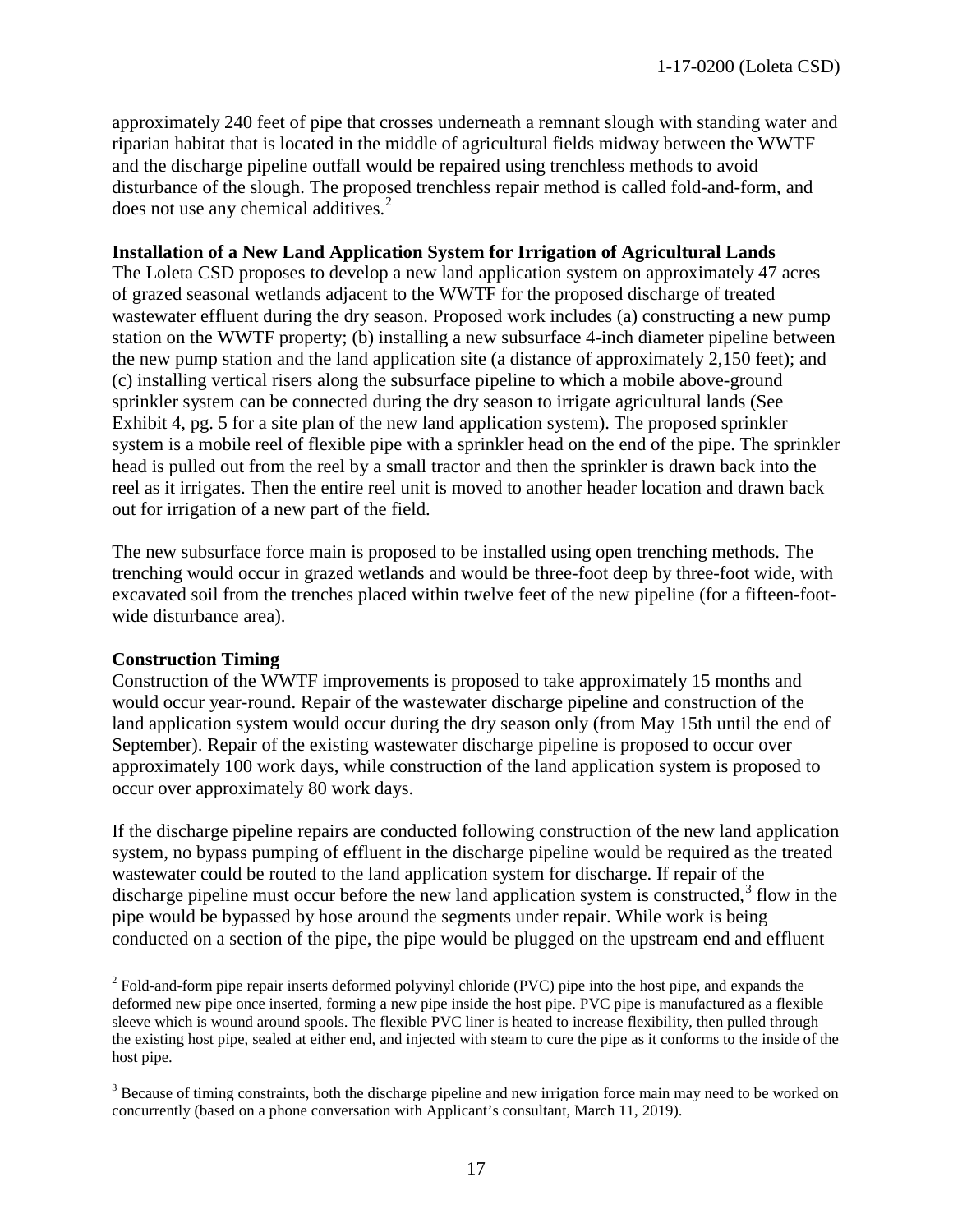approximately 240 feet of pipe that crosses underneath a remnant slough with standing water and riparian habitat that is located in the middle of agricultural fields midway between the WWTF and the discharge pipeline outfall would be repaired using trenchless methods to avoid disturbance of the slough. The proposed trenchless repair method is called fold-and-form, and does not use any chemical additives.<sup>[2](#page-16-0)</sup>

#### **Installation of a New Land Application System for Irrigation of Agricultural Lands**

The Loleta CSD proposes to develop a new land application system on approximately 47 acres of grazed seasonal wetlands adjacent to the WWTF for the proposed discharge of treated wastewater effluent during the dry season. Proposed work includes (a) constructing a new pump station on the WWTF property; (b) installing a new subsurface 4-inch diameter pipeline between the new pump station and the land application site (a distance of approximately 2,150 feet); and (c) installing vertical risers along the subsurface pipeline to which a mobile above-ground sprinkler system can be connected during the dry season to irrigate agricultural lands (See Exhibit 4, pg. 5 for a site plan of the new land application system). The proposed sprinkler system is a mobile reel of flexible pipe with a sprinkler head on the end of the pipe. The sprinkler head is pulled out from the reel by a small tractor and then the sprinkler is drawn back into the reel as it irrigates. Then the entire reel unit is moved to another header location and drawn back out for irrigation of a new part of the field.

The new subsurface force main is proposed to be installed using open trenching methods. The trenching would occur in grazed wetlands and would be three-foot deep by three-foot wide, with excavated soil from the trenches placed within twelve feet of the new pipeline (for a fifteen-footwide disturbance area).

#### **Construction Timing**

 $\overline{a}$ 

Construction of the WWTF improvements is proposed to take approximately 15 months and would occur year-round. Repair of the wastewater discharge pipeline and construction of the land application system would occur during the dry season only (from May 15th until the end of September). Repair of the existing wastewater discharge pipeline is proposed to occur over approximately 100 work days, while construction of the land application system is proposed to occur over approximately 80 work days.

If the discharge pipeline repairs are conducted following construction of the new land application system, no bypass pumping of effluent in the discharge pipeline would be required as the treated wastewater could be routed to the land application system for discharge. If repair of the discharge pipeline must occur before the new land application system is constructed, $3$  flow in the pipe would be bypassed by hose around the segments under repair. While work is being conducted on a section of the pipe, the pipe would be plugged on the upstream end and effluent

<span id="page-16-0"></span> $2^{2}$  Fold-and-form pipe repair inserts deformed polyvinyl chloride (PVC) pipe into the host pipe, and expands the deformed new pipe once inserted, forming a new pipe inside the host pipe. PVC pipe is manufactured as a flexible sleeve which is wound around spools. The flexible PVC liner is heated to increase flexibility, then pulled through the existing host pipe, sealed at either end, and injected with steam to cure the pipe as it conforms to the inside of the host pipe.

<span id="page-16-1"></span><sup>&</sup>lt;sup>3</sup> Because of timing constraints, both the discharge pipeline and new irrigation force main may need to be worked on concurrently (based on a phone conversation with Applicant's consultant, March 11, 2019).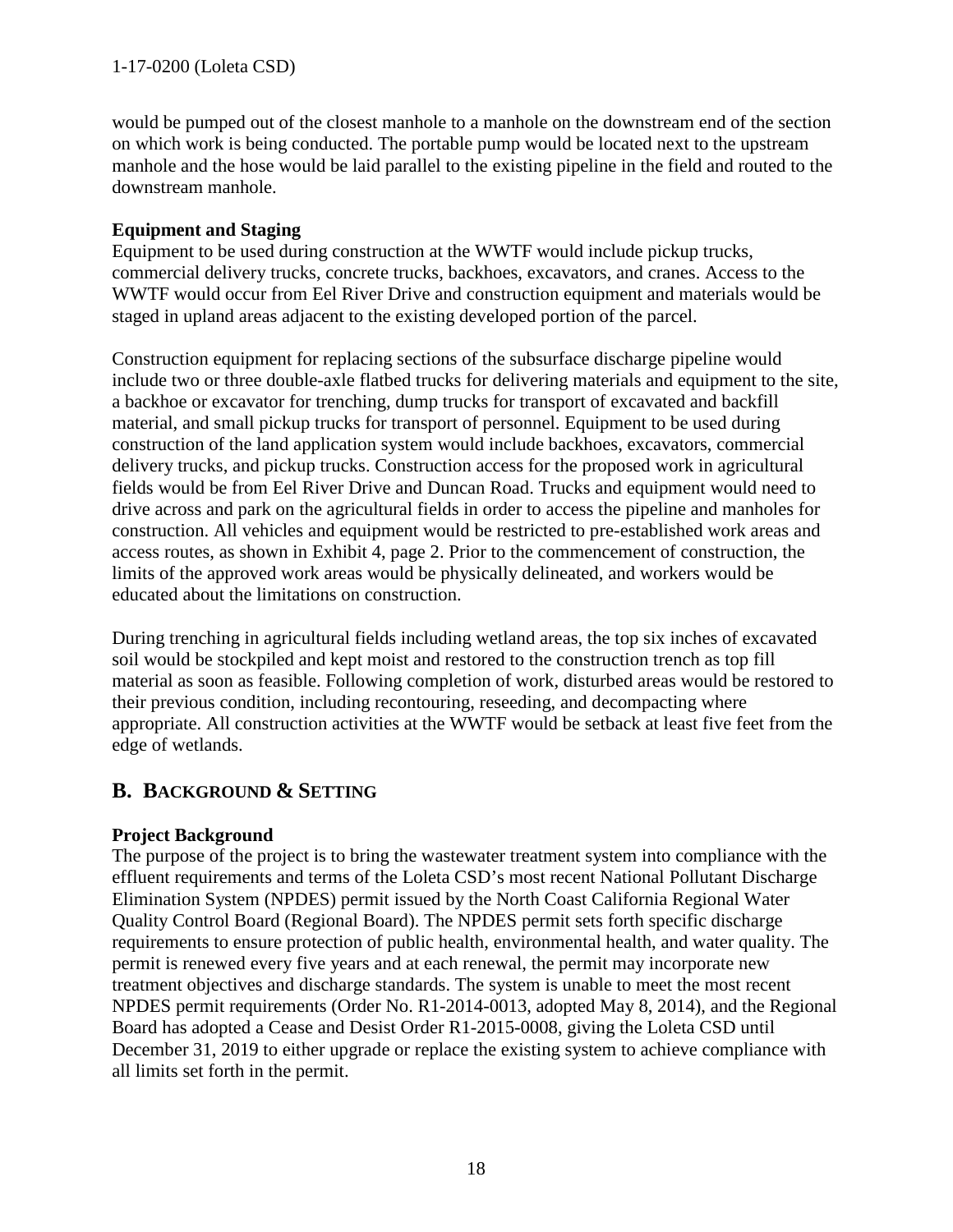would be pumped out of the closest manhole to a manhole on the downstream end of the section on which work is being conducted. The portable pump would be located next to the upstream manhole and the hose would be laid parallel to the existing pipeline in the field and routed to the downstream manhole.

## **Equipment and Staging**

Equipment to be used during construction at the WWTF would include pickup trucks, commercial delivery trucks, concrete trucks, backhoes, excavators, and cranes. Access to the WWTF would occur from Eel River Drive and construction equipment and materials would be staged in upland areas adjacent to the existing developed portion of the parcel.

Construction equipment for replacing sections of the subsurface discharge pipeline would include two or three double-axle flatbed trucks for delivering materials and equipment to the site, a backhoe or excavator for trenching, dump trucks for transport of excavated and backfill material, and small pickup trucks for transport of personnel. Equipment to be used during construction of the land application system would include backhoes, excavators, commercial delivery trucks, and pickup trucks. Construction access for the proposed work in agricultural fields would be from Eel River Drive and Duncan Road. Trucks and equipment would need to drive across and park on the agricultural fields in order to access the pipeline and manholes for construction. All vehicles and equipment would be restricted to pre-established work areas and access routes, as shown in Exhibit 4, page 2. Prior to the commencement of construction, the limits of the approved work areas would be physically delineated, and workers would be educated about the limitations on construction.

During trenching in agricultural fields including wetland areas, the top six inches of excavated soil would be stockpiled and kept moist and restored to the construction trench as top fill material as soon as feasible. Following completion of work, disturbed areas would be restored to their previous condition, including recontouring, reseeding, and decompacting where appropriate. All construction activities at the WWTF would be setback at least five feet from the edge of wetlands.

## <span id="page-17-0"></span>**B. BACKGROUND & SETTING**

#### **Project Background**

The purpose of the project is to bring the wastewater treatment system into compliance with the effluent requirements and terms of the Loleta CSD's most recent National Pollutant Discharge Elimination System (NPDES) permit issued by the North Coast California Regional Water Quality Control Board (Regional Board). The NPDES permit sets forth specific discharge requirements to ensure protection of public health, environmental health, and water quality. The permit is renewed every five years and at each renewal, the permit may incorporate new treatment objectives and discharge standards. The system is unable to meet the most recent NPDES permit requirements (Order No. R1-2014-0013, adopted May 8, 2014), and the Regional Board has adopted a Cease and Desist Order R1-2015-0008, giving the Loleta CSD until December 31, 2019 to either upgrade or replace the existing system to achieve compliance with all limits set forth in the permit.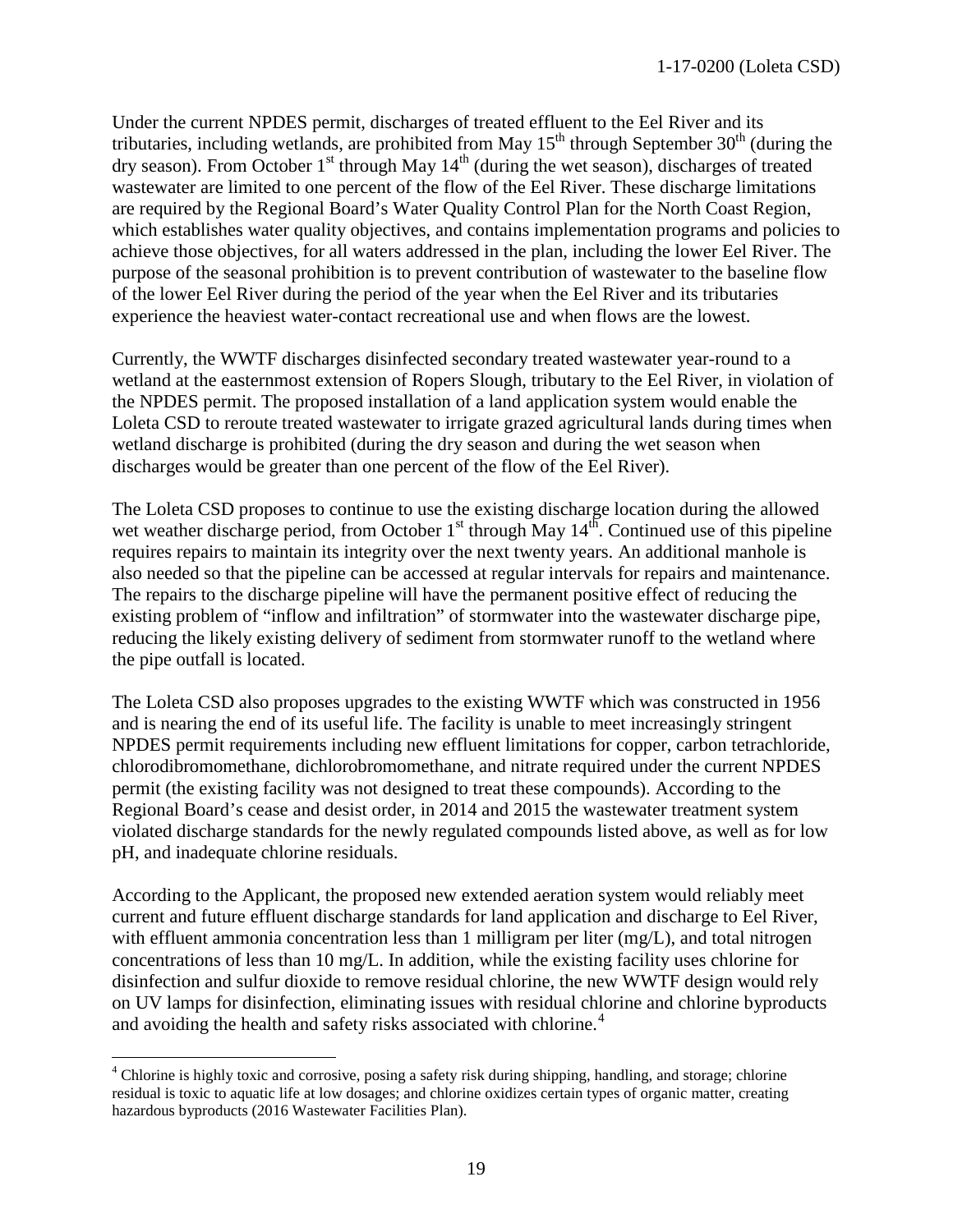Under the current NPDES permit, discharges of treated effluent to the Eel River and its tributaries, including wetlands, are prohibited from May  $15<sup>th</sup>$  through September  $30<sup>th</sup>$  (during the dry season). From October 1<sup>st</sup> through May  $14<sup>th</sup>$  (during the wet season), discharges of treated wastewater are limited to one percent of the flow of the Eel River. These discharge limitations are required by the Regional Board's Water Quality Control Plan for the North Coast Region, which establishes water quality objectives, and contains implementation programs and policies to achieve those objectives, for all waters addressed in the plan, including the lower Eel River. The purpose of the seasonal prohibition is to prevent contribution of wastewater to the baseline flow of the lower Eel River during the period of the year when the Eel River and its tributaries experience the heaviest water-contact recreational use and when flows are the lowest.

Currently, the WWTF discharges disinfected secondary treated wastewater year-round to a wetland at the easternmost extension of Ropers Slough, tributary to the Eel River, in violation of the NPDES permit. The proposed installation of a land application system would enable the Loleta CSD to reroute treated wastewater to irrigate grazed agricultural lands during times when wetland discharge is prohibited (during the dry season and during the wet season when discharges would be greater than one percent of the flow of the Eel River).

The Loleta CSD proposes to continue to use the existing discharge location during the allowed wet weather discharge period, from October  $1<sup>st</sup>$  through May  $14<sup>th</sup>$ . Continued use of this pipeline requires repairs to maintain its integrity over the next twenty years. An additional manhole is also needed so that the pipeline can be accessed at regular intervals for repairs and maintenance. The repairs to the discharge pipeline will have the permanent positive effect of reducing the existing problem of "inflow and infiltration" of stormwater into the wastewater discharge pipe, reducing the likely existing delivery of sediment from stormwater runoff to the wetland where the pipe outfall is located.

The Loleta CSD also proposes upgrades to the existing WWTF which was constructed in 1956 and is nearing the end of its useful life. The facility is unable to meet increasingly stringent NPDES permit requirements including new effluent limitations for copper, carbon tetrachloride, chlorodibromomethane, dichlorobromomethane, and nitrate required under the current NPDES permit (the existing facility was not designed to treat these compounds). According to the Regional Board's cease and desist order, in 2014 and 2015 the wastewater treatment system violated discharge standards for the newly regulated compounds listed above, as well as for low pH, and inadequate chlorine residuals.

According to the Applicant, the proposed new extended aeration system would reliably meet current and future effluent discharge standards for land application and discharge to Eel River, with effluent ammonia concentration less than 1 milligram per liter  $(mg/L)$ , and total nitrogen concentrations of less than 10 mg/L. In addition, while the existing facility uses chlorine for disinfection and sulfur dioxide to remove residual chlorine, the new WWTF design would rely on UV lamps for disinfection, eliminating issues with residual chlorine and chlorine byproducts and avoiding the health and safety risks associated with chlorine.<sup>[4](#page-18-0)</sup>

<span id="page-18-0"></span> $\overline{a}$ <sup>4</sup> Chlorine is highly toxic and corrosive, posing a safety risk during shipping, handling, and storage; chlorine residual is toxic to aquatic life at low dosages; and chlorine oxidizes certain types of organic matter, creating hazardous byproducts (2016 Wastewater Facilities Plan).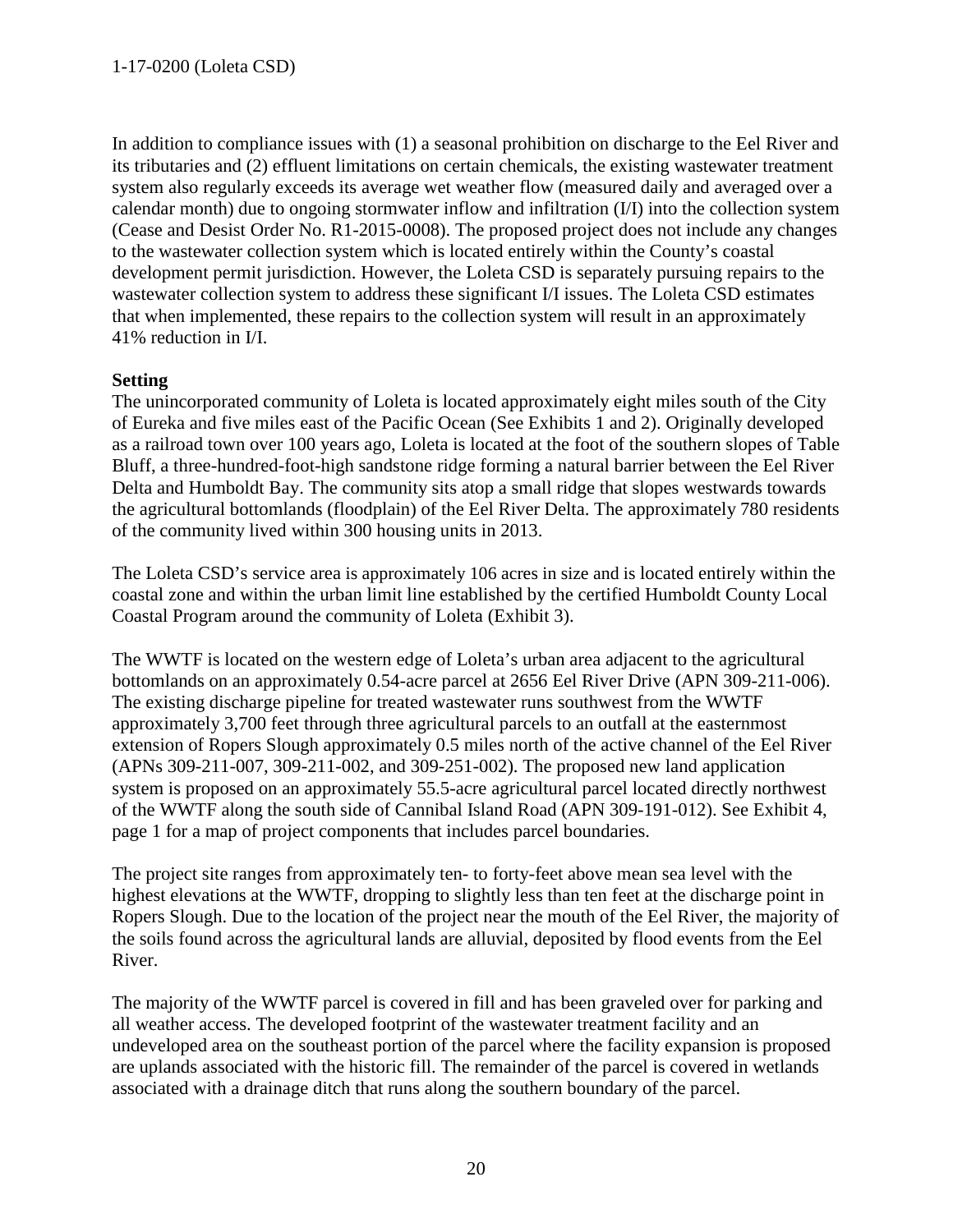In addition to compliance issues with (1) a seasonal prohibition on discharge to the Eel River and its tributaries and (2) effluent limitations on certain chemicals, the existing wastewater treatment system also regularly exceeds its average wet weather flow (measured daily and averaged over a calendar month) due to ongoing stormwater inflow and infiltration (I/I) into the collection system (Cease and Desist Order No. R1-2015-0008). The proposed project does not include any changes to the wastewater collection system which is located entirely within the County's coastal development permit jurisdiction. However, the Loleta CSD is separately pursuing repairs to the wastewater collection system to address these significant I/I issues. The Loleta CSD estimates that when implemented, these repairs to the collection system will result in an approximately 41% reduction in I/I.

#### **Setting**

The unincorporated community of Loleta is located approximately eight miles south of the City of Eureka and five miles east of the Pacific Ocean (See Exhibits 1 and 2). Originally developed as a railroad town over 100 years ago, Loleta is located at the foot of the southern slopes of Table Bluff, a three-hundred-foot-high sandstone ridge forming a natural barrier between the Eel River Delta and Humboldt Bay. The community sits atop a small ridge that slopes westwards towards the agricultural bottomlands (floodplain) of the Eel River Delta. The approximately 780 residents of the community lived within 300 housing units in 2013.

The Loleta CSD's service area is approximately 106 acres in size and is located entirely within the coastal zone and within the urban limit line established by the certified Humboldt County Local Coastal Program around the community of Loleta (Exhibit 3).

The WWTF is located on the western edge of Loleta's urban area adjacent to the agricultural bottomlands on an approximately 0.54-acre parcel at 2656 Eel River Drive (APN 309-211-006). The existing discharge pipeline for treated wastewater runs southwest from the WWTF approximately 3,700 feet through three agricultural parcels to an outfall at the easternmost extension of Ropers Slough approximately 0.5 miles north of the active channel of the Eel River (APNs 309-211-007, 309-211-002, and 309-251-002). The proposed new land application system is proposed on an approximately 55.5-acre agricultural parcel located directly northwest of the WWTF along the south side of Cannibal Island Road (APN 309-191-012). See Exhibit 4, page 1 for a map of project components that includes parcel boundaries.

The project site ranges from approximately ten- to forty-feet above mean sea level with the highest elevations at the WWTF, dropping to slightly less than ten feet at the discharge point in Ropers Slough. Due to the location of the project near the mouth of the Eel River, the majority of the soils found across the agricultural lands are alluvial, deposited by flood events from the Eel River.

The majority of the WWTF parcel is covered in fill and has been graveled over for parking and all weather access. The developed footprint of the wastewater treatment facility and an undeveloped area on the southeast portion of the parcel where the facility expansion is proposed are uplands associated with the historic fill. The remainder of the parcel is covered in wetlands associated with a drainage ditch that runs along the southern boundary of the parcel.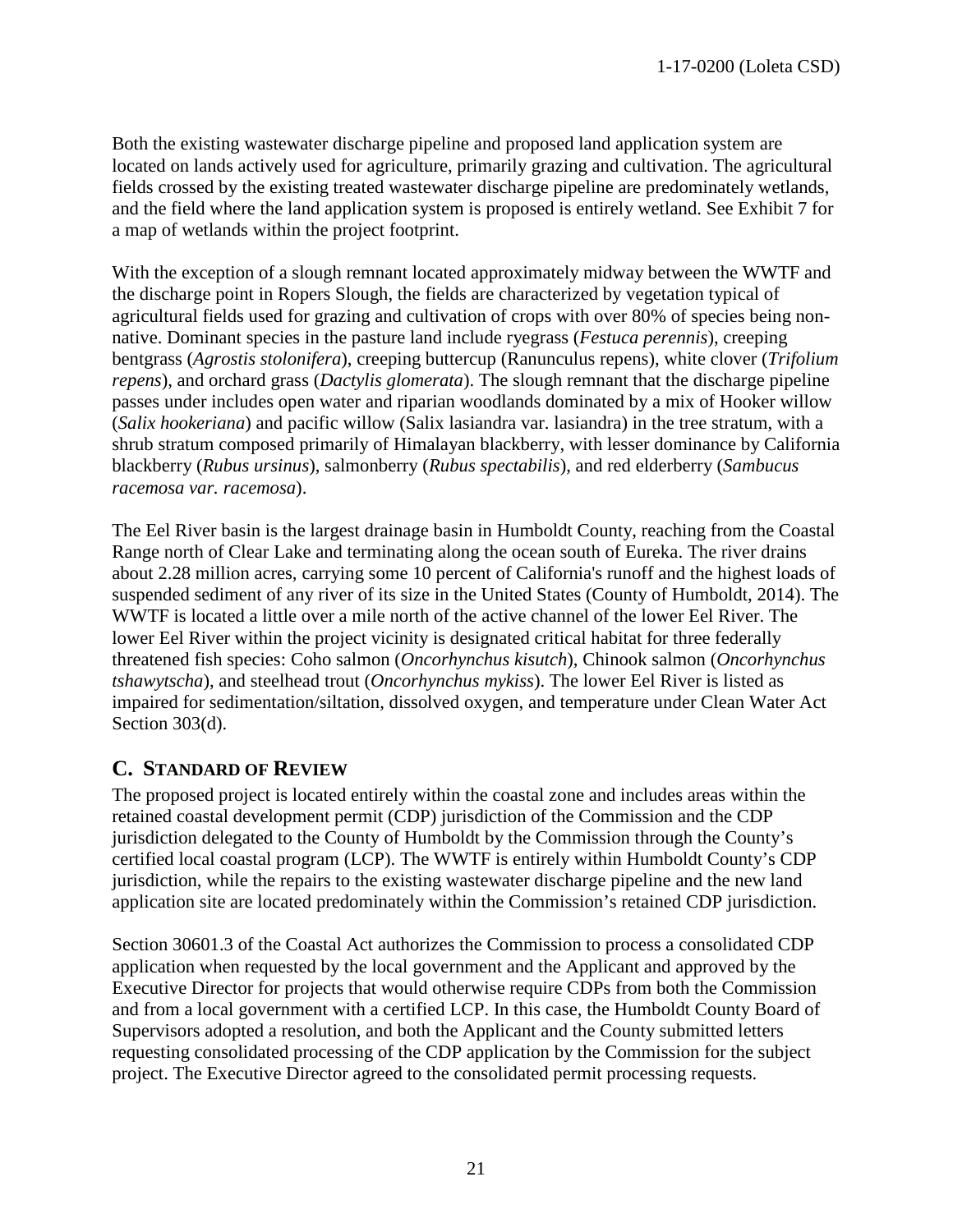Both the existing wastewater discharge pipeline and proposed land application system are located on lands actively used for agriculture, primarily grazing and cultivation. The agricultural fields crossed by the existing treated wastewater discharge pipeline are predominately wetlands, and the field where the land application system is proposed is entirely wetland. See Exhibit 7 for a map of wetlands within the project footprint.

With the exception of a slough remnant located approximately midway between the WWTF and the discharge point in Ropers Slough, the fields are characterized by vegetation typical of agricultural fields used for grazing and cultivation of crops with over 80% of species being nonnative. Dominant species in the pasture land include ryegrass (*Festuca perennis*), creeping bentgrass (*Agrostis stolonifera*), creeping buttercup (Ranunculus repens), white clover (*Trifolium repens*), and orchard grass (*Dactylis glomerata*). The slough remnant that the discharge pipeline passes under includes open water and riparian woodlands dominated by a mix of Hooker willow (*Salix hookeriana*) and pacific willow (Salix lasiandra var. lasiandra) in the tree stratum, with a shrub stratum composed primarily of Himalayan blackberry, with lesser dominance by California blackberry (*Rubus ursinus*), salmonberry (*Rubus spectabilis*), and red elderberry (*Sambucus racemosa var. racemosa*).

The Eel River basin is the largest drainage basin in Humboldt County, reaching from the Coastal Range north of Clear Lake and terminating along the ocean south of Eureka. The river drains about 2.28 million acres, carrying some 10 percent of California's runoff and the highest loads of suspended sediment of any river of its size in the United States (County of Humboldt, 2014). The WWTF is located a little over a mile north of the active channel of the lower Eel River. The lower Eel River within the project vicinity is designated critical habitat for three federally threatened fish species: Coho salmon (*Oncorhynchus kisutch*), Chinook salmon (*Oncorhynchus tshawytscha*), and steelhead trout (*Oncorhynchus mykiss*). The lower Eel River is listed as impaired for sedimentation/siltation, dissolved oxygen, and temperature under Clean Water Act Section 303(d).

# <span id="page-20-0"></span>**C. STANDARD OF REVIEW**

The proposed project is located entirely within the coastal zone and includes areas within the retained coastal development permit (CDP) jurisdiction of the Commission and the CDP jurisdiction delegated to the County of Humboldt by the Commission through the County's certified local coastal program (LCP). The WWTF is entirely within Humboldt County's CDP jurisdiction, while the repairs to the existing wastewater discharge pipeline and the new land application site are located predominately within the Commission's retained CDP jurisdiction.

Section 30601.3 of the Coastal Act authorizes the Commission to process a consolidated CDP application when requested by the local government and the Applicant and approved by the Executive Director for projects that would otherwise require CDPs from both the Commission and from a local government with a certified LCP. In this case, the Humboldt County Board of Supervisors adopted a resolution, and both the Applicant and the County submitted letters requesting consolidated processing of the CDP application by the Commission for the subject project. The Executive Director agreed to the consolidated permit processing requests.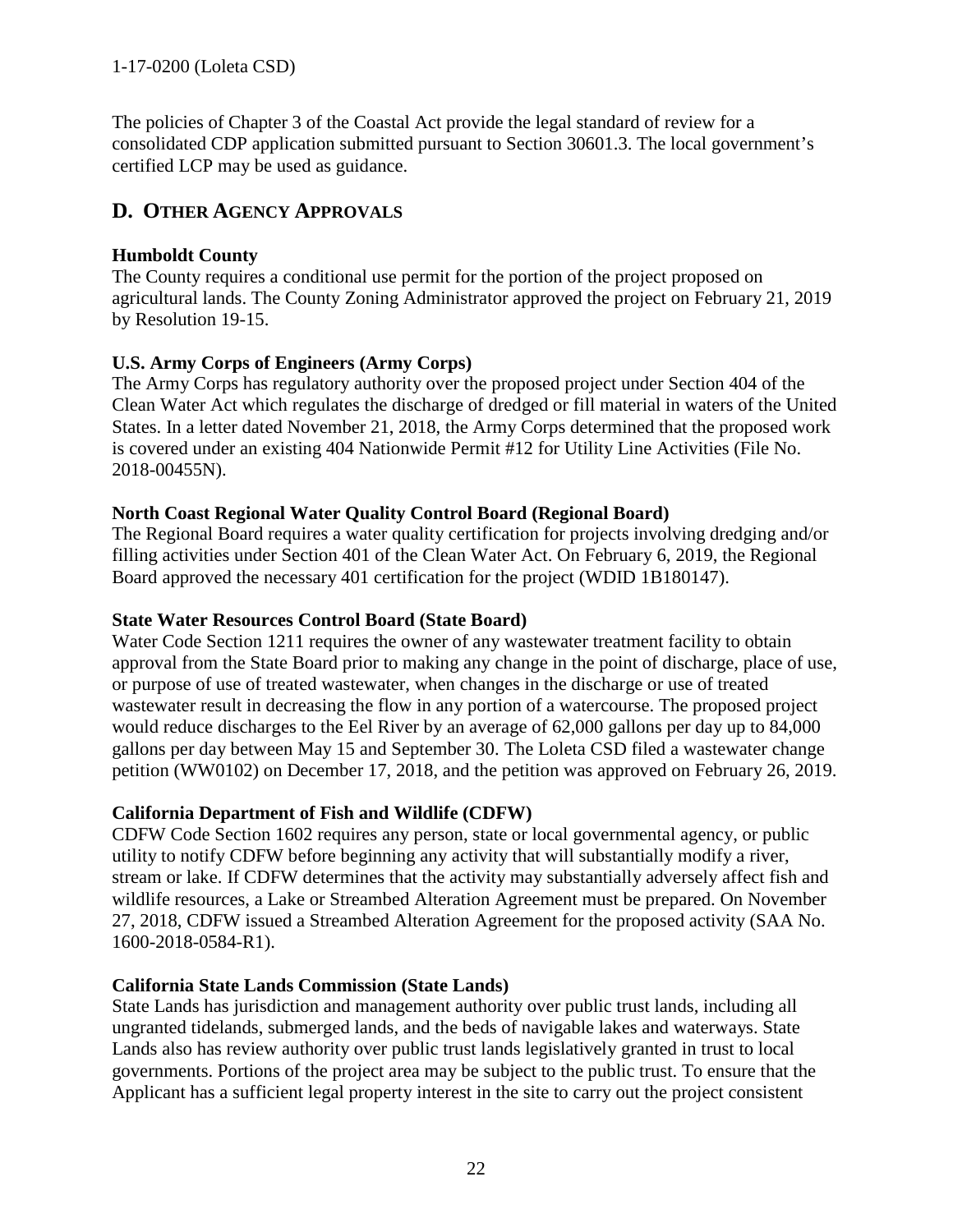The policies of Chapter 3 of the Coastal Act provide the legal standard of review for a consolidated CDP application submitted pursuant to Section 30601.3. The local government's certified LCP may be used as guidance.

## <span id="page-21-0"></span>**D. OTHER AGENCY APPROVALS**

## **Humboldt County**

The County requires a conditional use permit for the portion of the project proposed on agricultural lands. The County Zoning Administrator approved the project on February 21, 2019 by Resolution 19-15.

## **U.S. Army Corps of Engineers (Army Corps)**

The Army Corps has regulatory authority over the proposed project under Section 404 of the Clean Water Act which regulates the discharge of dredged or fill material in waters of the United States. In a letter dated November 21, 2018, the Army Corps determined that the proposed work is covered under an existing 404 Nationwide Permit #12 for Utility Line Activities (File No. 2018-00455N).

#### **North Coast Regional Water Quality Control Board (Regional Board)**

The Regional Board requires a water quality certification for projects involving dredging and/or filling activities under Section 401 of the Clean Water Act. On February 6, 2019, the Regional Board approved the necessary 401 certification for the project (WDID 1B180147).

#### **State Water Resources Control Board (State Board)**

Water Code Section 1211 requires the owner of any wastewater treatment facility to obtain approval from the State Board prior to making any change in the point of discharge, place of use, or purpose of use of treated wastewater, when changes in the discharge or use of treated wastewater result in decreasing the flow in any portion of a watercourse. The proposed project would reduce discharges to the Eel River by an average of 62,000 gallons per day up to 84,000 gallons per day between May 15 and September 30. The Loleta CSD filed a wastewater change petition (WW0102) on December 17, 2018, and the petition was approved on February 26, 2019.

#### **California Department of Fish and Wildlife (CDFW)**

CDFW Code Section 1602 requires any person, state or local governmental agency, or public utility to notify CDFW before beginning any activity that will substantially modify a river, stream or lake. If CDFW determines that the activity may substantially adversely affect fish and wildlife resources, a Lake or Streambed Alteration Agreement must be prepared. On November 27, 2018, CDFW issued a Streambed Alteration Agreement for the proposed activity (SAA No. 1600-2018-0584-R1).

#### **California State Lands Commission (State Lands)**

State Lands has jurisdiction and management authority over public trust lands, including all ungranted tidelands, submerged lands, and the beds of navigable lakes and waterways. State Lands also has review authority over public trust lands legislatively granted in trust to local governments. Portions of the project area may be subject to the public trust. To ensure that the Applicant has a sufficient legal property interest in the site to carry out the project consistent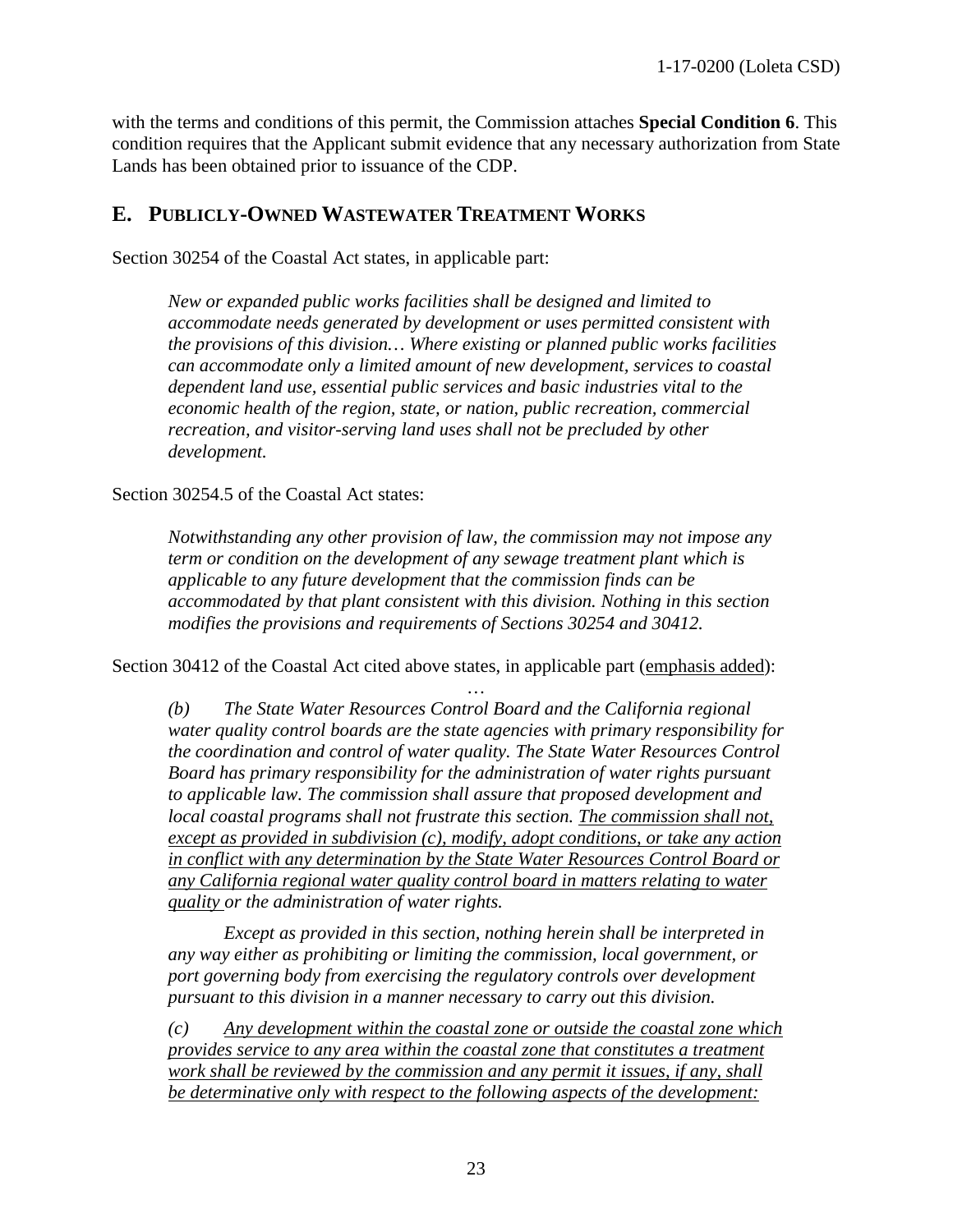with the terms and conditions of this permit, the Commission attaches **Special Condition 6**. This condition requires that the Applicant submit evidence that any necessary authorization from State Lands has been obtained prior to issuance of the CDP.

## <span id="page-22-0"></span>**E. PUBLICLY-OWNED WASTEWATER TREATMENT WORKS**

Section 30254 of the Coastal Act states, in applicable part:

*New or expanded public works facilities shall be designed and limited to accommodate needs generated by development or uses permitted consistent with the provisions of this division… Where existing or planned public works facilities can accommodate only a limited amount of new development, services to coastal dependent land use, essential public services and basic industries vital to the economic health of the region, state, or nation, public recreation, commercial recreation, and visitor-serving land uses shall not be precluded by other development.*

Section 30254.5 of the Coastal Act states:

*Notwithstanding any other provision of law, the commission may not impose any term or condition on the development of any sewage treatment plant which is applicable to any future development that the commission finds can be accommodated by that plant consistent with this division. Nothing in this section modifies the provisions and requirements of Sections 30254 and 30412.*

Section 30412 of the Coastal Act cited above states, in applicable part (emphasis added):

… *(b) The State Water Resources Control Board and the California regional water quality control boards are the state agencies with primary responsibility for the coordination and control of water quality. The State Water Resources Control Board has primary responsibility for the administration of water rights pursuant to applicable law. The commission shall assure that proposed development and local coastal programs shall not frustrate this section. The commission shall not, except as provided in subdivision (c), modify, adopt conditions, or take any action in conflict with any determination by the State Water Resources Control Board or any California regional water quality control board in matters relating to water quality or the administration of water rights.* 

 *Except as provided in this section, nothing herein shall be interpreted in any way either as prohibiting or limiting the commission, local government, or port governing body from exercising the regulatory controls over development pursuant to this division in a manner necessary to carry out this division.* 

*(c) Any development within the coastal zone or outside the coastal zone which provides service to any area within the coastal zone that constitutes a treatment work shall be reviewed by the commission and any permit it issues, if any, shall be determinative only with respect to the following aspects of the development:*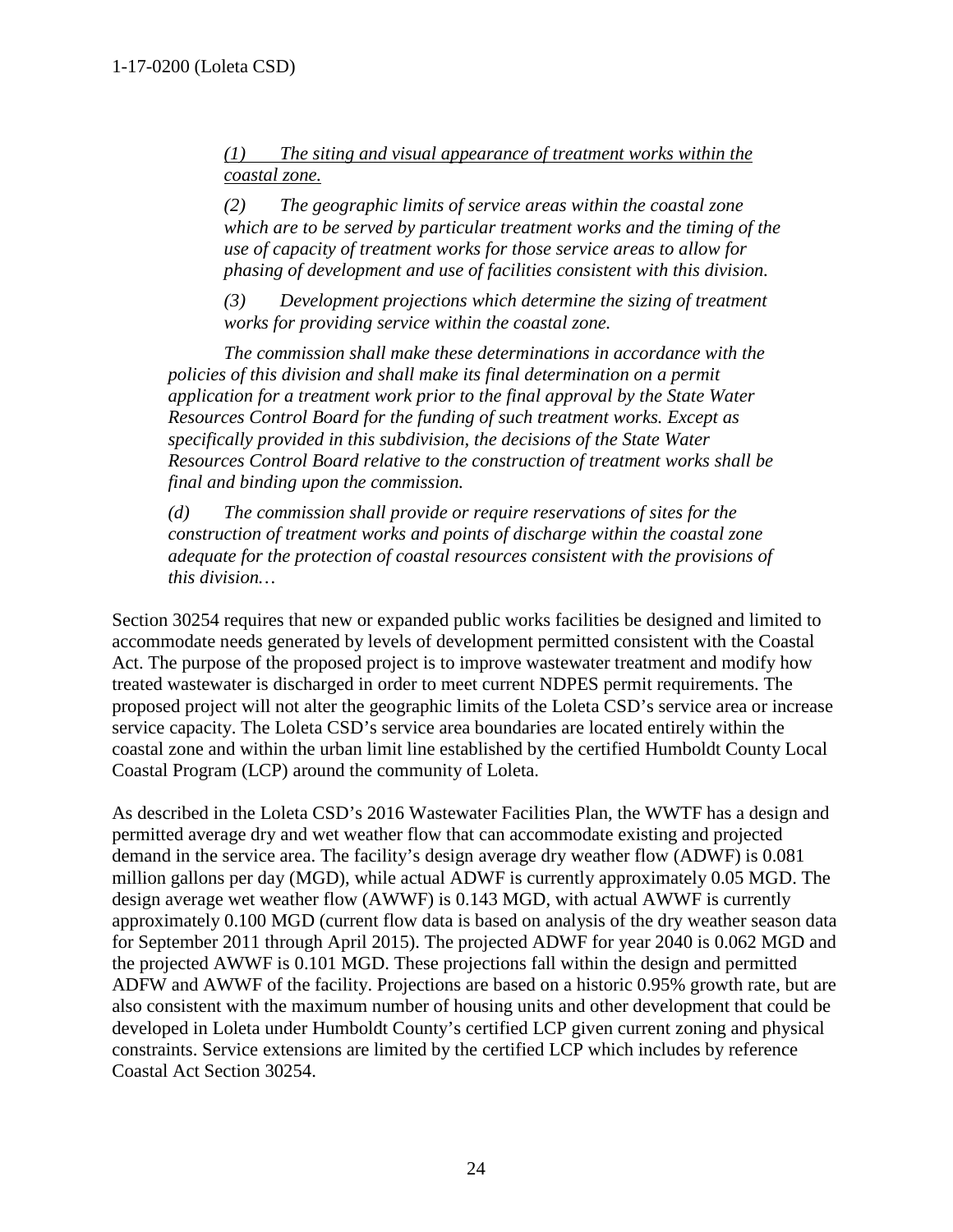*(1) The siting and visual appearance of treatment works within the coastal zone.* 

*(2) The geographic limits of service areas within the coastal zone which are to be served by particular treatment works and the timing of the use of capacity of treatment works for those service areas to allow for phasing of development and use of facilities consistent with this division.* 

*(3) Development projections which determine the sizing of treatment works for providing service within the coastal zone.* 

 *The commission shall make these determinations in accordance with the policies of this division and shall make its final determination on a permit application for a treatment work prior to the final approval by the State Water Resources Control Board for the funding of such treatment works. Except as specifically provided in this subdivision, the decisions of the State Water Resources Control Board relative to the construction of treatment works shall be final and binding upon the commission.* 

*(d) The commission shall provide or require reservations of sites for the construction of treatment works and points of discharge within the coastal zone adequate for the protection of coastal resources consistent with the provisions of this division…*

Section 30254 requires that new or expanded public works facilities be designed and limited to accommodate needs generated by levels of development permitted consistent with the Coastal Act. The purpose of the proposed project is to improve wastewater treatment and modify how treated wastewater is discharged in order to meet current NDPES permit requirements. The proposed project will not alter the geographic limits of the Loleta CSD's service area or increase service capacity. The Loleta CSD's service area boundaries are located entirely within the coastal zone and within the urban limit line established by the certified Humboldt County Local Coastal Program (LCP) around the community of Loleta.

As described in the Loleta CSD's 2016 Wastewater Facilities Plan, the WWTF has a design and permitted average dry and wet weather flow that can accommodate existing and projected demand in the service area. The facility's design average dry weather flow (ADWF) is 0.081 million gallons per day (MGD), while actual ADWF is currently approximately 0.05 MGD. The design average wet weather flow (AWWF) is 0.143 MGD, with actual AWWF is currently approximately 0.100 MGD (current flow data is based on analysis of the dry weather season data for September 2011 through April 2015). The projected ADWF for year 2040 is 0.062 MGD and the projected AWWF is 0.101 MGD. These projections fall within the design and permitted ADFW and AWWF of the facility. Projections are based on a historic 0.95% growth rate, but are also consistent with the maximum number of housing units and other development that could be developed in Loleta under Humboldt County's certified LCP given current zoning and physical constraints. Service extensions are limited by the certified LCP which includes by reference Coastal Act Section 30254.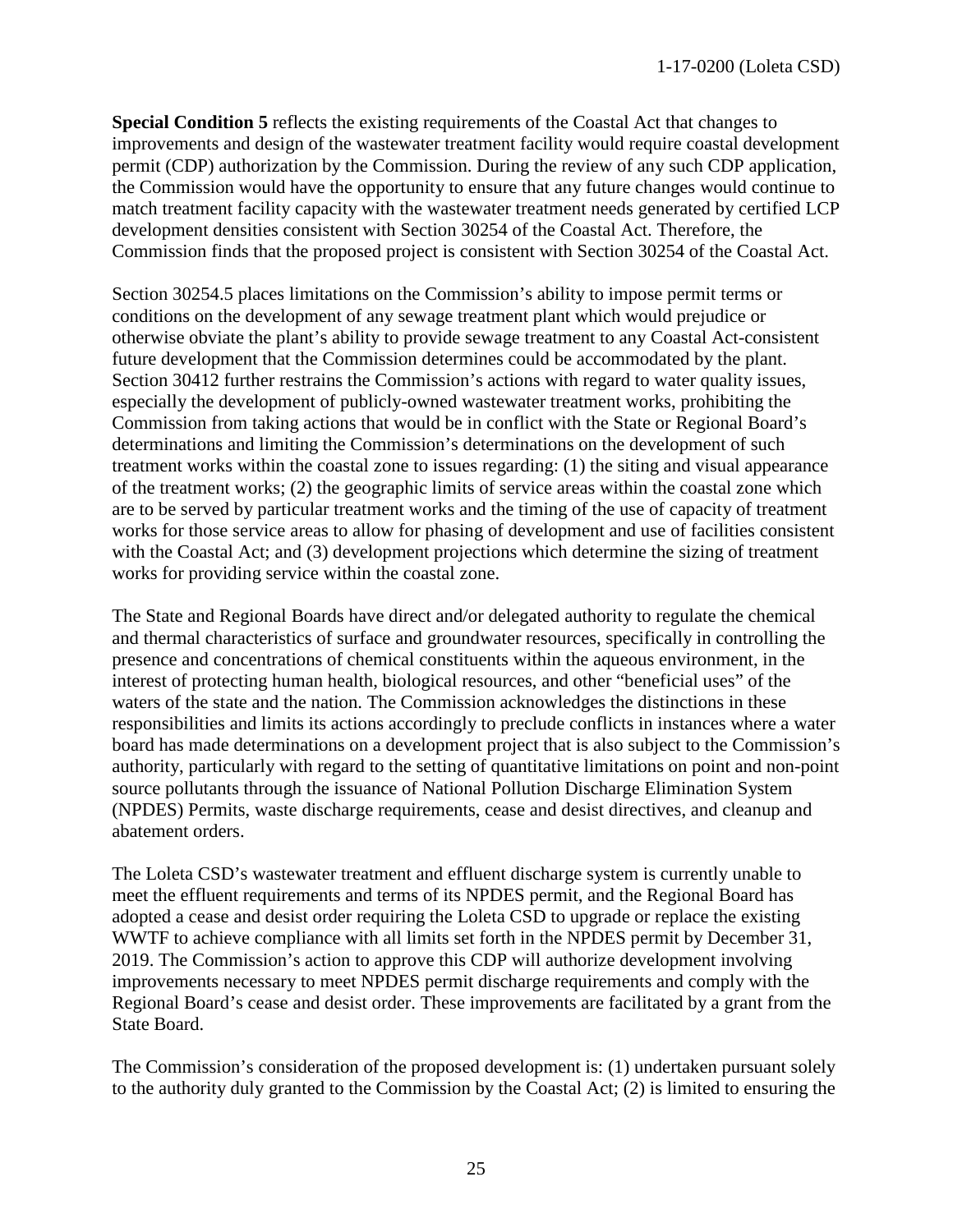**Special Condition 5** reflects the existing requirements of the Coastal Act that changes to improvements and design of the wastewater treatment facility would require coastal development permit (CDP) authorization by the Commission. During the review of any such CDP application, the Commission would have the opportunity to ensure that any future changes would continue to match treatment facility capacity with the wastewater treatment needs generated by certified LCP development densities consistent with Section 30254 of the Coastal Act. Therefore, the Commission finds that the proposed project is consistent with Section 30254 of the Coastal Act.

Section 30254.5 places limitations on the Commission's ability to impose permit terms or conditions on the development of any sewage treatment plant which would prejudice or otherwise obviate the plant's ability to provide sewage treatment to any Coastal Act-consistent future development that the Commission determines could be accommodated by the plant. Section 30412 further restrains the Commission's actions with regard to water quality issues, especially the development of publicly-owned wastewater treatment works, prohibiting the Commission from taking actions that would be in conflict with the State or Regional Board's determinations and limiting the Commission's determinations on the development of such treatment works within the coastal zone to issues regarding: (1) the siting and visual appearance of the treatment works; (2) the geographic limits of service areas within the coastal zone which are to be served by particular treatment works and the timing of the use of capacity of treatment works for those service areas to allow for phasing of development and use of facilities consistent with the Coastal Act; and (3) development projections which determine the sizing of treatment works for providing service within the coastal zone.

The State and Regional Boards have direct and/or delegated authority to regulate the chemical and thermal characteristics of surface and groundwater resources, specifically in controlling the presence and concentrations of chemical constituents within the aqueous environment, in the interest of protecting human health, biological resources, and other "beneficial uses" of the waters of the state and the nation. The Commission acknowledges the distinctions in these responsibilities and limits its actions accordingly to preclude conflicts in instances where a water board has made determinations on a development project that is also subject to the Commission's authority, particularly with regard to the setting of quantitative limitations on point and non-point source pollutants through the issuance of National Pollution Discharge Elimination System (NPDES) Permits, waste discharge requirements, cease and desist directives, and cleanup and abatement orders.

The Loleta CSD's wastewater treatment and effluent discharge system is currently unable to meet the effluent requirements and terms of its NPDES permit, and the Regional Board has adopted a cease and desist order requiring the Loleta CSD to upgrade or replace the existing WWTF to achieve compliance with all limits set forth in the NPDES permit by December 31, 2019. The Commission's action to approve this CDP will authorize development involving improvements necessary to meet NPDES permit discharge requirements and comply with the Regional Board's cease and desist order. These improvements are facilitated by a grant from the State Board.

The Commission's consideration of the proposed development is: (1) undertaken pursuant solely to the authority duly granted to the Commission by the Coastal Act; (2) is limited to ensuring the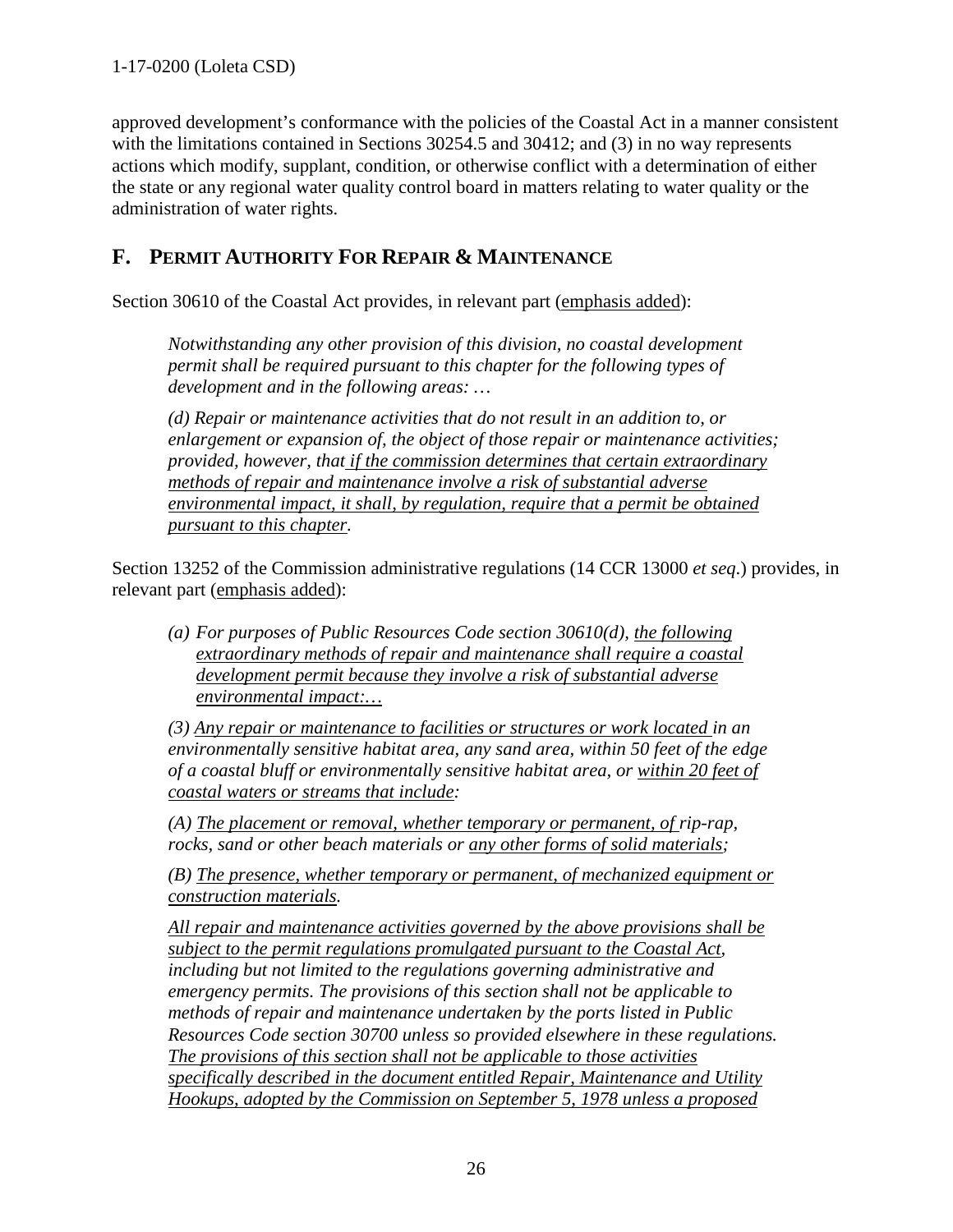approved development's conformance with the policies of the Coastal Act in a manner consistent with the limitations contained in Sections 30254.5 and 30412; and (3) in no way represents actions which modify, supplant, condition, or otherwise conflict with a determination of either the state or any regional water quality control board in matters relating to water quality or the administration of water rights.

# <span id="page-25-0"></span>**F. PERMIT AUTHORITY FOR REPAIR & MAINTENANCE**

Section 30610 of the Coastal Act provides, in relevant part (emphasis added):

*Notwithstanding any other provision of this division, no coastal development permit shall be required pursuant to this chapter for the following types of development and in the following areas: …* 

*(d) Repair or maintenance activities that do not result in an addition to, or enlargement or expansion of, the object of those repair or maintenance activities; provided, however, that if the commission determines that certain extraordinary methods of repair and maintenance involve a risk of substantial adverse environmental impact, it shall, by regulation, require that a permit be obtained pursuant to this chapter.*

Section 13252 of the Commission administrative regulations (14 CCR 13000 *et seq*.) provides, in relevant part (emphasis added):

*(a) For purposes of Public Resources Code section 30610(d), the following extraordinary methods of repair and maintenance shall require a coastal development permit because they involve a risk of substantial adverse environmental impact:…*

*(3) Any repair or maintenance to facilities or structures or work located in an environmentally sensitive habitat area, any sand area, within 50 feet of the edge of a coastal bluff or environmentally sensitive habitat area, or within 20 feet of coastal waters or streams that include:* 

*(A) The placement or removal, whether temporary or permanent, of rip-rap, rocks, sand or other beach materials or any other forms of solid materials;* 

*(B) The presence, whether temporary or permanent, of mechanized equipment or construction materials.* 

*All repair and maintenance activities governed by the above provisions shall be subject to the permit regulations promulgated pursuant to the Coastal Act, including but not limited to the regulations governing administrative and emergency permits. The provisions of this section shall not be applicable to methods of repair and maintenance undertaken by the ports listed in Public Resources Code section 30700 unless so provided elsewhere in these regulations. The provisions of this section shall not be applicable to those activities specifically described in the document entitled Repair, Maintenance and Utility Hookups, adopted by the Commission on September 5, 1978 unless a proposed*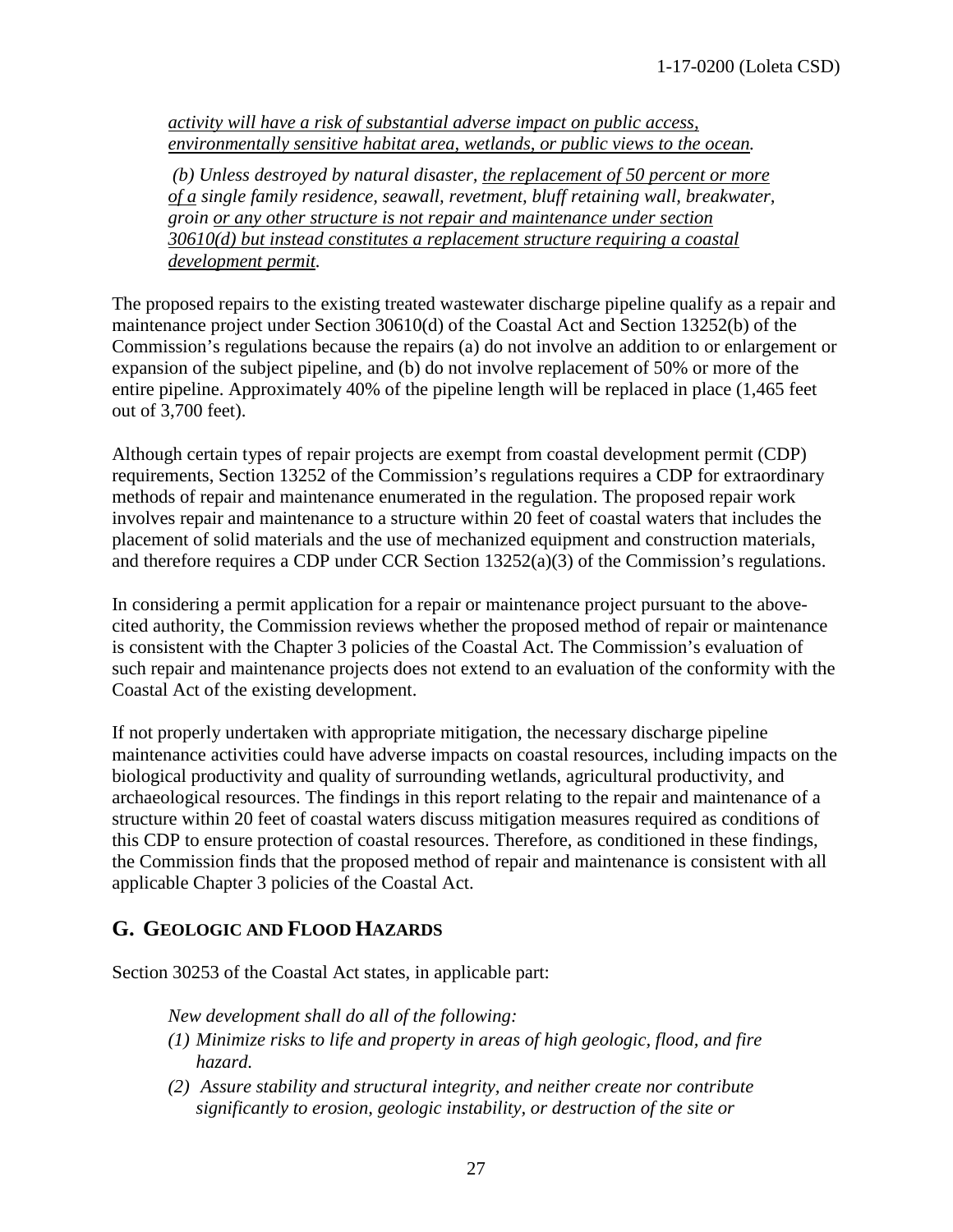*activity will have a risk of substantial adverse impact on public access, environmentally sensitive habitat area, wetlands, or public views to the ocean.* 

 *(b) Unless destroyed by natural disaster, the replacement of 50 percent or more of a single family residence, seawall, revetment, bluff retaining wall, breakwater, groin or any other structure is not repair and maintenance under section 30610(d) but instead constitutes a replacement structure requiring a coastal development permit.* 

The proposed repairs to the existing treated wastewater discharge pipeline qualify as a repair and maintenance project under Section 30610(d) of the Coastal Act and Section 13252(b) of the Commission's regulations because the repairs (a) do not involve an addition to or enlargement or expansion of the subject pipeline, and (b) do not involve replacement of 50% or more of the entire pipeline. Approximately 40% of the pipeline length will be replaced in place (1,465 feet out of 3,700 feet).

Although certain types of repair projects are exempt from coastal development permit (CDP) requirements, Section 13252 of the Commission's regulations requires a CDP for extraordinary methods of repair and maintenance enumerated in the regulation. The proposed repair work involves repair and maintenance to a structure within 20 feet of coastal waters that includes the placement of solid materials and the use of mechanized equipment and construction materials, and therefore requires a CDP under CCR Section 13252(a)(3) of the Commission's regulations.

In considering a permit application for a repair or maintenance project pursuant to the abovecited authority, the Commission reviews whether the proposed method of repair or maintenance is consistent with the Chapter 3 policies of the Coastal Act. The Commission's evaluation of such repair and maintenance projects does not extend to an evaluation of the conformity with the Coastal Act of the existing development.

If not properly undertaken with appropriate mitigation, the necessary discharge pipeline maintenance activities could have adverse impacts on coastal resources, including impacts on the biological productivity and quality of surrounding wetlands, agricultural productivity, and archaeological resources. The findings in this report relating to the repair and maintenance of a structure within 20 feet of coastal waters discuss mitigation measures required as conditions of this CDP to ensure protection of coastal resources. Therefore, as conditioned in these findings, the Commission finds that the proposed method of repair and maintenance is consistent with all applicable Chapter 3 policies of the Coastal Act.

## <span id="page-26-0"></span>**G. GEOLOGIC AND FLOOD HAZARDS**

Section 30253 of the Coastal Act states, in applicable part:

*New development shall do all of the following:* 

- *(1) Minimize risks to life and property in areas of high geologic, flood, and fire hazard.*
- *(2) Assure stability and structural integrity, and neither create nor contribute significantly to erosion, geologic instability, or destruction of the site or*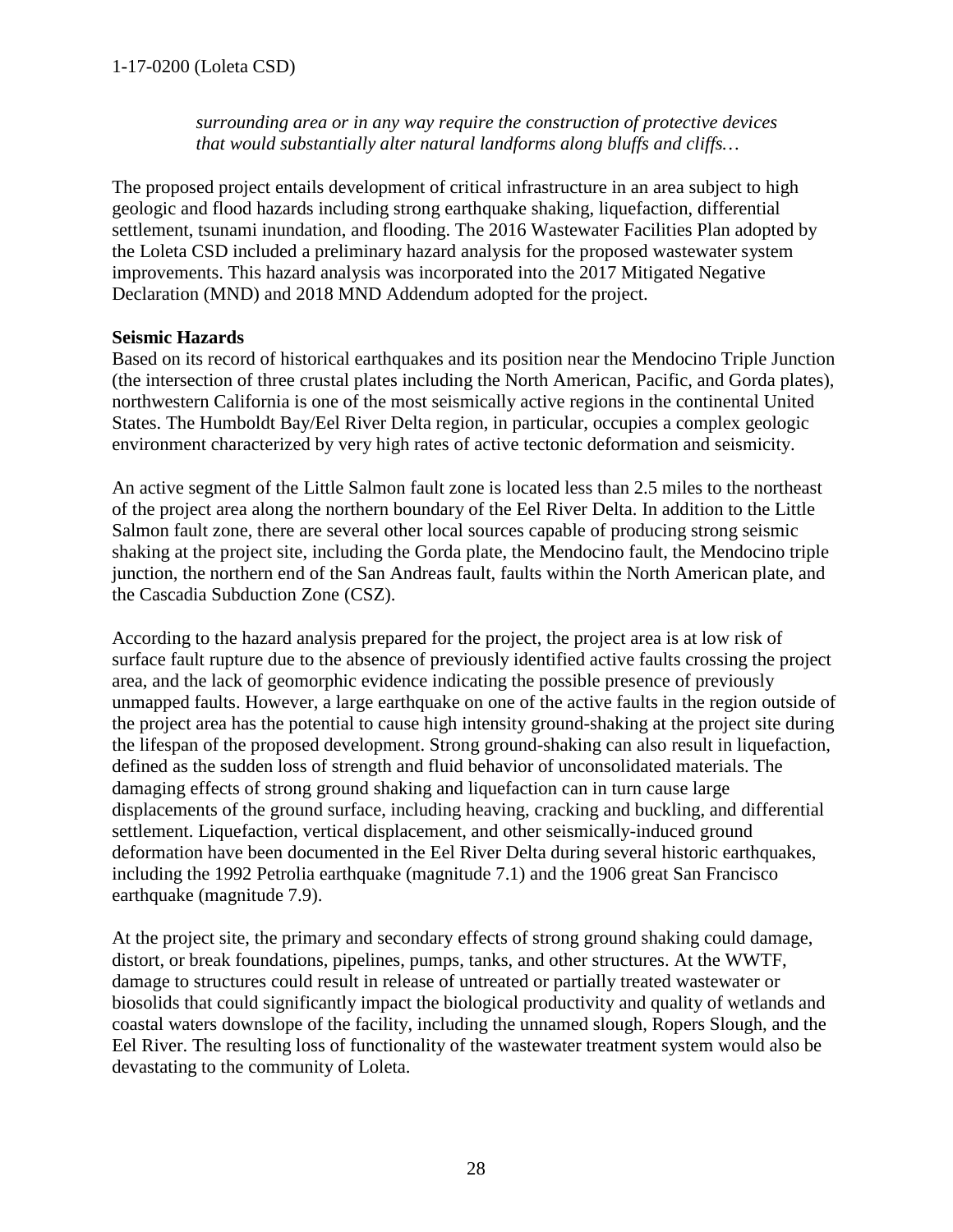*surrounding area or in any way require the construction of protective devices that would substantially alter natural landforms along bluffs and cliffs…* 

The proposed project entails development of critical infrastructure in an area subject to high geologic and flood hazards including strong earthquake shaking, liquefaction, differential settlement, tsunami inundation, and flooding. The 2016 Wastewater Facilities Plan adopted by the Loleta CSD included a preliminary hazard analysis for the proposed wastewater system improvements. This hazard analysis was incorporated into the 2017 Mitigated Negative Declaration (MND) and 2018 MND Addendum adopted for the project.

#### <span id="page-27-0"></span>**Seismic Hazards**

Based on its record of historical earthquakes and its position near the Mendocino Triple Junction (the intersection of three crustal plates including the North American, Pacific, and Gorda plates), northwestern California is one of the most seismically active regions in the continental United States. The Humboldt Bay/Eel River Delta region, in particular, occupies a complex geologic environment characterized by very high rates of active tectonic deformation and seismicity.

An active segment of the Little Salmon fault zone is located less than 2.5 miles to the northeast of the project area along the northern boundary of the Eel River Delta. In addition to the Little Salmon fault zone, there are several other local sources capable of producing strong seismic shaking at the project site, including the Gorda plate, the Mendocino fault, the Mendocino triple junction, the northern end of the San Andreas fault, faults within the North American plate, and the Cascadia Subduction Zone (CSZ).

According to the hazard analysis prepared for the project, the project area is at low risk of surface fault rupture due to the absence of previously identified active faults crossing the project area, and the lack of geomorphic evidence indicating the possible presence of previously unmapped faults. However, a large earthquake on one of the active faults in the region outside of the project area has the potential to cause high intensity ground-shaking at the project site during the lifespan of the proposed development. Strong ground-shaking can also result in liquefaction, defined as the sudden loss of strength and fluid behavior of unconsolidated materials. The damaging effects of strong ground shaking and liquefaction can in turn cause large displacements of the ground surface, including heaving, cracking and buckling, and differential settlement. Liquefaction, vertical displacement, and other seismically-induced ground deformation have been documented in the Eel River Delta during several historic earthquakes, including the 1992 Petrolia earthquake (magnitude 7.1) and the 1906 great San Francisco earthquake (magnitude 7.9).

At the project site, the primary and secondary effects of strong ground shaking could damage, distort, or break foundations, pipelines, pumps, tanks, and other structures. At the WWTF, damage to structures could result in release of untreated or partially treated wastewater or biosolids that could significantly impact the biological productivity and quality of wetlands and coastal waters downslope of the facility, including the unnamed slough, Ropers Slough, and the Eel River. The resulting loss of functionality of the wastewater treatment system would also be devastating to the community of Loleta.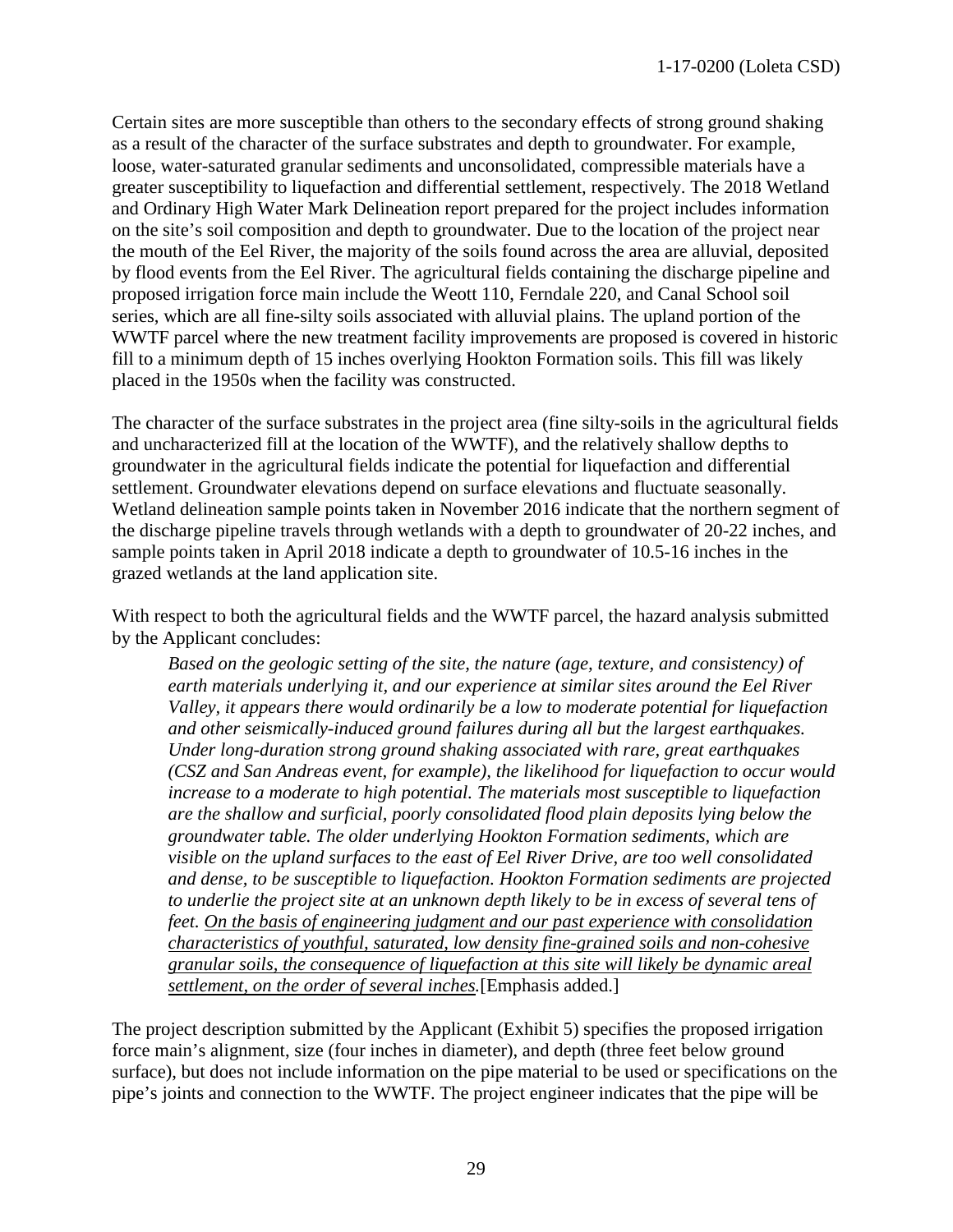Certain sites are more susceptible than others to the secondary effects of strong ground shaking as a result of the character of the surface substrates and depth to groundwater. For example, loose, water-saturated granular sediments and unconsolidated, compressible materials have a greater susceptibility to liquefaction and differential settlement, respectively. The 2018 Wetland and Ordinary High Water Mark Delineation report prepared for the project includes information on the site's soil composition and depth to groundwater. Due to the location of the project near the mouth of the Eel River, the majority of the soils found across the area are alluvial, deposited by flood events from the Eel River. The agricultural fields containing the discharge pipeline and proposed irrigation force main include the Weott 110, Ferndale 220, and Canal School soil series, which are all fine-silty soils associated with alluvial plains. The upland portion of the WWTF parcel where the new treatment facility improvements are proposed is covered in historic fill to a minimum depth of 15 inches overlying Hookton Formation soils. This fill was likely placed in the 1950s when the facility was constructed.

The character of the surface substrates in the project area (fine silty-soils in the agricultural fields and uncharacterized fill at the location of the WWTF), and the relatively shallow depths to groundwater in the agricultural fields indicate the potential for liquefaction and differential settlement. Groundwater elevations depend on surface elevations and fluctuate seasonally. Wetland delineation sample points taken in November 2016 indicate that the northern segment of the discharge pipeline travels through wetlands with a depth to groundwater of 20-22 inches, and sample points taken in April 2018 indicate a depth to groundwater of 10.5-16 inches in the grazed wetlands at the land application site.

With respect to both the agricultural fields and the WWTF parcel, the hazard analysis submitted by the Applicant concludes:

*Based on the geologic setting of the site, the nature (age, texture, and consistency) of earth materials underlying it, and our experience at similar sites around the Eel River Valley, it appears there would ordinarily be a low to moderate potential for liquefaction and other seismically-induced ground failures during all but the largest earthquakes. Under long-duration strong ground shaking associated with rare, great earthquakes (CSZ and San Andreas event, for example), the likelihood for liquefaction to occur would increase to a moderate to high potential. The materials most susceptible to liquefaction are the shallow and surficial, poorly consolidated flood plain deposits lying below the groundwater table. The older underlying Hookton Formation sediments, which are visible on the upland surfaces to the east of Eel River Drive, are too well consolidated and dense, to be susceptible to liquefaction. Hookton Formation sediments are projected*  to underlie the project site at an unknown depth likely to be in excess of several tens of *feet. On the basis of engineering judgment and our past experience with consolidation characteristics of youthful, saturated, low density fine-grained soils and non-cohesive granular soils, the consequence of liquefaction at this site will likely be dynamic areal settlement, on the order of several inches.*[Emphasis added.]

The project description submitted by the Applicant (Exhibit 5) specifies the proposed irrigation force main's alignment, size (four inches in diameter), and depth (three feet below ground surface), but does not include information on the pipe material to be used or specifications on the pipe's joints and connection to the WWTF. The project engineer indicates that the pipe will be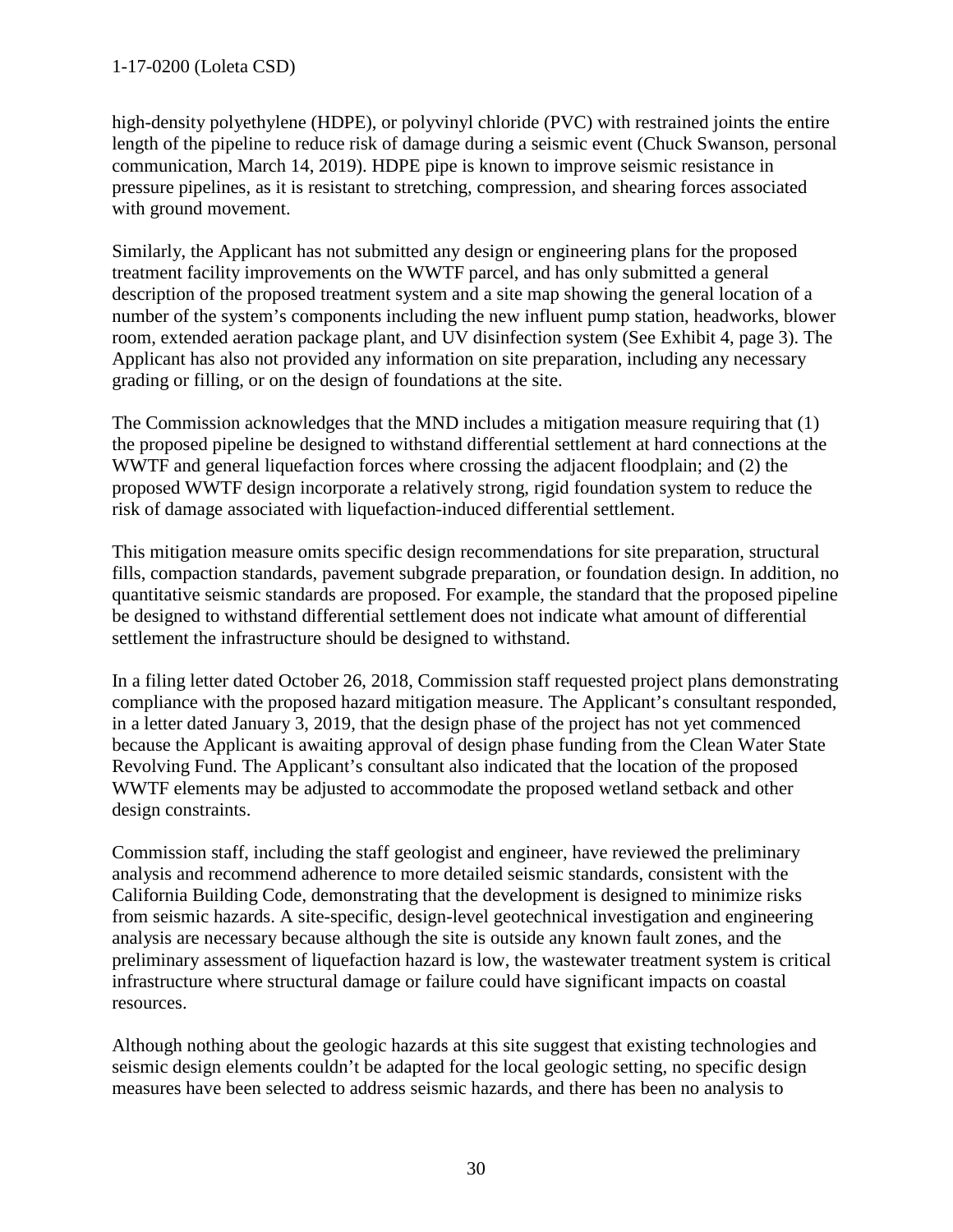## 1-17-0200 (Loleta CSD)

high-density polyethylene (HDPE), or polyvinyl chloride (PVC) with restrained joints the entire length of the pipeline to reduce risk of damage during a seismic event (Chuck Swanson, personal communication, March 14, 2019). HDPE pipe is known to improve seismic resistance in pressure pipelines, as it is resistant to stretching, compression, and shearing forces associated with ground movement.

Similarly, the Applicant has not submitted any design or engineering plans for the proposed treatment facility improvements on the WWTF parcel, and has only submitted a general description of the proposed treatment system and a site map showing the general location of a number of the system's components including the new influent pump station, headworks, blower room, extended aeration package plant, and UV disinfection system (See Exhibit 4, page 3). The Applicant has also not provided any information on site preparation, including any necessary grading or filling, or on the design of foundations at the site.

The Commission acknowledges that the MND includes a mitigation measure requiring that (1) the proposed pipeline be designed to withstand differential settlement at hard connections at the WWTF and general liquefaction forces where crossing the adjacent floodplain; and (2) the proposed WWTF design incorporate a relatively strong, rigid foundation system to reduce the risk of damage associated with liquefaction-induced differential settlement.

This mitigation measure omits specific design recommendations for site preparation, structural fills, compaction standards, pavement subgrade preparation, or foundation design. In addition, no quantitative seismic standards are proposed. For example, the standard that the proposed pipeline be designed to withstand differential settlement does not indicate what amount of differential settlement the infrastructure should be designed to withstand.

In a filing letter dated October 26, 2018, Commission staff requested project plans demonstrating compliance with the proposed hazard mitigation measure. The Applicant's consultant responded, in a letter dated January 3, 2019, that the design phase of the project has not yet commenced because the Applicant is awaiting approval of design phase funding from the Clean Water State Revolving Fund. The Applicant's consultant also indicated that the location of the proposed WWTF elements may be adjusted to accommodate the proposed wetland setback and other design constraints.

Commission staff, including the staff geologist and engineer, have reviewed the preliminary analysis and recommend adherence to more detailed seismic standards, consistent with the California Building Code, demonstrating that the development is designed to minimize risks from seismic hazards. A site-specific, design-level geotechnical investigation and engineering analysis are necessary because although the site is outside any known fault zones, and the preliminary assessment of liquefaction hazard is low, the wastewater treatment system is critical infrastructure where structural damage or failure could have significant impacts on coastal resources.

Although nothing about the geologic hazards at this site suggest that existing technologies and seismic design elements couldn't be adapted for the local geologic setting, no specific design measures have been selected to address seismic hazards, and there has been no analysis to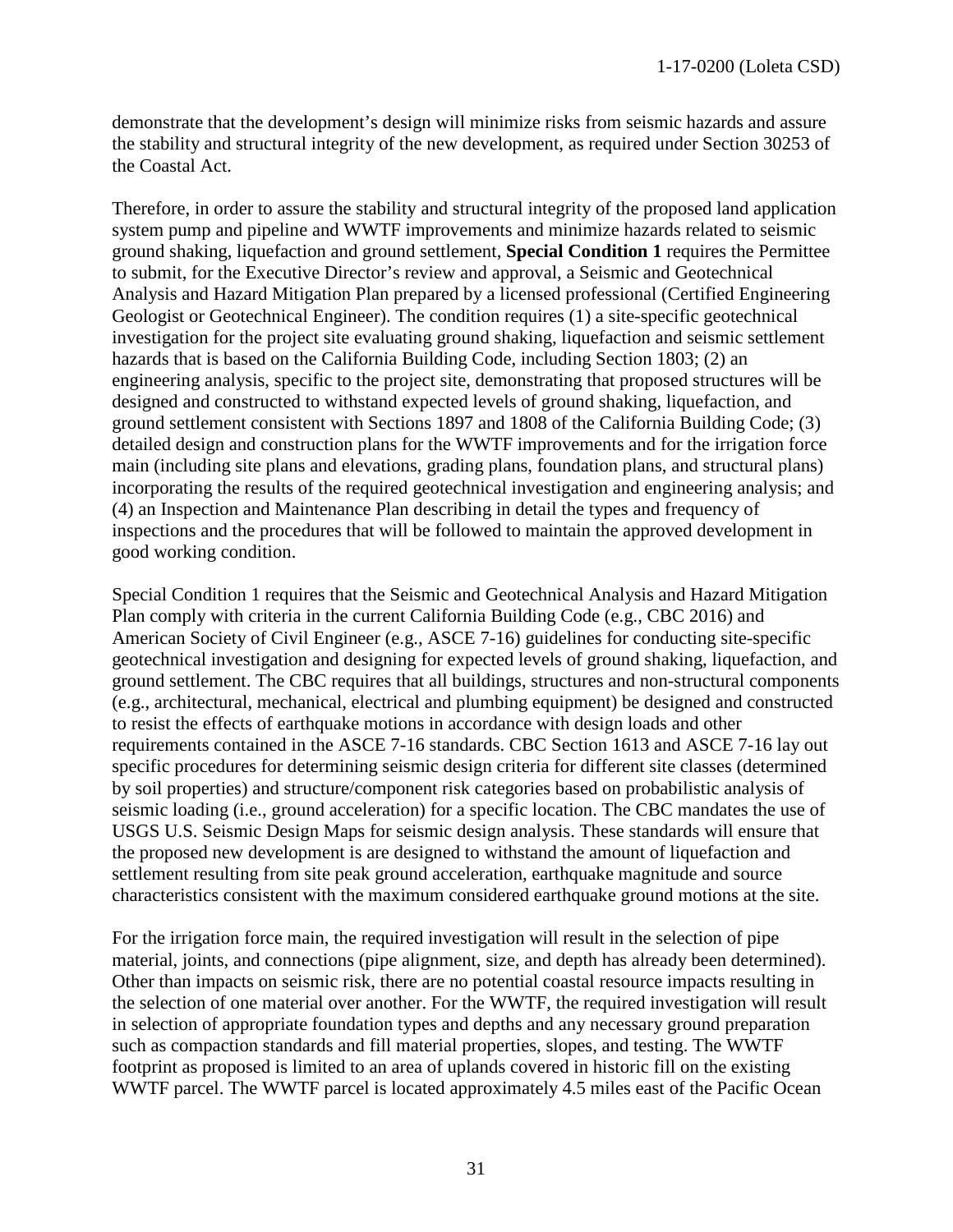demonstrate that the development's design will minimize risks from seismic hazards and assure the stability and structural integrity of the new development, as required under Section 30253 of the Coastal Act.

Therefore, in order to assure the stability and structural integrity of the proposed land application system pump and pipeline and WWTF improvements and minimize hazards related to seismic ground shaking, liquefaction and ground settlement, **Special Condition 1** requires the Permittee to submit, for the Executive Director's review and approval, a Seismic and Geotechnical Analysis and Hazard Mitigation Plan prepared by a licensed professional (Certified Engineering Geologist or Geotechnical Engineer). The condition requires (1) a site-specific geotechnical investigation for the project site evaluating ground shaking, liquefaction and seismic settlement hazards that is based on the California Building Code, including Section 1803; (2) an engineering analysis, specific to the project site, demonstrating that proposed structures will be designed and constructed to withstand expected levels of ground shaking, liquefaction, and ground settlement consistent with Sections 1897 and 1808 of the California Building Code; (3) detailed design and construction plans for the WWTF improvements and for the irrigation force main (including site plans and elevations, grading plans, foundation plans, and structural plans) incorporating the results of the required geotechnical investigation and engineering analysis; and (4) an Inspection and Maintenance Plan describing in detail the types and frequency of inspections and the procedures that will be followed to maintain the approved development in good working condition.

Special Condition 1 requires that the Seismic and Geotechnical Analysis and Hazard Mitigation Plan comply with criteria in the current California Building Code (e.g., CBC 2016) and American Society of Civil Engineer (e.g., ASCE 7-16) guidelines for conducting site-specific geotechnical investigation and designing for expected levels of ground shaking, liquefaction, and ground settlement. The CBC requires that all buildings, structures and non-structural components (e.g., architectural, mechanical, electrical and plumbing equipment) be designed and constructed to resist the effects of earthquake motions in accordance with design loads and other requirements contained in the ASCE 7-16 standards. CBC Section 1613 and ASCE 7-16 lay out specific procedures for determining seismic design criteria for different site classes (determined by soil properties) and structure/component risk categories based on probabilistic analysis of seismic loading (i.e., ground acceleration) for a specific location. The CBC mandates the use of USGS U.S. Seismic Design Maps for seismic design analysis. These standards will ensure that the proposed new development is are designed to withstand the amount of liquefaction and settlement resulting from site peak ground acceleration, earthquake magnitude and source characteristics consistent with the maximum considered earthquake ground motions at the site.

For the irrigation force main, the required investigation will result in the selection of pipe material, joints, and connections (pipe alignment, size, and depth has already been determined). Other than impacts on seismic risk, there are no potential coastal resource impacts resulting in the selection of one material over another. For the WWTF, the required investigation will result in selection of appropriate foundation types and depths and any necessary ground preparation such as compaction standards and fill material properties, slopes, and testing. The WWTF footprint as proposed is limited to an area of uplands covered in historic fill on the existing WWTF parcel. The WWTF parcel is located approximately 4.5 miles east of the Pacific Ocean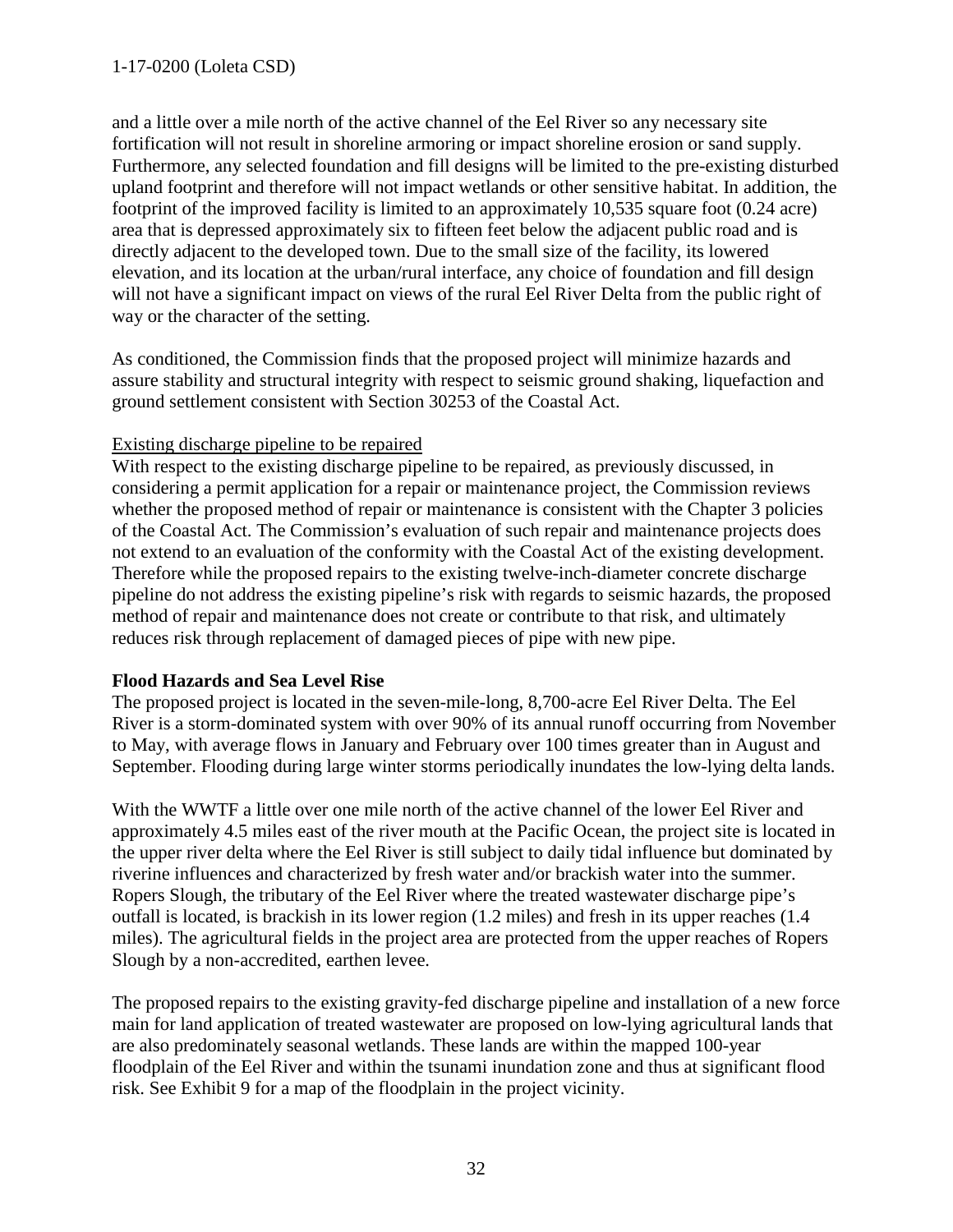and a little over a mile north of the active channel of the Eel River so any necessary site fortification will not result in shoreline armoring or impact shoreline erosion or sand supply. Furthermore, any selected foundation and fill designs will be limited to the pre-existing disturbed upland footprint and therefore will not impact wetlands or other sensitive habitat. In addition, the footprint of the improved facility is limited to an approximately 10,535 square foot (0.24 acre) area that is depressed approximately six to fifteen feet below the adjacent public road and is directly adjacent to the developed town. Due to the small size of the facility, its lowered elevation, and its location at the urban/rural interface, any choice of foundation and fill design will not have a significant impact on views of the rural Eel River Delta from the public right of way or the character of the setting.

As conditioned, the Commission finds that the proposed project will minimize hazards and assure stability and structural integrity with respect to seismic ground shaking, liquefaction and ground settlement consistent with Section 30253 of the Coastal Act.

#### Existing discharge pipeline to be repaired

With respect to the existing discharge pipeline to be repaired, as previously discussed, in considering a permit application for a repair or maintenance project, the Commission reviews whether the proposed method of repair or maintenance is consistent with the Chapter 3 policies of the Coastal Act. The Commission's evaluation of such repair and maintenance projects does not extend to an evaluation of the conformity with the Coastal Act of the existing development. Therefore while the proposed repairs to the existing twelve-inch-diameter concrete discharge pipeline do not address the existing pipeline's risk with regards to seismic hazards, the proposed method of repair and maintenance does not create or contribute to that risk, and ultimately reduces risk through replacement of damaged pieces of pipe with new pipe.

## <span id="page-31-0"></span>**Flood Hazards and Sea Level Rise**

The proposed project is located in the seven-mile-long, 8,700-acre Eel River Delta. The Eel River is a storm-dominated system with over 90% of its annual runoff occurring from November to May, with average flows in January and February over 100 times greater than in August and September. Flooding during large winter storms periodically inundates the low-lying delta lands.

With the WWTF a little over one mile north of the active channel of the lower Eel River and approximately 4.5 miles east of the river mouth at the Pacific Ocean, the project site is located in the upper river delta where the Eel River is still subject to daily tidal influence but dominated by riverine influences and characterized by fresh water and/or brackish water into the summer. Ropers Slough, the tributary of the Eel River where the treated wastewater discharge pipe's outfall is located, is brackish in its lower region (1.2 miles) and fresh in its upper reaches (1.4 miles). The agricultural fields in the project area are protected from the upper reaches of Ropers Slough by a non-accredited, earthen levee.

The proposed repairs to the existing gravity-fed discharge pipeline and installation of a new force main for land application of treated wastewater are proposed on low-lying agricultural lands that are also predominately seasonal wetlands. These lands are within the mapped 100-year floodplain of the Eel River and within the tsunami inundation zone and thus at significant flood risk. See Exhibit 9 for a map of the floodplain in the project vicinity.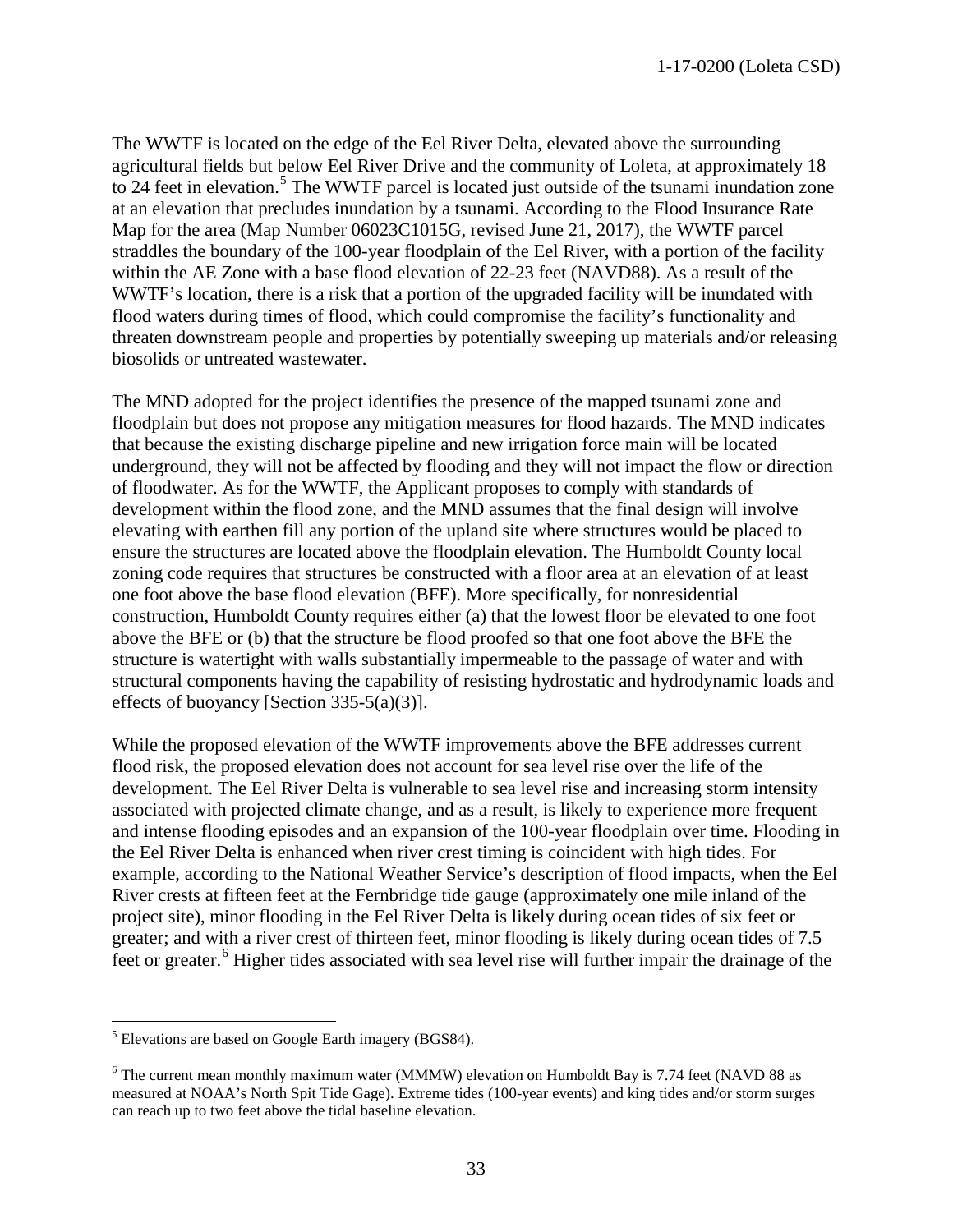The WWTF is located on the edge of the Eel River Delta, elevated above the surrounding agricultural fields but below Eel River Drive and the community of Loleta, at approximately 18 to 24 feet in elevation.<sup>[5](#page-32-0)</sup> The WWTF parcel is located just outside of the tsunami inundation zone at an elevation that precludes inundation by a tsunami. According to the Flood Insurance Rate Map for the area (Map Number 06023C1015G, revised June 21, 2017), the WWTF parcel straddles the boundary of the 100-year floodplain of the Eel River, with a portion of the facility within the AE Zone with a base flood elevation of 22-23 feet (NAVD88). As a result of the WWTF's location, there is a risk that a portion of the upgraded facility will be inundated with flood waters during times of flood, which could compromise the facility's functionality and threaten downstream people and properties by potentially sweeping up materials and/or releasing biosolids or untreated wastewater.

The MND adopted for the project identifies the presence of the mapped tsunami zone and floodplain but does not propose any mitigation measures for flood hazards. The MND indicates that because the existing discharge pipeline and new irrigation force main will be located underground, they will not be affected by flooding and they will not impact the flow or direction of floodwater. As for the WWTF, the Applicant proposes to comply with standards of development within the flood zone, and the MND assumes that the final design will involve elevating with earthen fill any portion of the upland site where structures would be placed to ensure the structures are located above the floodplain elevation. The Humboldt County local zoning code requires that structures be constructed with a floor area at an elevation of at least one foot above the base flood elevation (BFE). More specifically, for nonresidential construction, Humboldt County requires either (a) that the lowest floor be elevated to one foot above the BFE or (b) that the structure be flood proofed so that one foot above the BFE the structure is watertight with walls substantially impermeable to the passage of water and with structural components having the capability of resisting hydrostatic and hydrodynamic loads and effects of buoyancy [Section 335-5(a)(3)].

While the proposed elevation of the WWTF improvements above the BFE addresses current flood risk, the proposed elevation does not account for sea level rise over the life of the development. The Eel River Delta is vulnerable to sea level rise and increasing storm intensity associated with projected climate change, and as a result, is likely to experience more frequent and intense flooding episodes and an expansion of the 100-year floodplain over time. Flooding in the Eel River Delta is enhanced when river crest timing is coincident with high tides. For example, according to the National Weather Service's description of flood impacts, when the Eel River crests at fifteen feet at the Fernbridge tide gauge (approximately one mile inland of the project site), minor flooding in the Eel River Delta is likely during ocean tides of six feet or greater; and with a river crest of thirteen feet, minor flooding is likely during ocean tides of 7.5 feet or greater.<sup>[6](#page-32-1)</sup> Higher tides associated with sea level rise will further impair the drainage of the

<span id="page-32-0"></span> $\overline{a}$  $<sup>5</sup>$  Elevations are based on Google Earth imagery (BGS84).</sup>

<span id="page-32-1"></span> $6$  The current mean monthly maximum water (MMMW) elevation on Humboldt Bay is 7.74 feet (NAVD 88 as measured at NOAA's North Spit Tide Gage). Extreme tides (100-year events) and king tides and/or storm surges can reach up to two feet above the tidal baseline elevation.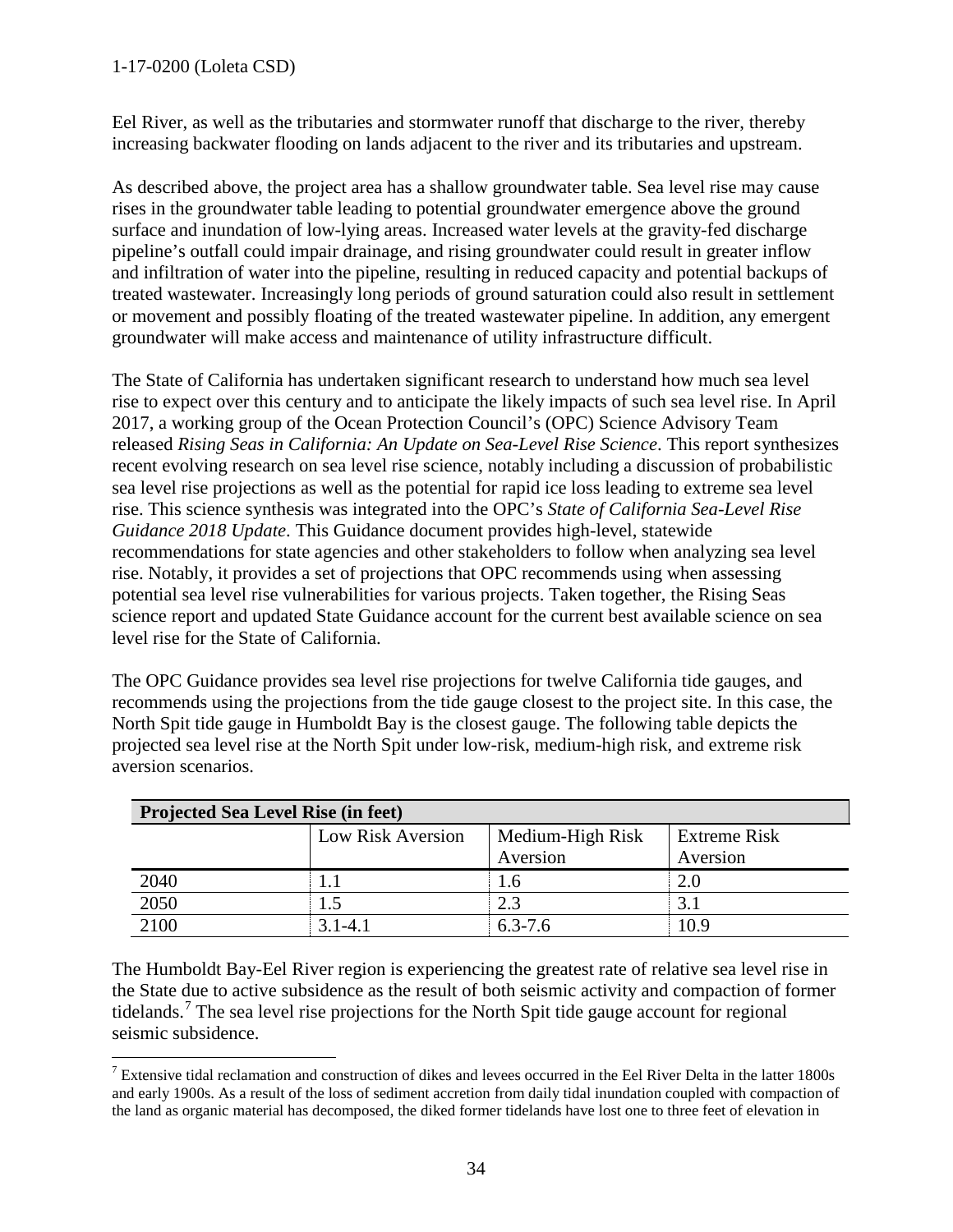## 1-17-0200 (Loleta CSD)

Eel River, as well as the tributaries and stormwater runoff that discharge to the river, thereby increasing backwater flooding on lands adjacent to the river and its tributaries and upstream.

As described above, the project area has a shallow groundwater table. Sea level rise may cause rises in the groundwater table leading to potential groundwater emergence above the ground surface and inundation of low-lying areas. Increased water levels at the gravity-fed discharge pipeline's outfall could impair drainage, and rising groundwater could result in greater inflow and infiltration of water into the pipeline, resulting in reduced capacity and potential backups of treated wastewater. Increasingly long periods of ground saturation could also result in settlement or movement and possibly floating of the treated wastewater pipeline. In addition, any emergent groundwater will make access and maintenance of utility infrastructure difficult.

The State of California has undertaken significant research to understand how much sea level rise to expect over this century and to anticipate the likely impacts of such sea level rise. In April 2017, a working group of the Ocean Protection Council's (OPC) Science Advisory Team released *Rising Seas in California: An Update on Sea-Level Rise Science*. This report synthesizes recent evolving research on sea level rise science, notably including a discussion of probabilistic sea level rise projections as well as the potential for rapid ice loss leading to extreme sea level rise. This science synthesis was integrated into the OPC's *State of California Sea-Level Rise Guidance 2018 Update*. This Guidance document provides high-level, statewide recommendations for state agencies and other stakeholders to follow when analyzing sea level rise. Notably, it provides a set of projections that OPC recommends using when assessing potential sea level rise vulnerabilities for various projects. Taken together, the Rising Seas science report and updated State Guidance account for the current best available science on sea level rise for the State of California.

The OPC Guidance provides sea level rise projections for twelve California tide gauges, and recommends using the projections from the tide gauge closest to the project site. In this case, the North Spit tide gauge in Humboldt Bay is the closest gauge. The following table depicts the projected sea level rise at the North Spit under low-risk, medium-high risk, and extreme risk aversion scenarios.

| <b>Projected Sea Level Rise (in feet)</b> |                          |                  |                     |  |  |  |
|-------------------------------------------|--------------------------|------------------|---------------------|--|--|--|
|                                           | <b>Low Risk Aversion</b> | Medium-High Risk | <b>Extreme Risk</b> |  |  |  |
|                                           |                          | Aversion         | Aversion            |  |  |  |
| 2040                                      |                          | 1.6              | 2.0                 |  |  |  |
| 2050                                      |                          | 2.3              |                     |  |  |  |
| 2100                                      | 3.1-4.1                  | $6.3 - 7.6$      | 10.9                |  |  |  |

The Humboldt Bay-Eel River region is experiencing the greatest rate of relative sea level rise in the State due to active subsidence as the result of both seismic activity and compaction of former tidelands.<sup>[7](#page-33-0)</sup> The sea level rise projections for the North Spit tide gauge account for regional seismic subsidence.

<span id="page-33-0"></span> $\overline{a}$ <sup>7</sup> Extensive tidal reclamation and construction of dikes and levees occurred in the Eel River Delta in the latter 1800s and early 1900s. As a result of the loss of sediment accretion from daily tidal inundation coupled with compaction of the land as organic material has decomposed, the diked former tidelands have lost one to three feet of elevation in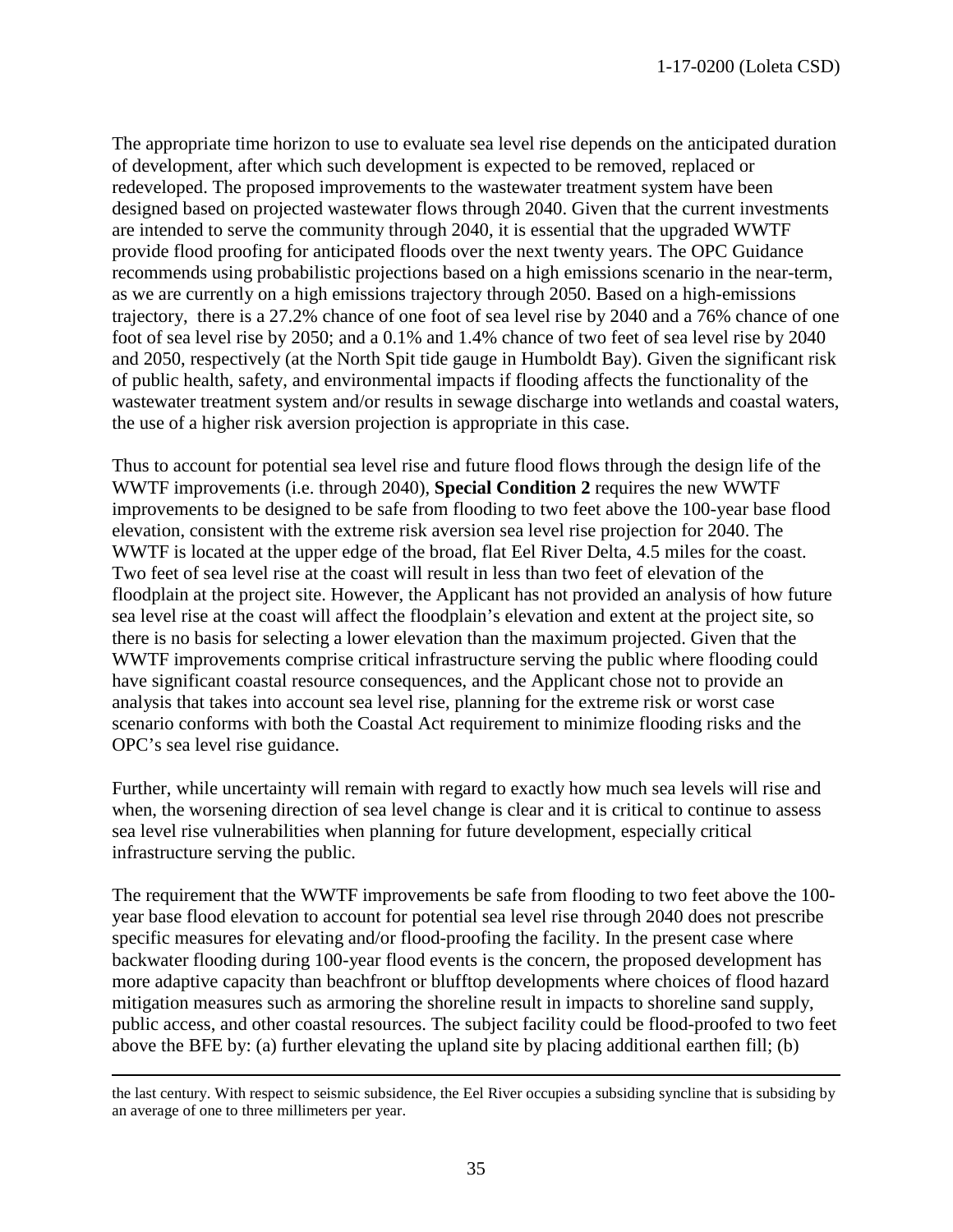The appropriate time horizon to use to evaluate sea level rise depends on the anticipated duration of development, after which such development is expected to be removed, replaced or redeveloped. The proposed improvements to the wastewater treatment system have been designed based on projected wastewater flows through 2040. Given that the current investments are intended to serve the community through 2040, it is essential that the upgraded WWTF provide flood proofing for anticipated floods over the next twenty years. The OPC Guidance recommends using probabilistic projections based on a high emissions scenario in the near-term, as we are currently on a high emissions trajectory through 2050. Based on a high-emissions trajectory, there is a 27.2% chance of one foot of sea level rise by 2040 and a 76% chance of one foot of sea level rise by 2050; and a 0.1% and 1.4% chance of two feet of sea level rise by 2040 and 2050, respectively (at the North Spit tide gauge in Humboldt Bay). Given the significant risk of public health, safety, and environmental impacts if flooding affects the functionality of the wastewater treatment system and/or results in sewage discharge into wetlands and coastal waters, the use of a higher risk aversion projection is appropriate in this case.

Thus to account for potential sea level rise and future flood flows through the design life of the WWTF improvements (i.e. through 2040), **Special Condition 2** requires the new WWTF improvements to be designed to be safe from flooding to two feet above the 100-year base flood elevation, consistent with the extreme risk aversion sea level rise projection for 2040. The WWTF is located at the upper edge of the broad, flat Eel River Delta, 4.5 miles for the coast. Two feet of sea level rise at the coast will result in less than two feet of elevation of the floodplain at the project site. However, the Applicant has not provided an analysis of how future sea level rise at the coast will affect the floodplain's elevation and extent at the project site, so there is no basis for selecting a lower elevation than the maximum projected. Given that the WWTF improvements comprise critical infrastructure serving the public where flooding could have significant coastal resource consequences, and the Applicant chose not to provide an analysis that takes into account sea level rise, planning for the extreme risk or worst case scenario conforms with both the Coastal Act requirement to minimize flooding risks and the OPC's sea level rise guidance.

Further, while uncertainty will remain with regard to exactly how much sea levels will rise and when, the worsening direction of sea level change is clear and it is critical to continue to assess sea level rise vulnerabilities when planning for future development, especially critical infrastructure serving the public.

The requirement that the WWTF improvements be safe from flooding to two feet above the 100 year base flood elevation to account for potential sea level rise through 2040 does not prescribe specific measures for elevating and/or flood-proofing the facility. In the present case where backwater flooding during 100-year flood events is the concern, the proposed development has more adaptive capacity than beachfront or blufftop developments where choices of flood hazard mitigation measures such as armoring the shoreline result in impacts to shoreline sand supply, public access, and other coastal resources. The subject facility could be flood-proofed to two feet above the BFE by: (a) further elevating the upland site by placing additional earthen fill; (b)

 $\overline{a}$ 

the last century. With respect to seismic subsidence, the Eel River occupies a subsiding syncline that is subsiding by an average of one to three millimeters per year.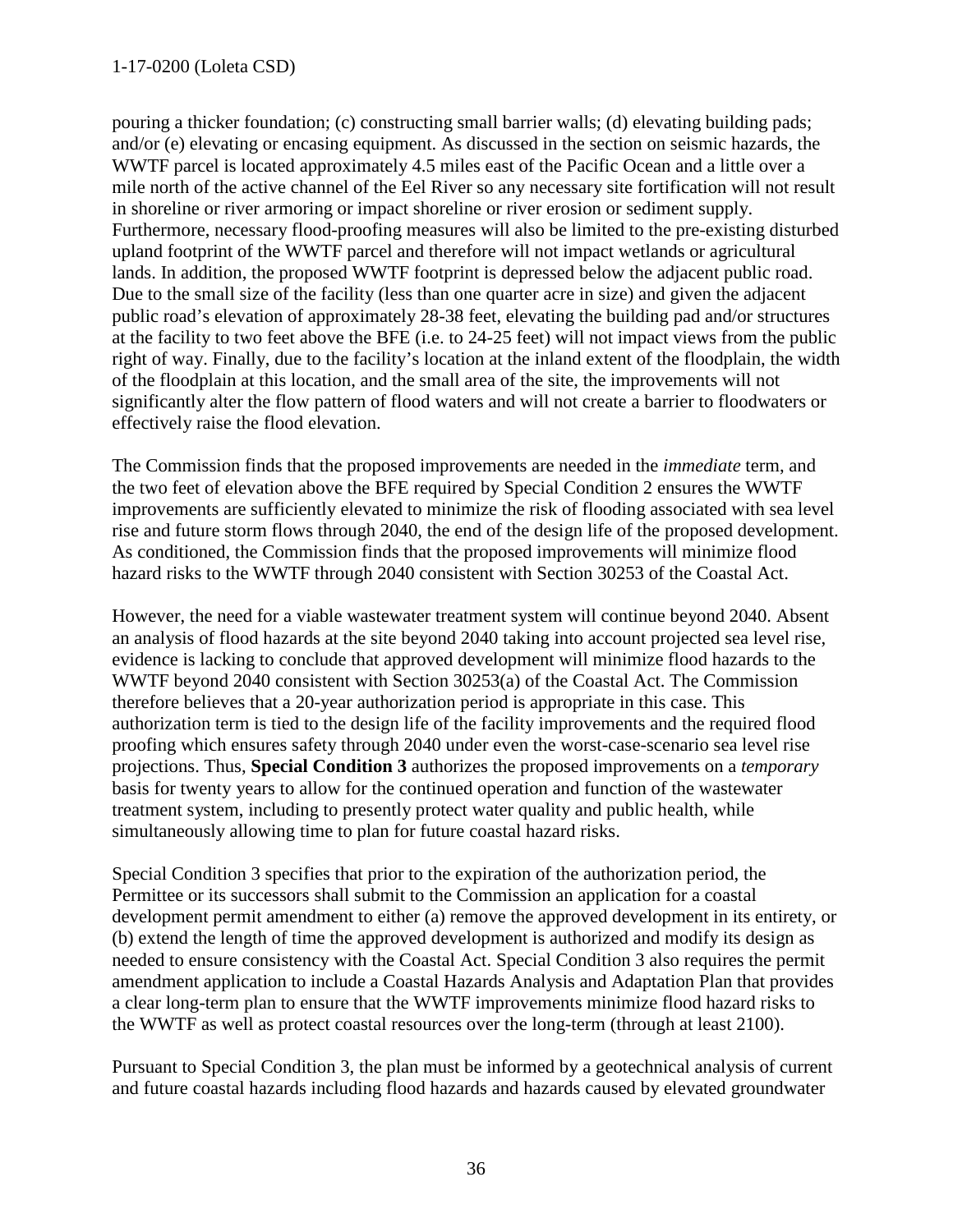#### 1-17-0200 (Loleta CSD)

pouring a thicker foundation; (c) constructing small barrier walls; (d) elevating building pads; and/or (e) elevating or encasing equipment. As discussed in the section on seismic hazards, the WWTF parcel is located approximately 4.5 miles east of the Pacific Ocean and a little over a mile north of the active channel of the Eel River so any necessary site fortification will not result in shoreline or river armoring or impact shoreline or river erosion or sediment supply. Furthermore, necessary flood-proofing measures will also be limited to the pre-existing disturbed upland footprint of the WWTF parcel and therefore will not impact wetlands or agricultural lands. In addition, the proposed WWTF footprint is depressed below the adjacent public road. Due to the small size of the facility (less than one quarter acre in size) and given the adjacent public road's elevation of approximately 28-38 feet, elevating the building pad and/or structures at the facility to two feet above the BFE (i.e. to 24-25 feet) will not impact views from the public right of way. Finally, due to the facility's location at the inland extent of the floodplain, the width of the floodplain at this location, and the small area of the site, the improvements will not significantly alter the flow pattern of flood waters and will not create a barrier to floodwaters or effectively raise the flood elevation.

The Commission finds that the proposed improvements are needed in the *immediate* term, and the two feet of elevation above the BFE required by Special Condition 2 ensures the WWTF improvements are sufficiently elevated to minimize the risk of flooding associated with sea level rise and future storm flows through 2040, the end of the design life of the proposed development. As conditioned, the Commission finds that the proposed improvements will minimize flood hazard risks to the WWTF through 2040 consistent with Section 30253 of the Coastal Act.

However, the need for a viable wastewater treatment system will continue beyond 2040. Absent an analysis of flood hazards at the site beyond 2040 taking into account projected sea level rise, evidence is lacking to conclude that approved development will minimize flood hazards to the WWTF beyond 2040 consistent with Section 30253(a) of the Coastal Act. The Commission therefore believes that a 20-year authorization period is appropriate in this case. This authorization term is tied to the design life of the facility improvements and the required flood proofing which ensures safety through 2040 under even the worst-case-scenario sea level rise projections. Thus, **Special Condition 3** authorizes the proposed improvements on a *temporary*  basis for twenty years to allow for the continued operation and function of the wastewater treatment system, including to presently protect water quality and public health, while simultaneously allowing time to plan for future coastal hazard risks.

Special Condition 3 specifies that prior to the expiration of the authorization period, the Permittee or its successors shall submit to the Commission an application for a coastal development permit amendment to either (a) remove the approved development in its entirety, or (b) extend the length of time the approved development is authorized and modify its design as needed to ensure consistency with the Coastal Act. Special Condition 3 also requires the permit amendment application to include a Coastal Hazards Analysis and Adaptation Plan that provides a clear long-term plan to ensure that the WWTF improvements minimize flood hazard risks to the WWTF as well as protect coastal resources over the long-term (through at least 2100).

Pursuant to Special Condition 3, the plan must be informed by a geotechnical analysis of current and future coastal hazards including flood hazards and hazards caused by elevated groundwater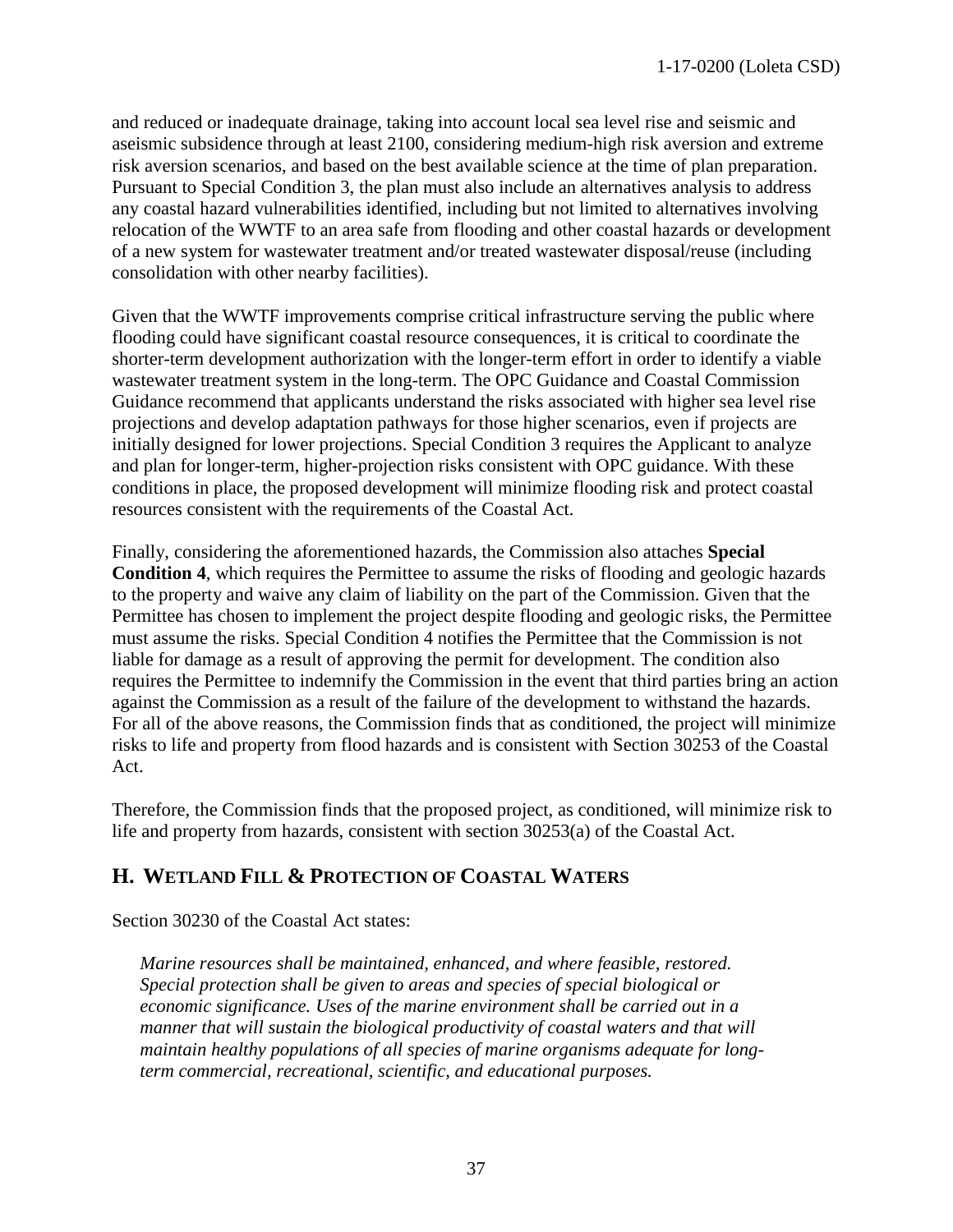and reduced or inadequate drainage, taking into account local sea level rise and seismic and aseismic subsidence through at least 2100, considering medium-high risk aversion and extreme risk aversion scenarios, and based on the best available science at the time of plan preparation. Pursuant to Special Condition 3, the plan must also include an alternatives analysis to address any coastal hazard vulnerabilities identified, including but not limited to alternatives involving relocation of the WWTF to an area safe from flooding and other coastal hazards or development of a new system for wastewater treatment and/or treated wastewater disposal/reuse (including consolidation with other nearby facilities).

Given that the WWTF improvements comprise critical infrastructure serving the public where flooding could have significant coastal resource consequences, it is critical to coordinate the shorter-term development authorization with the longer-term effort in order to identify a viable wastewater treatment system in the long-term. The OPC Guidance and Coastal Commission Guidance recommend that applicants understand the risks associated with higher sea level rise projections and develop adaptation pathways for those higher scenarios, even if projects are initially designed for lower projections. Special Condition 3 requires the Applicant to analyze and plan for longer-term, higher-projection risks consistent with OPC guidance. With these conditions in place, the proposed development will minimize flooding risk and protect coastal resources consistent with the requirements of the Coastal Act.

Finally, considering the aforementioned hazards, the Commission also attaches **Special Condition 4**, which requires the Permittee to assume the risks of flooding and geologic hazards to the property and waive any claim of liability on the part of the Commission. Given that the Permittee has chosen to implement the project despite flooding and geologic risks, the Permittee must assume the risks. Special Condition 4 notifies the Permittee that the Commission is not liable for damage as a result of approving the permit for development. The condition also requires the Permittee to indemnify the Commission in the event that third parties bring an action against the Commission as a result of the failure of the development to withstand the hazards. For all of the above reasons, the Commission finds that as conditioned, the project will minimize risks to life and property from flood hazards and is consistent with Section 30253 of the Coastal Act.

Therefore, the Commission finds that the proposed project, as conditioned, will minimize risk to life and property from hazards, consistent with section 30253(a) of the Coastal Act.

## <span id="page-36-0"></span>**H. WETLAND FILL & PROTECTION OF COASTAL WATERS**

Section 30230 of the Coastal Act states:

*Marine resources shall be maintained, enhanced, and where feasible, restored. Special protection shall be given to areas and species of special biological or economic significance. Uses of the marine environment shall be carried out in a manner that will sustain the biological productivity of coastal waters and that will maintain healthy populations of all species of marine organisms adequate for longterm commercial, recreational, scientific, and educational purposes.*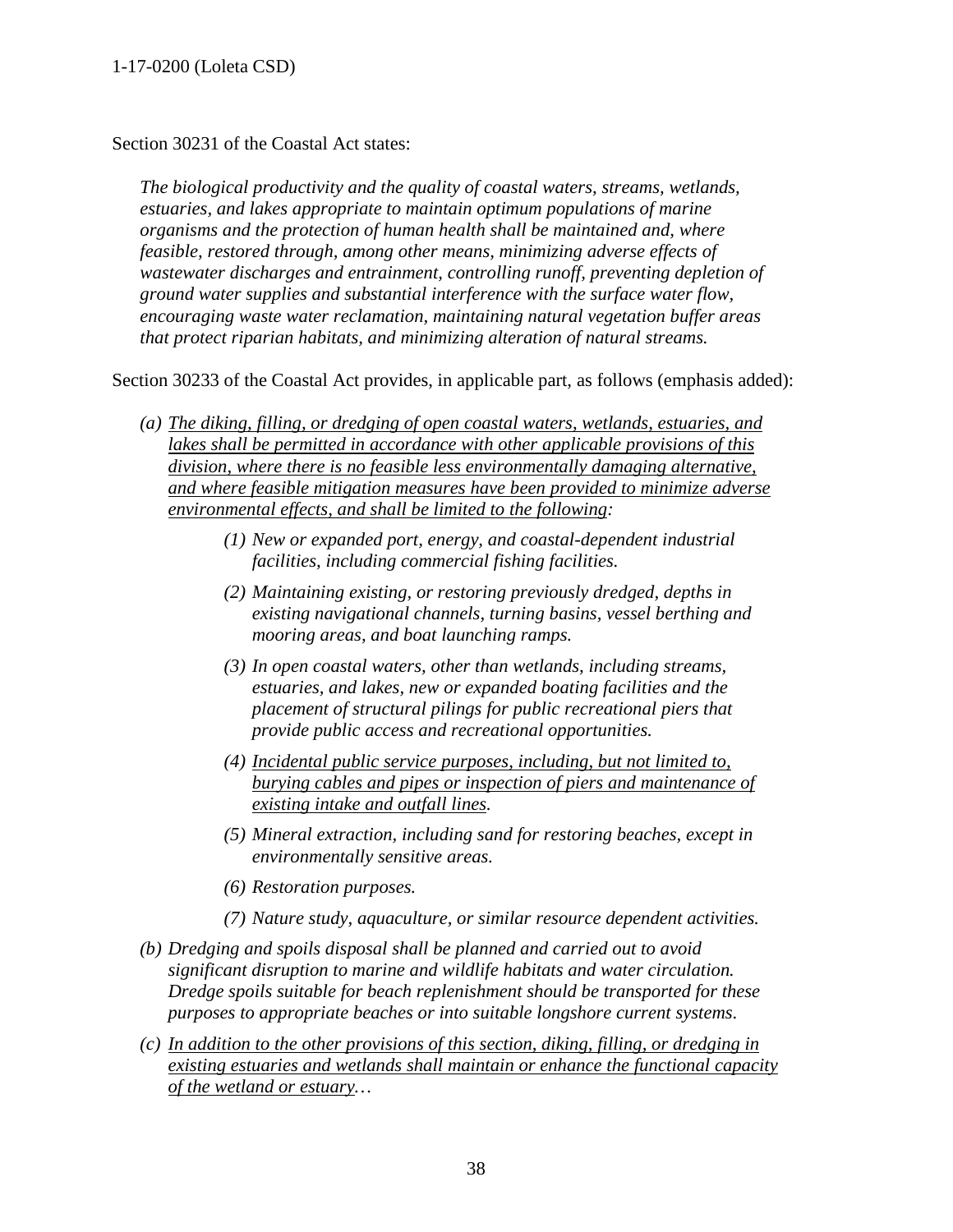Section 30231 of the Coastal Act states:

*The biological productivity and the quality of coastal waters, streams, wetlands, estuaries, and lakes appropriate to maintain optimum populations of marine organisms and the protection of human health shall be maintained and, where feasible, restored through, among other means, minimizing adverse effects of wastewater discharges and entrainment, controlling runoff, preventing depletion of ground water supplies and substantial interference with the surface water flow, encouraging waste water reclamation, maintaining natural vegetation buffer areas that protect riparian habitats, and minimizing alteration of natural streams.*

Section 30233 of the Coastal Act provides, in applicable part, as follows (emphasis added):

- *(a) The diking, filling, or dredging of open coastal waters, wetlands, estuaries, and lakes shall be permitted in accordance with other applicable provisions of this division, where there is no feasible less environmentally damaging alternative, and where feasible mitigation measures have been provided to minimize adverse environmental effects, and shall be limited to the following:* 
	- *(1) New or expanded port, energy, and coastal-dependent industrial facilities, including commercial fishing facilities.*
	- *(2) Maintaining existing, or restoring previously dredged, depths in existing navigational channels, turning basins, vessel berthing and mooring areas, and boat launching ramps.*
	- *(3) In open coastal waters, other than wetlands, including streams, estuaries, and lakes, new or expanded boating facilities and the placement of structural pilings for public recreational piers that provide public access and recreational opportunities.*
	- *(4) Incidental public service purposes, including, but not limited to, burying cables and pipes or inspection of piers and maintenance of existing intake and outfall lines.*
	- *(5) Mineral extraction, including sand for restoring beaches, except in environmentally sensitive areas.*
	- *(6) Restoration purposes.*
	- *(7) Nature study, aquaculture, or similar resource dependent activities.*
- *(b) Dredging and spoils disposal shall be planned and carried out to avoid significant disruption to marine and wildlife habitats and water circulation. Dredge spoils suitable for beach replenishment should be transported for these purposes to appropriate beaches or into suitable longshore current systems.*
- *(c) In addition to the other provisions of this section, diking, filling, or dredging in existing estuaries and wetlands shall maintain or enhance the functional capacity of the wetland or estuary…*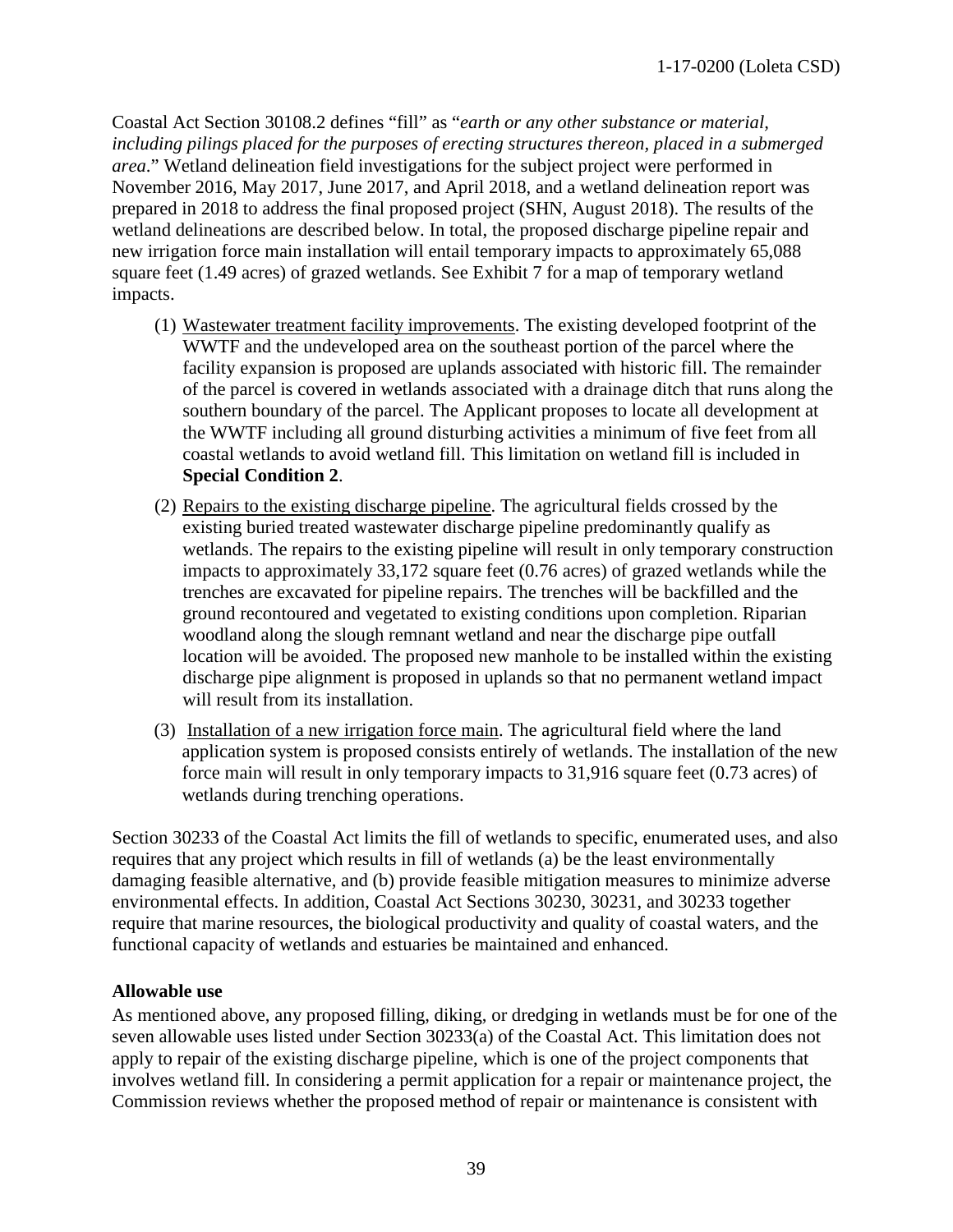Coastal Act Section 30108.2 defines "fill" as "*earth or any other substance or material, including pilings placed for the purposes of erecting structures thereon, placed in a submerged area*." Wetland delineation field investigations for the subject project were performed in November 2016, May 2017, June 2017, and April 2018, and a wetland delineation report was prepared in 2018 to address the final proposed project (SHN, August 2018). The results of the wetland delineations are described below. In total, the proposed discharge pipeline repair and new irrigation force main installation will entail temporary impacts to approximately 65,088 square feet (1.49 acres) of grazed wetlands. See Exhibit 7 for a map of temporary wetland impacts.

- (1) Wastewater treatment facility improvements. The existing developed footprint of the WWTF and the undeveloped area on the southeast portion of the parcel where the facility expansion is proposed are uplands associated with historic fill. The remainder of the parcel is covered in wetlands associated with a drainage ditch that runs along the southern boundary of the parcel. The Applicant proposes to locate all development at the WWTF including all ground disturbing activities a minimum of five feet from all coastal wetlands to avoid wetland fill. This limitation on wetland fill is included in **Special Condition 2**.
- (2) Repairs to the existing discharge pipeline. The agricultural fields crossed by the existing buried treated wastewater discharge pipeline predominantly qualify as wetlands. The repairs to the existing pipeline will result in only temporary construction impacts to approximately 33,172 square feet (0.76 acres) of grazed wetlands while the trenches are excavated for pipeline repairs. The trenches will be backfilled and the ground recontoured and vegetated to existing conditions upon completion. Riparian woodland along the slough remnant wetland and near the discharge pipe outfall location will be avoided. The proposed new manhole to be installed within the existing discharge pipe alignment is proposed in uplands so that no permanent wetland impact will result from its installation.
- (3) Installation of a new irrigation force main. The agricultural field where the land application system is proposed consists entirely of wetlands. The installation of the new force main will result in only temporary impacts to 31,916 square feet (0.73 acres) of wetlands during trenching operations.

Section 30233 of the Coastal Act limits the fill of wetlands to specific, enumerated uses, and also requires that any project which results in fill of wetlands (a) be the least environmentally damaging feasible alternative, and (b) provide feasible mitigation measures to minimize adverse environmental effects. In addition, Coastal Act Sections 30230, 30231, and 30233 together require that marine resources, the biological productivity and quality of coastal waters, and the functional capacity of wetlands and estuaries be maintained and enhanced.

#### <span id="page-38-0"></span>**Allowable use**

As mentioned above, any proposed filling, diking, or dredging in wetlands must be for one of the seven allowable uses listed under Section 30233(a) of the Coastal Act. This limitation does not apply to repair of the existing discharge pipeline, which is one of the project components that involves wetland fill. In considering a permit application for a repair or maintenance project, the Commission reviews whether the proposed method of repair or maintenance is consistent with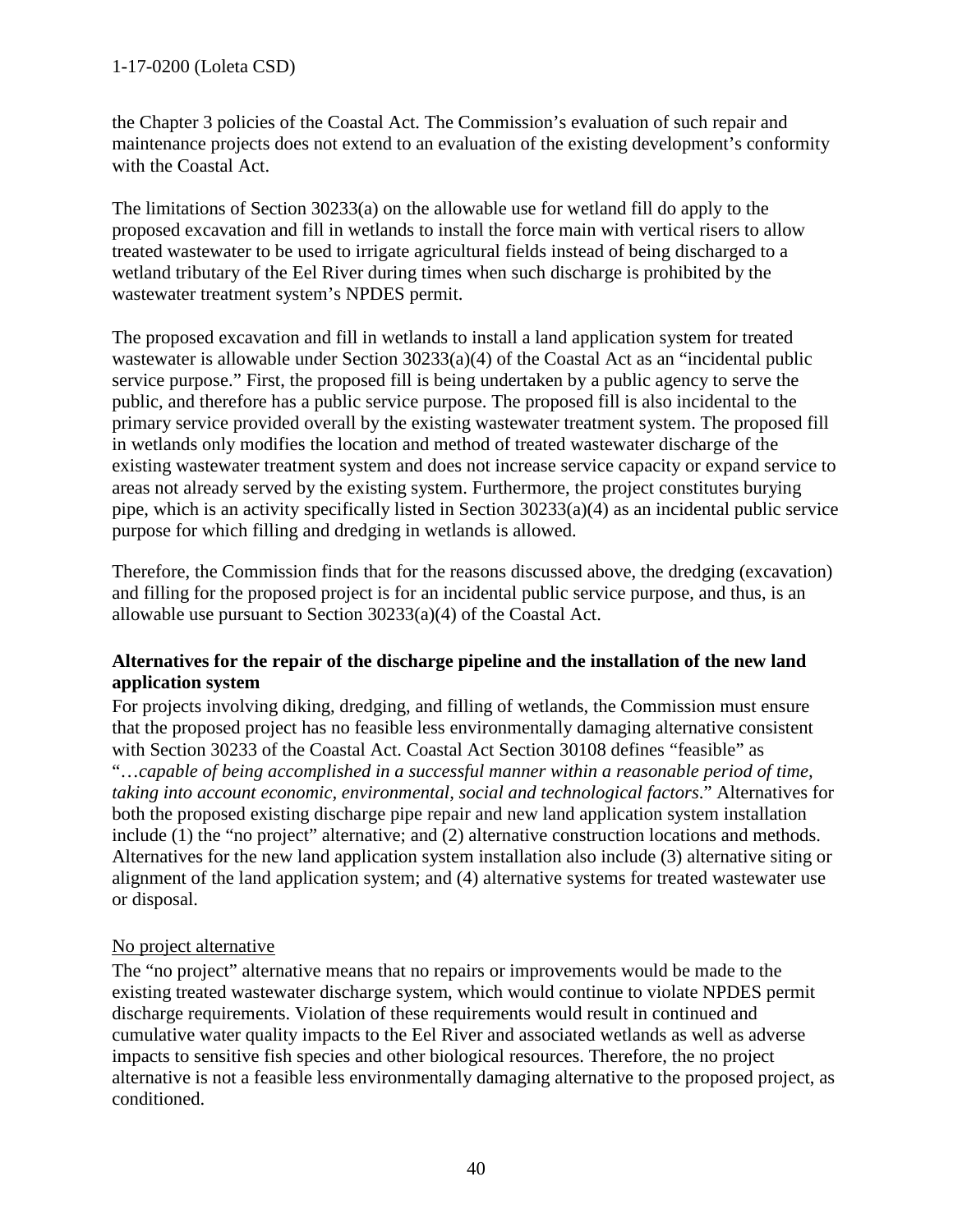the Chapter 3 policies of the Coastal Act. The Commission's evaluation of such repair and maintenance projects does not extend to an evaluation of the existing development's conformity with the Coastal Act.

The limitations of Section 30233(a) on the allowable use for wetland fill do apply to the proposed excavation and fill in wetlands to install the force main with vertical risers to allow treated wastewater to be used to irrigate agricultural fields instead of being discharged to a wetland tributary of the Eel River during times when such discharge is prohibited by the wastewater treatment system's NPDES permit.

The proposed excavation and fill in wetlands to install a land application system for treated wastewater is allowable under Section 30233(a)(4) of the Coastal Act as an "incidental public service purpose." First, the proposed fill is being undertaken by a public agency to serve the public, and therefore has a public service purpose. The proposed fill is also incidental to the primary service provided overall by the existing wastewater treatment system. The proposed fill in wetlands only modifies the location and method of treated wastewater discharge of the existing wastewater treatment system and does not increase service capacity or expand service to areas not already served by the existing system. Furthermore, the project constitutes burying pipe, which is an activity specifically listed in Section 30233(a)(4) as an incidental public service purpose for which filling and dredging in wetlands is allowed.

Therefore, the Commission finds that for the reasons discussed above, the dredging (excavation) and filling for the proposed project is for an incidental public service purpose, and thus, is an allowable use pursuant to Section 30233(a)(4) of the Coastal Act.

## <span id="page-39-0"></span>**Alternatives for the repair of the discharge pipeline and the installation of the new land application system**

For projects involving diking, dredging, and filling of wetlands, the Commission must ensure that the proposed project has no feasible less environmentally damaging alternative consistent with Section 30233 of the Coastal Act. Coastal Act Section 30108 defines "feasible" as "…*capable of being accomplished in a successful manner within a reasonable period of time, taking into account economic, environmental, social and technological factors*." Alternatives for both the proposed existing discharge pipe repair and new land application system installation include (1) the "no project" alternative; and (2) alternative construction locations and methods. Alternatives for the new land application system installation also include (3) alternative siting or alignment of the land application system; and (4) alternative systems for treated wastewater use or disposal.

## No project alternative

The "no project" alternative means that no repairs or improvements would be made to the existing treated wastewater discharge system, which would continue to violate NPDES permit discharge requirements. Violation of these requirements would result in continued and cumulative water quality impacts to the Eel River and associated wetlands as well as adverse impacts to sensitive fish species and other biological resources. Therefore, the no project alternative is not a feasible less environmentally damaging alternative to the proposed project, as conditioned.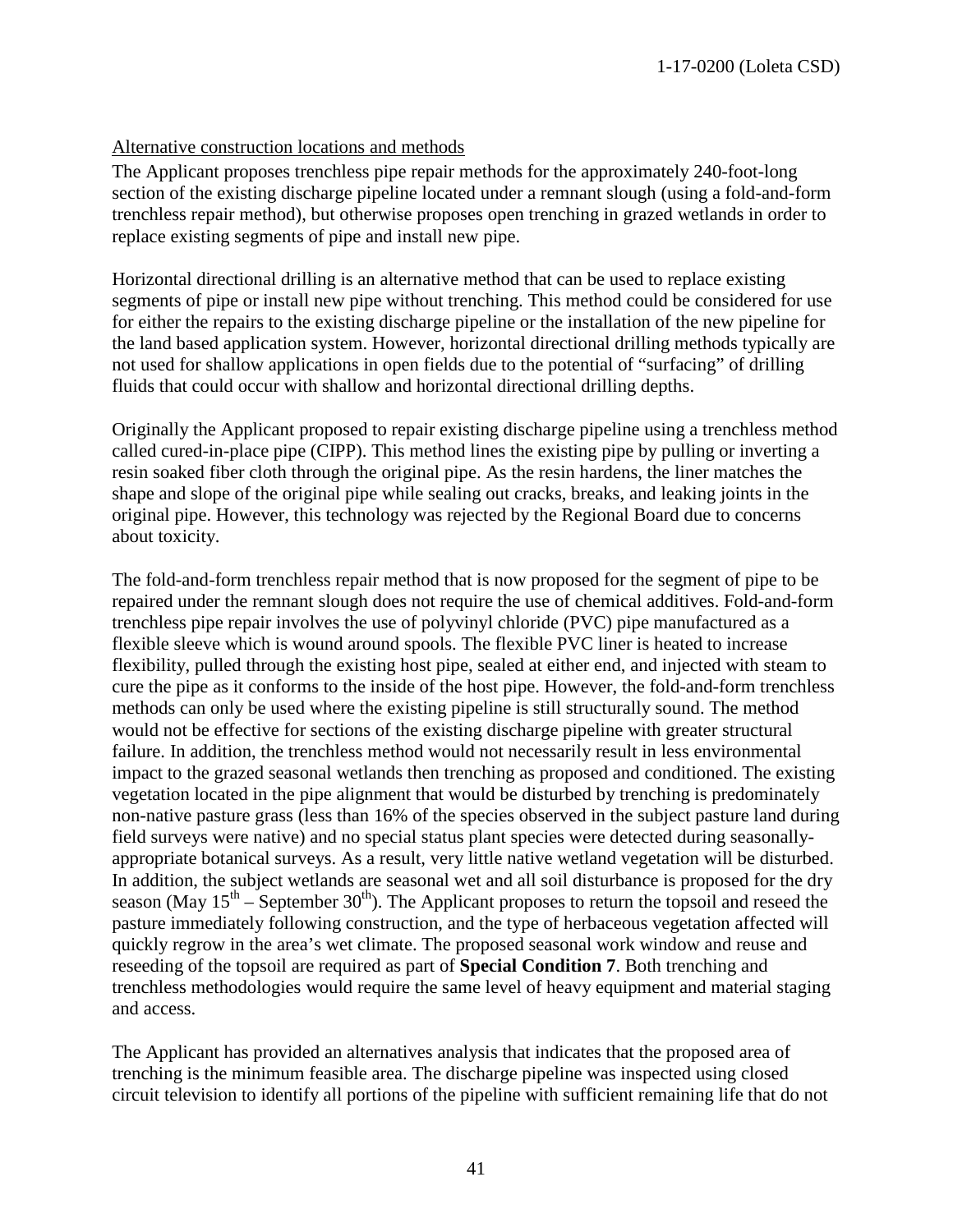## Alternative construction locations and methods

The Applicant proposes trenchless pipe repair methods for the approximately 240-foot-long section of the existing discharge pipeline located under a remnant slough (using a fold-and-form trenchless repair method), but otherwise proposes open trenching in grazed wetlands in order to replace existing segments of pipe and install new pipe.

Horizontal directional drilling is an alternative method that can be used to replace existing segments of pipe or install new pipe without trenching. This method could be considered for use for either the repairs to the existing discharge pipeline or the installation of the new pipeline for the land based application system. However, horizontal directional drilling methods typically are not used for shallow applications in open fields due to the potential of "surfacing" of drilling fluids that could occur with shallow and horizontal directional drilling depths.

Originally the Applicant proposed to repair existing discharge pipeline using a trenchless method called cured-in-place pipe (CIPP). This method lines the existing pipe by pulling or inverting a resin soaked fiber cloth through the original pipe. As the resin hardens, the liner matches the shape and slope of the original pipe while sealing out cracks, breaks, and leaking joints in the original pipe. However, this technology was rejected by the Regional Board due to concerns about toxicity.

The fold-and-form trenchless repair method that is now proposed for the segment of pipe to be repaired under the remnant slough does not require the use of chemical additives. Fold-and-form trenchless pipe repair involves the use of polyvinyl chloride (PVC) pipe manufactured as a flexible sleeve which is wound around spools. The flexible PVC liner is heated to increase flexibility, pulled through the existing host pipe, sealed at either end, and injected with steam to cure the pipe as it conforms to the inside of the host pipe. However, the fold-and-form trenchless methods can only be used where the existing pipeline is still structurally sound. The method would not be effective for sections of the existing discharge pipeline with greater structural failure. In addition, the trenchless method would not necessarily result in less environmental impact to the grazed seasonal wetlands then trenching as proposed and conditioned. The existing vegetation located in the pipe alignment that would be disturbed by trenching is predominately non-native pasture grass (less than 16% of the species observed in the subject pasture land during field surveys were native) and no special status plant species were detected during seasonallyappropriate botanical surveys. As a result, very little native wetland vegetation will be disturbed. In addition, the subject wetlands are seasonal wet and all soil disturbance is proposed for the dry season (May  $15^{th}$  – September 30<sup>th</sup>). The Applicant proposes to return the topsoil and reseed the pasture immediately following construction, and the type of herbaceous vegetation affected will quickly regrow in the area's wet climate. The proposed seasonal work window and reuse and reseeding of the topsoil are required as part of **Special Condition 7**. Both trenching and trenchless methodologies would require the same level of heavy equipment and material staging and access.

The Applicant has provided an alternatives analysis that indicates that the proposed area of trenching is the minimum feasible area. The discharge pipeline was inspected using closed circuit television to identify all portions of the pipeline with sufficient remaining life that do not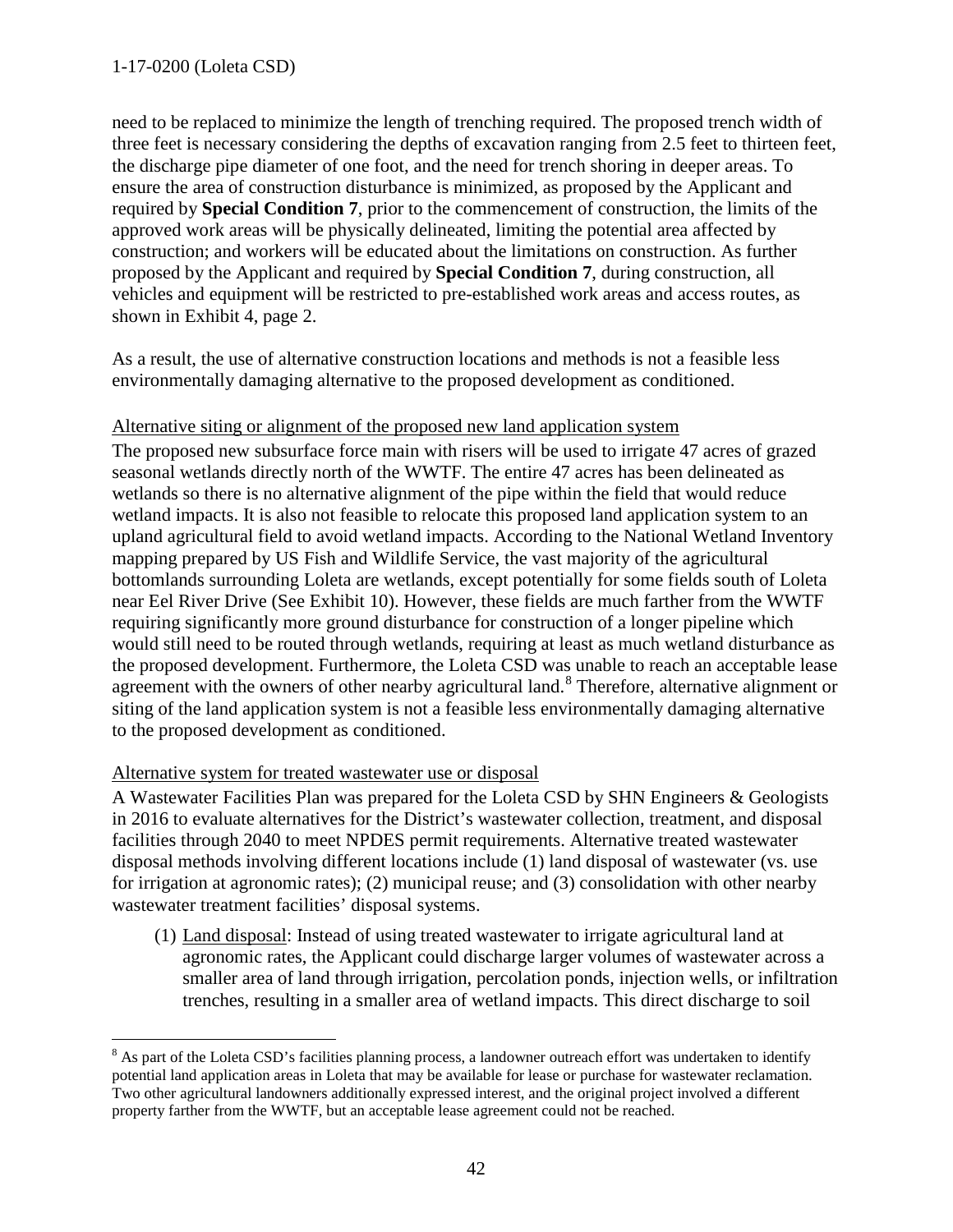need to be replaced to minimize the length of trenching required. The proposed trench width of three feet is necessary considering the depths of excavation ranging from 2.5 feet to thirteen feet, the discharge pipe diameter of one foot, and the need for trench shoring in deeper areas. To ensure the area of construction disturbance is minimized, as proposed by the Applicant and required by **Special Condition 7**, prior to the commencement of construction, the limits of the approved work areas will be physically delineated, limiting the potential area affected by construction; and workers will be educated about the limitations on construction. As further proposed by the Applicant and required by **Special Condition 7**, during construction, all vehicles and equipment will be restricted to pre-established work areas and access routes, as shown in Exhibit 4, page 2.

As a result, the use of alternative construction locations and methods is not a feasible less environmentally damaging alternative to the proposed development as conditioned.

#### Alternative siting or alignment of the proposed new land application system

The proposed new subsurface force main with risers will be used to irrigate 47 acres of grazed seasonal wetlands directly north of the WWTF. The entire 47 acres has been delineated as wetlands so there is no alternative alignment of the pipe within the field that would reduce wetland impacts. It is also not feasible to relocate this proposed land application system to an upland agricultural field to avoid wetland impacts. According to the National Wetland Inventory mapping prepared by US Fish and Wildlife Service, the vast majority of the agricultural bottomlands surrounding Loleta are wetlands, except potentially for some fields south of Loleta near Eel River Drive (See Exhibit 10). However, these fields are much farther from the WWTF requiring significantly more ground disturbance for construction of a longer pipeline which would still need to be routed through wetlands, requiring at least as much wetland disturbance as the proposed development. Furthermore, the Loleta CSD was unable to reach an acceptable lease agreement with the owners of other nearby agricultural land.<sup>[8](#page-41-0)</sup> Therefore, alternative alignment or siting of the land application system is not a feasible less environmentally damaging alternative to the proposed development as conditioned.

#### Alternative system for treated wastewater use or disposal

A Wastewater Facilities Plan was prepared for the Loleta CSD by SHN Engineers & Geologists in 2016 to evaluate alternatives for the District's wastewater collection, treatment, and disposal facilities through 2040 to meet NPDES permit requirements. Alternative treated wastewater disposal methods involving different locations include (1) land disposal of wastewater (vs. use for irrigation at agronomic rates); (2) municipal reuse; and (3) consolidation with other nearby wastewater treatment facilities' disposal systems.

(1) Land disposal: Instead of using treated wastewater to irrigate agricultural land at agronomic rates, the Applicant could discharge larger volumes of wastewater across a smaller area of land through irrigation, percolation ponds, injection wells, or infiltration trenches, resulting in a smaller area of wetland impacts. This direct discharge to soil

<span id="page-41-0"></span> $\overline{a}$ <sup>8</sup> As part of the Loleta CSD's facilities planning process, a landowner outreach effort was undertaken to identify potential land application areas in Loleta that may be available for lease or purchase for wastewater reclamation. Two other agricultural landowners additionally expressed interest, and the original project involved a different property farther from the WWTF, but an acceptable lease agreement could not be reached.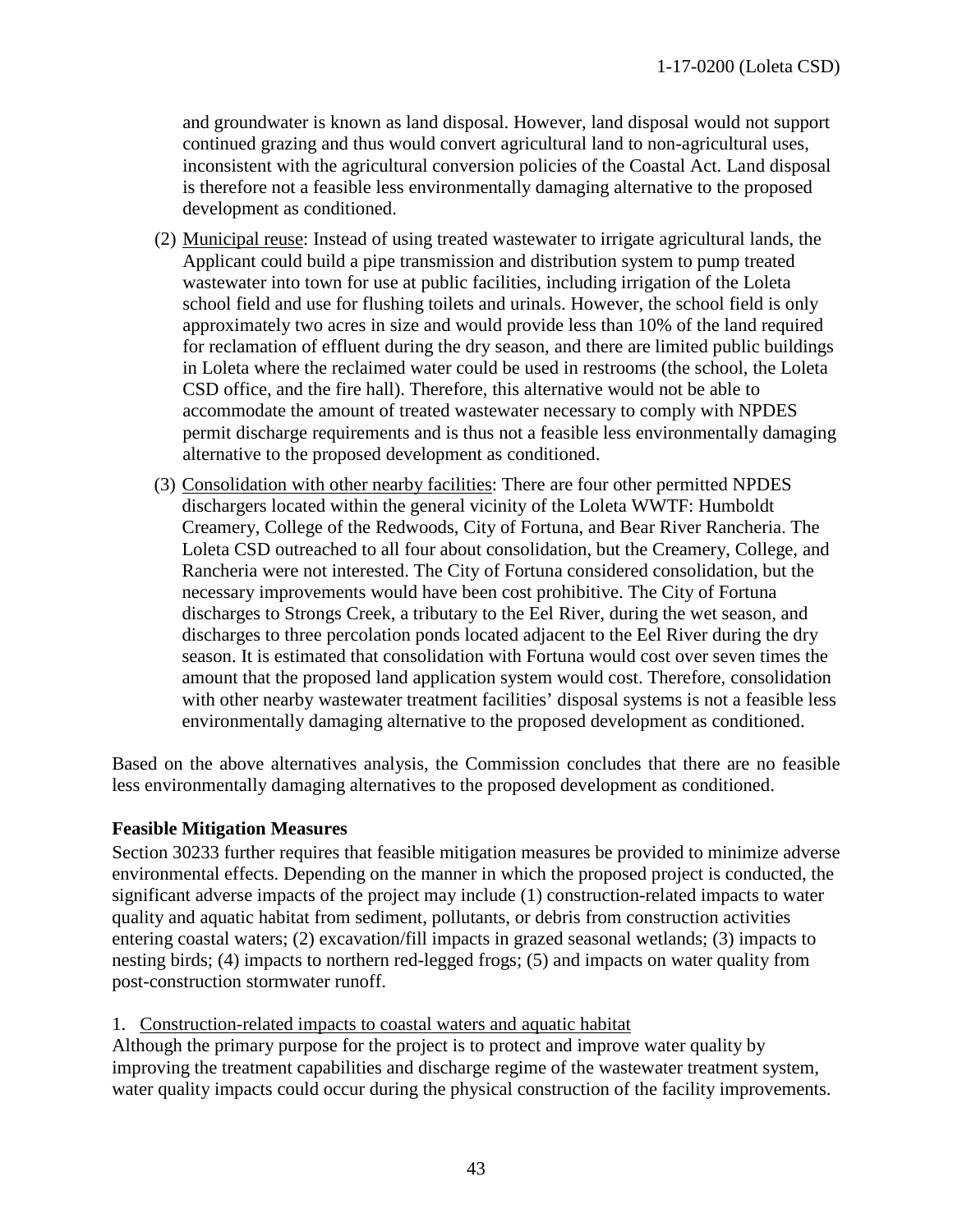and groundwater is known as land disposal. However, land disposal would not support continued grazing and thus would convert agricultural land to non-agricultural uses, inconsistent with the agricultural conversion policies of the Coastal Act. Land disposal is therefore not a feasible less environmentally damaging alternative to the proposed development as conditioned.

- (2) Municipal reuse: Instead of using treated wastewater to irrigate agricultural lands, the Applicant could build a pipe transmission and distribution system to pump treated wastewater into town for use at public facilities, including irrigation of the Loleta school field and use for flushing toilets and urinals. However, the school field is only approximately two acres in size and would provide less than 10% of the land required for reclamation of effluent during the dry season, and there are limited public buildings in Loleta where the reclaimed water could be used in restrooms (the school, the Loleta CSD office, and the fire hall). Therefore, this alternative would not be able to accommodate the amount of treated wastewater necessary to comply with NPDES permit discharge requirements and is thus not a feasible less environmentally damaging alternative to the proposed development as conditioned.
- (3) Consolidation with other nearby facilities: There are four other permitted NPDES dischargers located within the general vicinity of the Loleta WWTF: Humboldt Creamery, College of the Redwoods, City of Fortuna, and Bear River Rancheria. The Loleta CSD outreached to all four about consolidation, but the Creamery, College, and Rancheria were not interested. The City of Fortuna considered consolidation, but the necessary improvements would have been cost prohibitive. The City of Fortuna discharges to Strongs Creek, a tributary to the Eel River, during the wet season, and discharges to three percolation ponds located adjacent to the Eel River during the dry season. It is estimated that consolidation with Fortuna would cost over seven times the amount that the proposed land application system would cost. Therefore, consolidation with other nearby wastewater treatment facilities' disposal systems is not a feasible less environmentally damaging alternative to the proposed development as conditioned.

Based on the above alternatives analysis, the Commission concludes that there are no feasible less environmentally damaging alternatives to the proposed development as conditioned.

#### <span id="page-42-0"></span>**Feasible Mitigation Measures**

Section 30233 further requires that feasible mitigation measures be provided to minimize adverse environmental effects. Depending on the manner in which the proposed project is conducted, the significant adverse impacts of the project may include (1) construction-related impacts to water quality and aquatic habitat from sediment, pollutants, or debris from construction activities entering coastal waters; (2) excavation/fill impacts in grazed seasonal wetlands; (3) impacts to nesting birds; (4) impacts to northern red-legged frogs; (5) and impacts on water quality from post-construction stormwater runoff.

1. Construction-related impacts to coastal waters and aquatic habitat

Although the primary purpose for the project is to protect and improve water quality by improving the treatment capabilities and discharge regime of the wastewater treatment system, water quality impacts could occur during the physical construction of the facility improvements.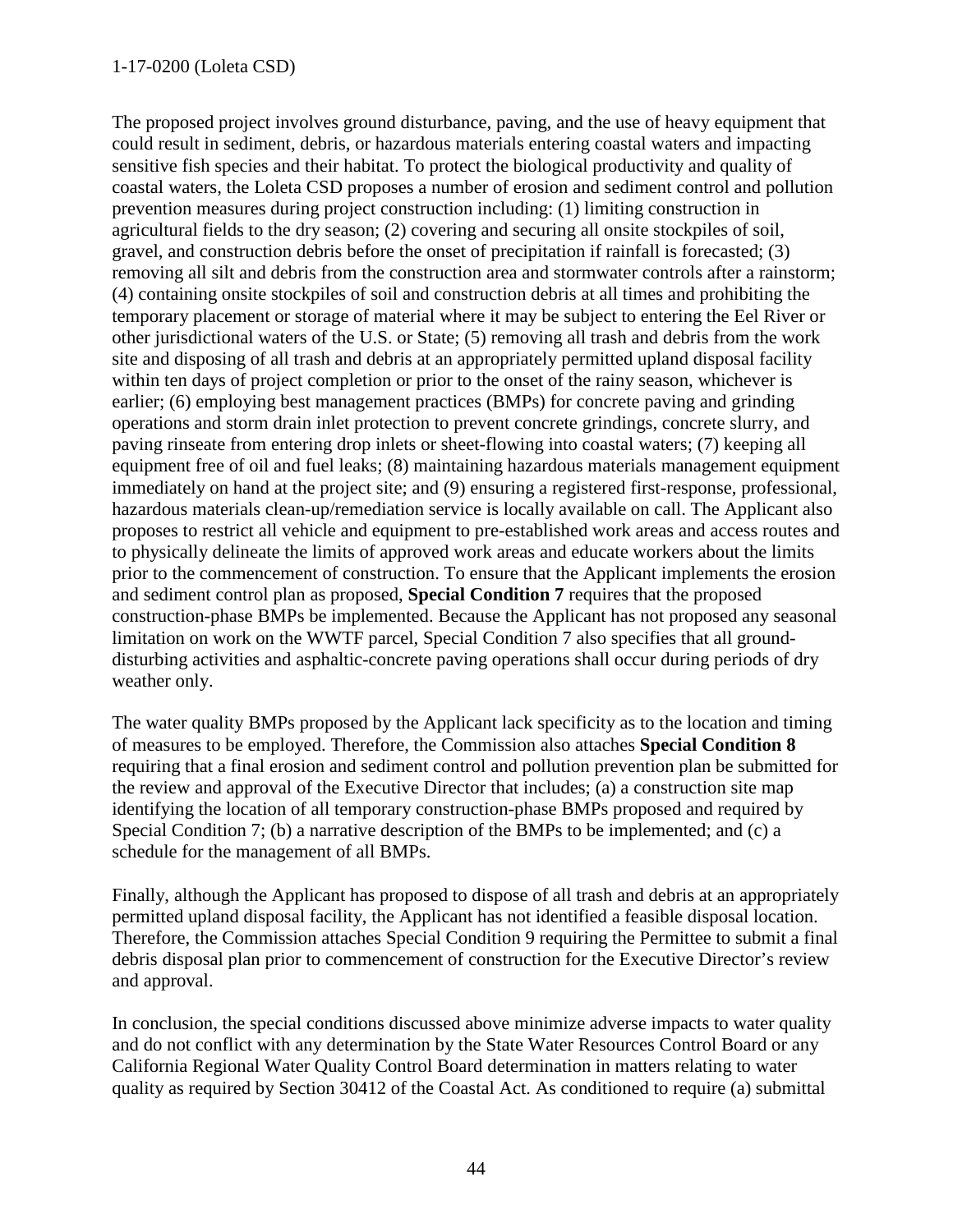#### 1-17-0200 (Loleta CSD)

The proposed project involves ground disturbance, paving, and the use of heavy equipment that could result in sediment, debris, or hazardous materials entering coastal waters and impacting sensitive fish species and their habitat. To protect the biological productivity and quality of coastal waters, the Loleta CSD proposes a number of erosion and sediment control and pollution prevention measures during project construction including: (1) limiting construction in agricultural fields to the dry season; (2) covering and securing all onsite stockpiles of soil, gravel, and construction debris before the onset of precipitation if rainfall is forecasted; (3) removing all silt and debris from the construction area and stormwater controls after a rainstorm; (4) containing onsite stockpiles of soil and construction debris at all times and prohibiting the temporary placement or storage of material where it may be subject to entering the Eel River or other jurisdictional waters of the U.S. or State; (5) removing all trash and debris from the work site and disposing of all trash and debris at an appropriately permitted upland disposal facility within ten days of project completion or prior to the onset of the rainy season, whichever is earlier; (6) employing best management practices (BMPs) for concrete paving and grinding operations and storm drain inlet protection to prevent concrete grindings, concrete slurry, and paving rinseate from entering drop inlets or sheet-flowing into coastal waters; (7) keeping all equipment free of oil and fuel leaks; (8) maintaining hazardous materials management equipment immediately on hand at the project site; and (9) ensuring a registered first-response, professional, hazardous materials clean-up/remediation service is locally available on call. The Applicant also proposes to restrict all vehicle and equipment to pre-established work areas and access routes and to physically delineate the limits of approved work areas and educate workers about the limits prior to the commencement of construction. To ensure that the Applicant implements the erosion and sediment control plan as proposed, **Special Condition 7** requires that the proposed construction-phase BMPs be implemented. Because the Applicant has not proposed any seasonal limitation on work on the WWTF parcel, Special Condition 7 also specifies that all grounddisturbing activities and asphaltic-concrete paving operations shall occur during periods of dry weather only.

The water quality BMPs proposed by the Applicant lack specificity as to the location and timing of measures to be employed. Therefore, the Commission also attaches **Special Condition 8** requiring that a final erosion and sediment control and pollution prevention plan be submitted for the review and approval of the Executive Director that includes; (a) a construction site map identifying the location of all temporary construction-phase BMPs proposed and required by Special Condition 7; (b) a narrative description of the BMPs to be implemented; and (c) a schedule for the management of all BMPs.

Finally, although the Applicant has proposed to dispose of all trash and debris at an appropriately permitted upland disposal facility, the Applicant has not identified a feasible disposal location. Therefore, the Commission attaches Special Condition 9 requiring the Permittee to submit a final debris disposal plan prior to commencement of construction for the Executive Director's review and approval.

In conclusion, the special conditions discussed above minimize adverse impacts to water quality and do not conflict with any determination by the State Water Resources Control Board or any California Regional Water Quality Control Board determination in matters relating to water quality as required by Section 30412 of the Coastal Act. As conditioned to require (a) submittal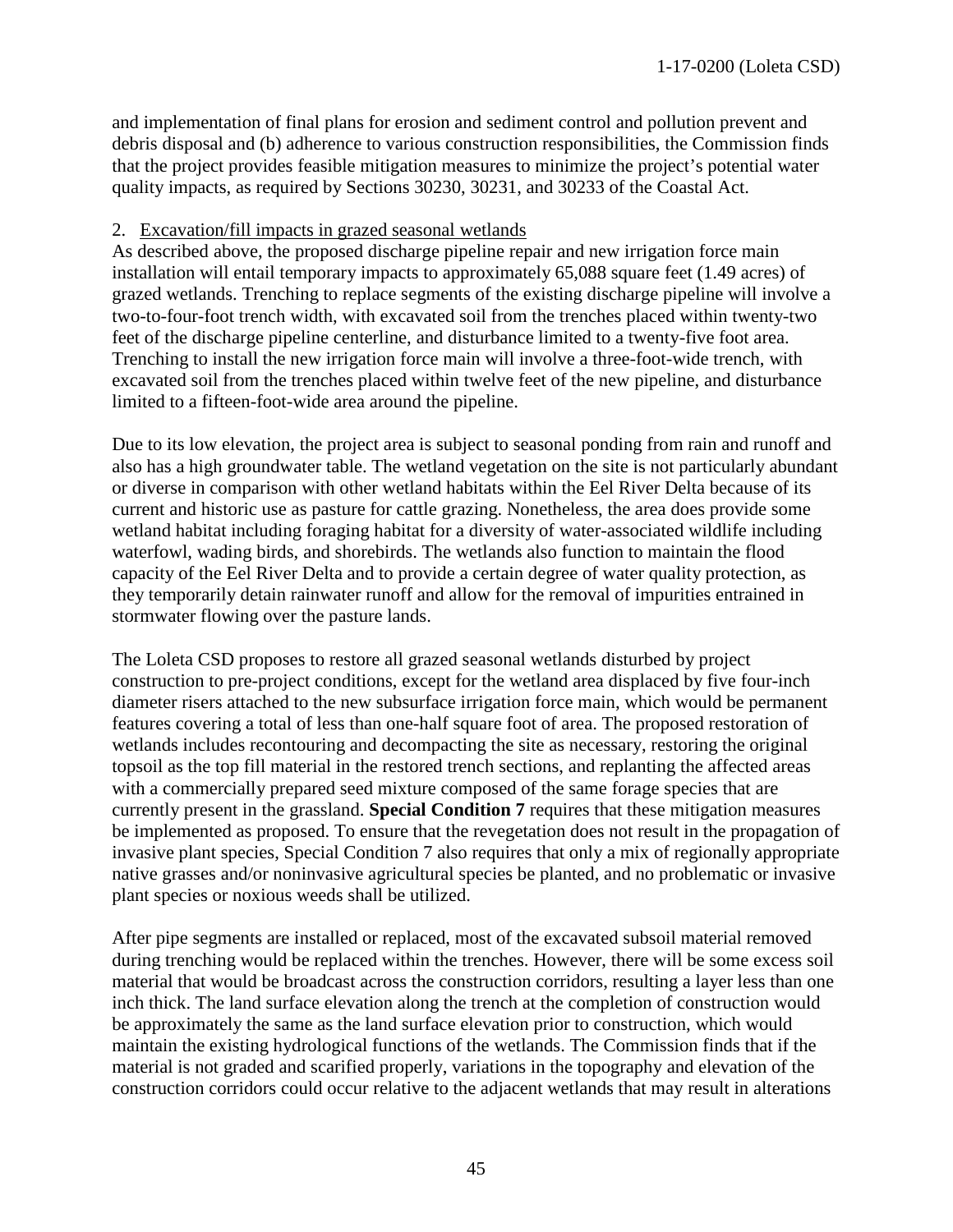and implementation of final plans for erosion and sediment control and pollution prevent and debris disposal and (b) adherence to various construction responsibilities, the Commission finds that the project provides feasible mitigation measures to minimize the project's potential water quality impacts, as required by Sections 30230, 30231, and 30233 of the Coastal Act.

#### 2. Excavation/fill impacts in grazed seasonal wetlands

As described above, the proposed discharge pipeline repair and new irrigation force main installation will entail temporary impacts to approximately 65,088 square feet (1.49 acres) of grazed wetlands. Trenching to replace segments of the existing discharge pipeline will involve a two-to-four-foot trench width, with excavated soil from the trenches placed within twenty-two feet of the discharge pipeline centerline, and disturbance limited to a twenty-five foot area. Trenching to install the new irrigation force main will involve a three-foot-wide trench, with excavated soil from the trenches placed within twelve feet of the new pipeline, and disturbance limited to a fifteen-foot-wide area around the pipeline.

Due to its low elevation, the project area is subject to seasonal ponding from rain and runoff and also has a high groundwater table. The wetland vegetation on the site is not particularly abundant or diverse in comparison with other wetland habitats within the Eel River Delta because of its current and historic use as pasture for cattle grazing. Nonetheless, the area does provide some wetland habitat including foraging habitat for a diversity of water-associated wildlife including waterfowl, wading birds, and shorebirds. The wetlands also function to maintain the flood capacity of the Eel River Delta and to provide a certain degree of water quality protection, as they temporarily detain rainwater runoff and allow for the removal of impurities entrained in stormwater flowing over the pasture lands.

The Loleta CSD proposes to restore all grazed seasonal wetlands disturbed by project construction to pre-project conditions, except for the wetland area displaced by five four-inch diameter risers attached to the new subsurface irrigation force main, which would be permanent features covering a total of less than one-half square foot of area. The proposed restoration of wetlands includes recontouring and decompacting the site as necessary, restoring the original topsoil as the top fill material in the restored trench sections, and replanting the affected areas with a commercially prepared seed mixture composed of the same forage species that are currently present in the grassland. **Special Condition 7** requires that these mitigation measures be implemented as proposed. To ensure that the revegetation does not result in the propagation of invasive plant species, Special Condition 7 also requires that only a mix of regionally appropriate native grasses and/or noninvasive agricultural species be planted, and no problematic or invasive plant species or noxious weeds shall be utilized.

After pipe segments are installed or replaced, most of the excavated subsoil material removed during trenching would be replaced within the trenches. However, there will be some excess soil material that would be broadcast across the construction corridors, resulting a layer less than one inch thick. The land surface elevation along the trench at the completion of construction would be approximately the same as the land surface elevation prior to construction, which would maintain the existing hydrological functions of the wetlands. The Commission finds that if the material is not graded and scarified properly, variations in the topography and elevation of the construction corridors could occur relative to the adjacent wetlands that may result in alterations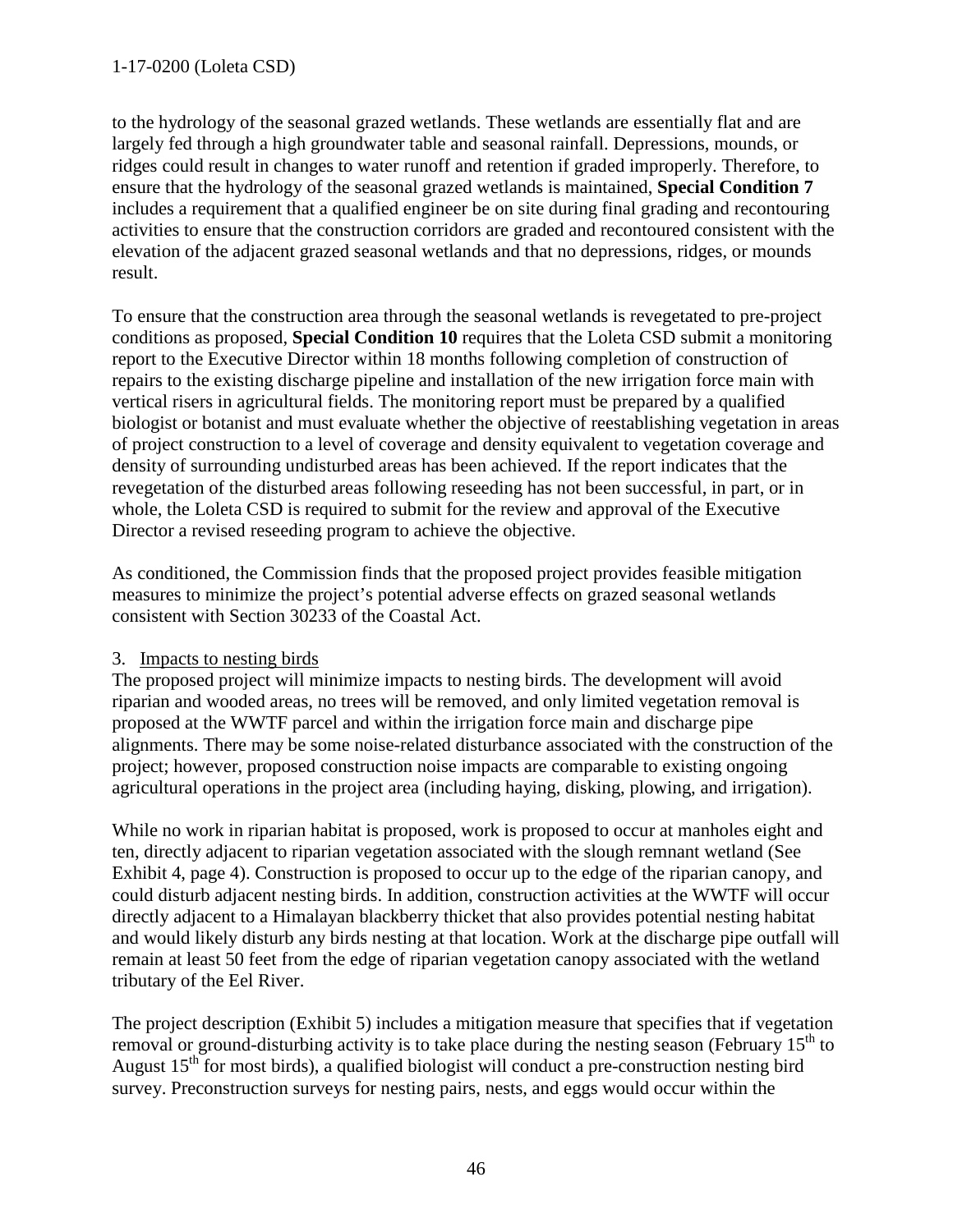to the hydrology of the seasonal grazed wetlands. These wetlands are essentially flat and are largely fed through a high groundwater table and seasonal rainfall. Depressions, mounds, or ridges could result in changes to water runoff and retention if graded improperly. Therefore, to ensure that the hydrology of the seasonal grazed wetlands is maintained, **Special Condition 7** includes a requirement that a qualified engineer be on site during final grading and recontouring activities to ensure that the construction corridors are graded and recontoured consistent with the elevation of the adjacent grazed seasonal wetlands and that no depressions, ridges, or mounds result.

To ensure that the construction area through the seasonal wetlands is revegetated to pre-project conditions as proposed, **Special Condition 10** requires that the Loleta CSD submit a monitoring report to the Executive Director within 18 months following completion of construction of repairs to the existing discharge pipeline and installation of the new irrigation force main with vertical risers in agricultural fields. The monitoring report must be prepared by a qualified biologist or botanist and must evaluate whether the objective of reestablishing vegetation in areas of project construction to a level of coverage and density equivalent to vegetation coverage and density of surrounding undisturbed areas has been achieved. If the report indicates that the revegetation of the disturbed areas following reseeding has not been successful, in part, or in whole, the Loleta CSD is required to submit for the review and approval of the Executive Director a revised reseeding program to achieve the objective.

As conditioned, the Commission finds that the proposed project provides feasible mitigation measures to minimize the project's potential adverse effects on grazed seasonal wetlands consistent with Section 30233 of the Coastal Act.

## 3. Impacts to nesting birds

The proposed project will minimize impacts to nesting birds. The development will avoid riparian and wooded areas, no trees will be removed, and only limited vegetation removal is proposed at the WWTF parcel and within the irrigation force main and discharge pipe alignments. There may be some noise-related disturbance associated with the construction of the project; however, proposed construction noise impacts are comparable to existing ongoing agricultural operations in the project area (including haying, disking, plowing, and irrigation).

While no work in riparian habitat is proposed, work is proposed to occur at manholes eight and ten, directly adjacent to riparian vegetation associated with the slough remnant wetland (See Exhibit 4, page 4). Construction is proposed to occur up to the edge of the riparian canopy, and could disturb adjacent nesting birds. In addition, construction activities at the WWTF will occur directly adjacent to a Himalayan blackberry thicket that also provides potential nesting habitat and would likely disturb any birds nesting at that location. Work at the discharge pipe outfall will remain at least 50 feet from the edge of riparian vegetation canopy associated with the wetland tributary of the Eel River.

The project description (Exhibit 5) includes a mitigation measure that specifies that if vegetation removal or ground-disturbing activity is to take place during the nesting season (February  $15<sup>th</sup>$  to August  $15<sup>th</sup>$  for most birds), a qualified biologist will conduct a pre-construction nesting bird survey. Preconstruction surveys for nesting pairs, nests, and eggs would occur within the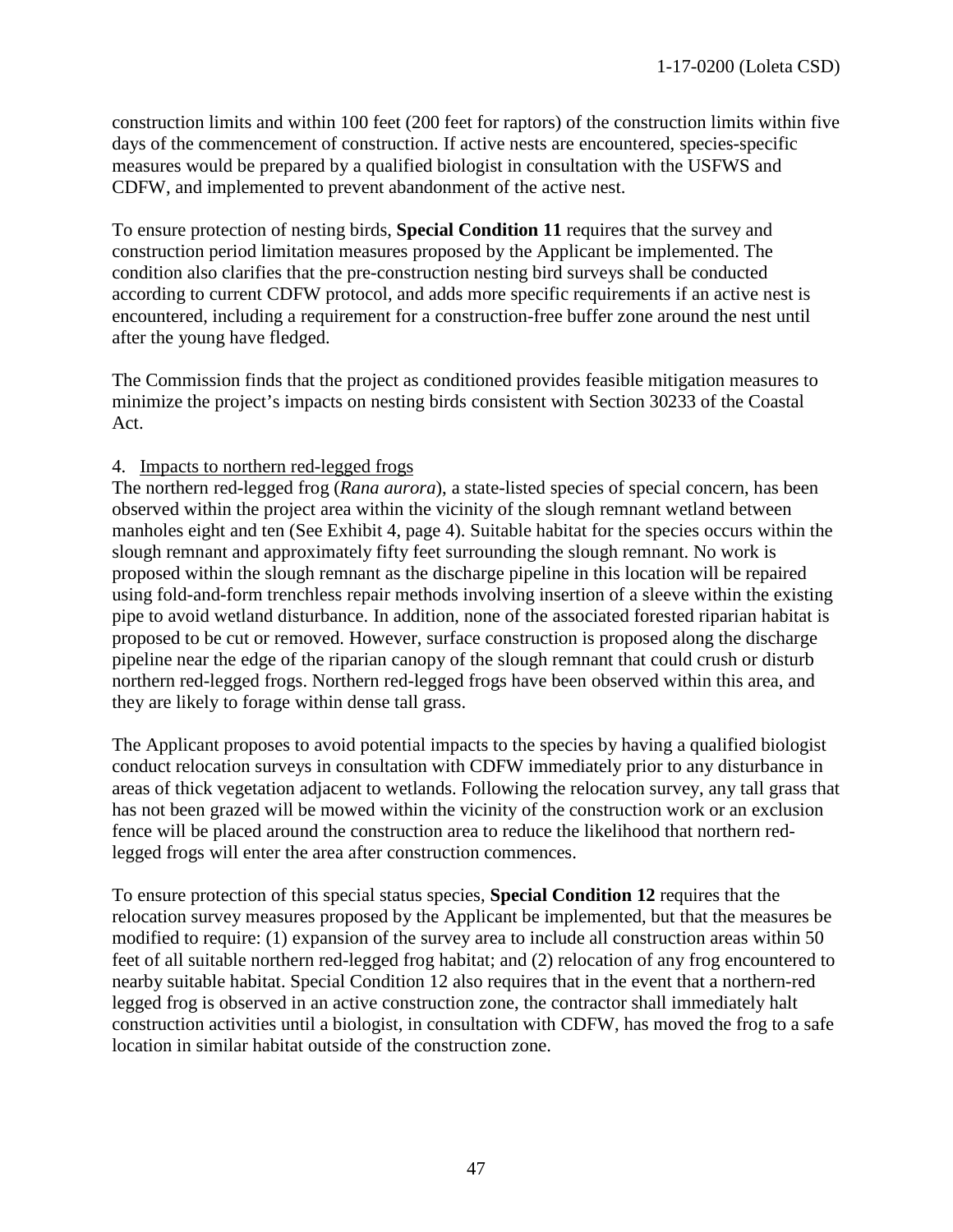construction limits and within 100 feet (200 feet for raptors) of the construction limits within five days of the commencement of construction. If active nests are encountered, species-specific measures would be prepared by a qualified biologist in consultation with the USFWS and CDFW, and implemented to prevent abandonment of the active nest.

To ensure protection of nesting birds, **Special Condition 11** requires that the survey and construction period limitation measures proposed by the Applicant be implemented. The condition also clarifies that the pre-construction nesting bird surveys shall be conducted according to current CDFW protocol, and adds more specific requirements if an active nest is encountered, including a requirement for a construction-free buffer zone around the nest until after the young have fledged.

The Commission finds that the project as conditioned provides feasible mitigation measures to minimize the project's impacts on nesting birds consistent with Section 30233 of the Coastal Act.

#### 4. Impacts to northern red-legged frogs

The northern red-legged frog (*Rana aurora*), a state-listed species of special concern, has been observed within the project area within the vicinity of the slough remnant wetland between manholes eight and ten (See Exhibit 4, page 4). Suitable habitat for the species occurs within the slough remnant and approximately fifty feet surrounding the slough remnant. No work is proposed within the slough remnant as the discharge pipeline in this location will be repaired using fold-and-form trenchless repair methods involving insertion of a sleeve within the existing pipe to avoid wetland disturbance. In addition, none of the associated forested riparian habitat is proposed to be cut or removed. However, surface construction is proposed along the discharge pipeline near the edge of the riparian canopy of the slough remnant that could crush or disturb northern red-legged frogs. Northern red-legged frogs have been observed within this area, and they are likely to forage within dense tall grass.

The Applicant proposes to avoid potential impacts to the species by having a qualified biologist conduct relocation surveys in consultation with CDFW immediately prior to any disturbance in areas of thick vegetation adjacent to wetlands. Following the relocation survey, any tall grass that has not been grazed will be mowed within the vicinity of the construction work or an exclusion fence will be placed around the construction area to reduce the likelihood that northern redlegged frogs will enter the area after construction commences.

To ensure protection of this special status species, **Special Condition 12** requires that the relocation survey measures proposed by the Applicant be implemented, but that the measures be modified to require: (1) expansion of the survey area to include all construction areas within 50 feet of all suitable northern red-legged frog habitat; and (2) relocation of any frog encountered to nearby suitable habitat. Special Condition 12 also requires that in the event that a northern-red legged frog is observed in an active construction zone, the contractor shall immediately halt construction activities until a biologist, in consultation with CDFW, has moved the frog to a safe location in similar habitat outside of the construction zone.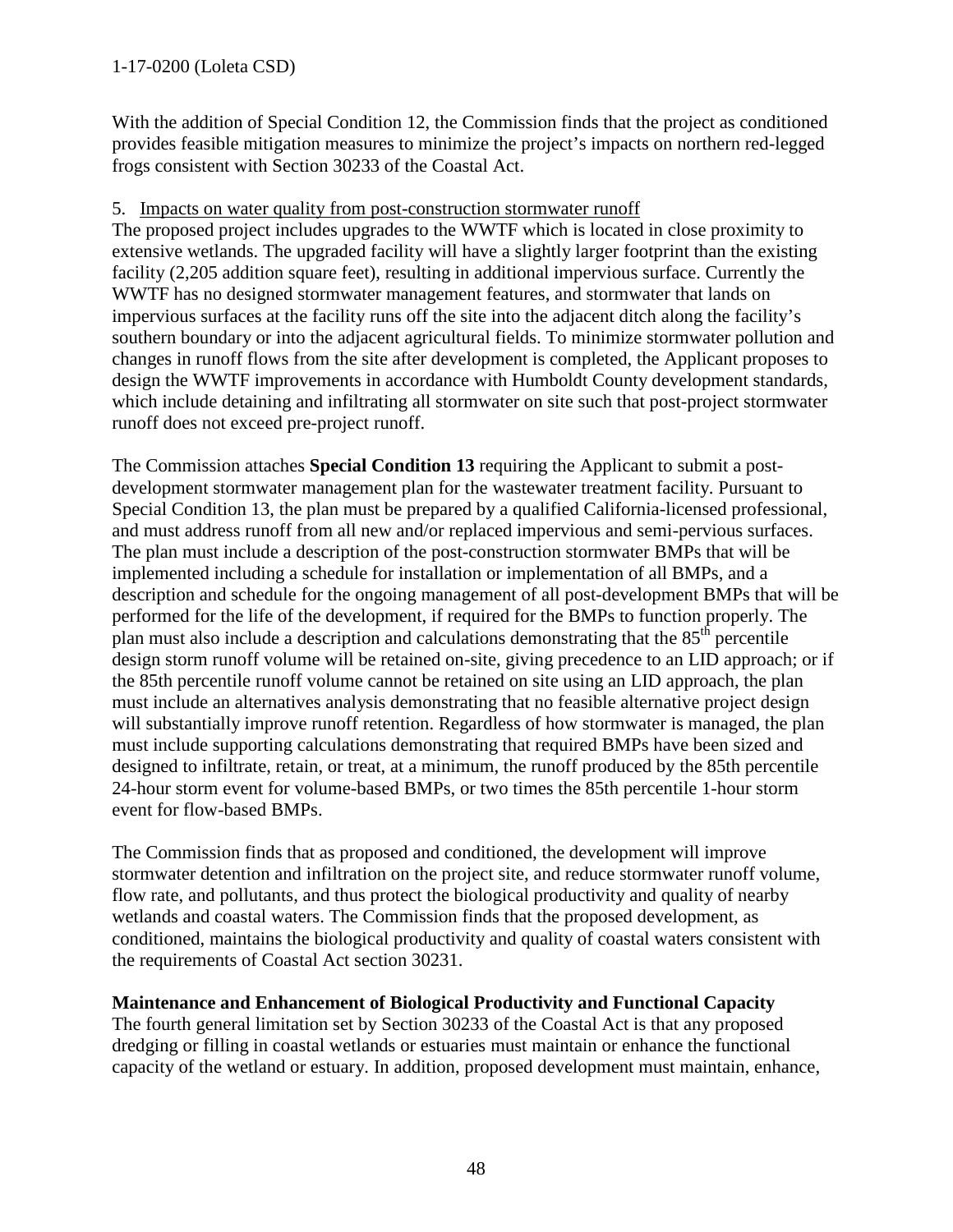## 1-17-0200 (Loleta CSD)

With the addition of Special Condition 12, the Commission finds that the project as conditioned provides feasible mitigation measures to minimize the project's impacts on northern red-legged frogs consistent with Section 30233 of the Coastal Act.

#### 5. Impacts on water quality from post-construction stormwater runoff

The proposed project includes upgrades to the WWTF which is located in close proximity to extensive wetlands. The upgraded facility will have a slightly larger footprint than the existing facility (2,205 addition square feet), resulting in additional impervious surface. Currently the WWTF has no designed stormwater management features, and stormwater that lands on impervious surfaces at the facility runs off the site into the adjacent ditch along the facility's southern boundary or into the adjacent agricultural fields. To minimize stormwater pollution and changes in runoff flows from the site after development is completed, the Applicant proposes to design the WWTF improvements in accordance with Humboldt County development standards, which include detaining and infiltrating all stormwater on site such that post-project stormwater runoff does not exceed pre-project runoff.

The Commission attaches **Special Condition 13** requiring the Applicant to submit a postdevelopment stormwater management plan for the wastewater treatment facility. Pursuant to Special Condition 13, the plan must be prepared by a qualified California-licensed professional, and must address runoff from all new and/or replaced impervious and semi-pervious surfaces. The plan must include a description of the post-construction stormwater BMPs that will be implemented including a schedule for installation or implementation of all BMPs, and a description and schedule for the ongoing management of all post-development BMPs that will be performed for the life of the development, if required for the BMPs to function properly. The plan must also include a description and calculations demonstrating that the  $85<sup>th</sup>$  percentile design storm runoff volume will be retained on-site, giving precedence to an LID approach; or if the 85th percentile runoff volume cannot be retained on site using an LID approach, the plan must include an alternatives analysis demonstrating that no feasible alternative project design will substantially improve runoff retention. Regardless of how stormwater is managed, the plan must include supporting calculations demonstrating that required BMPs have been sized and designed to infiltrate, retain, or treat, at a minimum, the runoff produced by the 85th percentile 24-hour storm event for volume-based BMPs, or two times the 85th percentile 1-hour storm event for flow-based BMPs.

The Commission finds that as proposed and conditioned, the development will improve stormwater detention and infiltration on the project site, and reduce stormwater runoff volume, flow rate, and pollutants, and thus protect the biological productivity and quality of nearby wetlands and coastal waters. The Commission finds that the proposed development, as conditioned, maintains the biological productivity and quality of coastal waters consistent with the requirements of Coastal Act section 30231.

#### <span id="page-47-0"></span>**Maintenance and Enhancement of Biological Productivity and Functional Capacity**

The fourth general limitation set by Section 30233 of the Coastal Act is that any proposed dredging or filling in coastal wetlands or estuaries must maintain or enhance the functional capacity of the wetland or estuary. In addition, proposed development must maintain, enhance,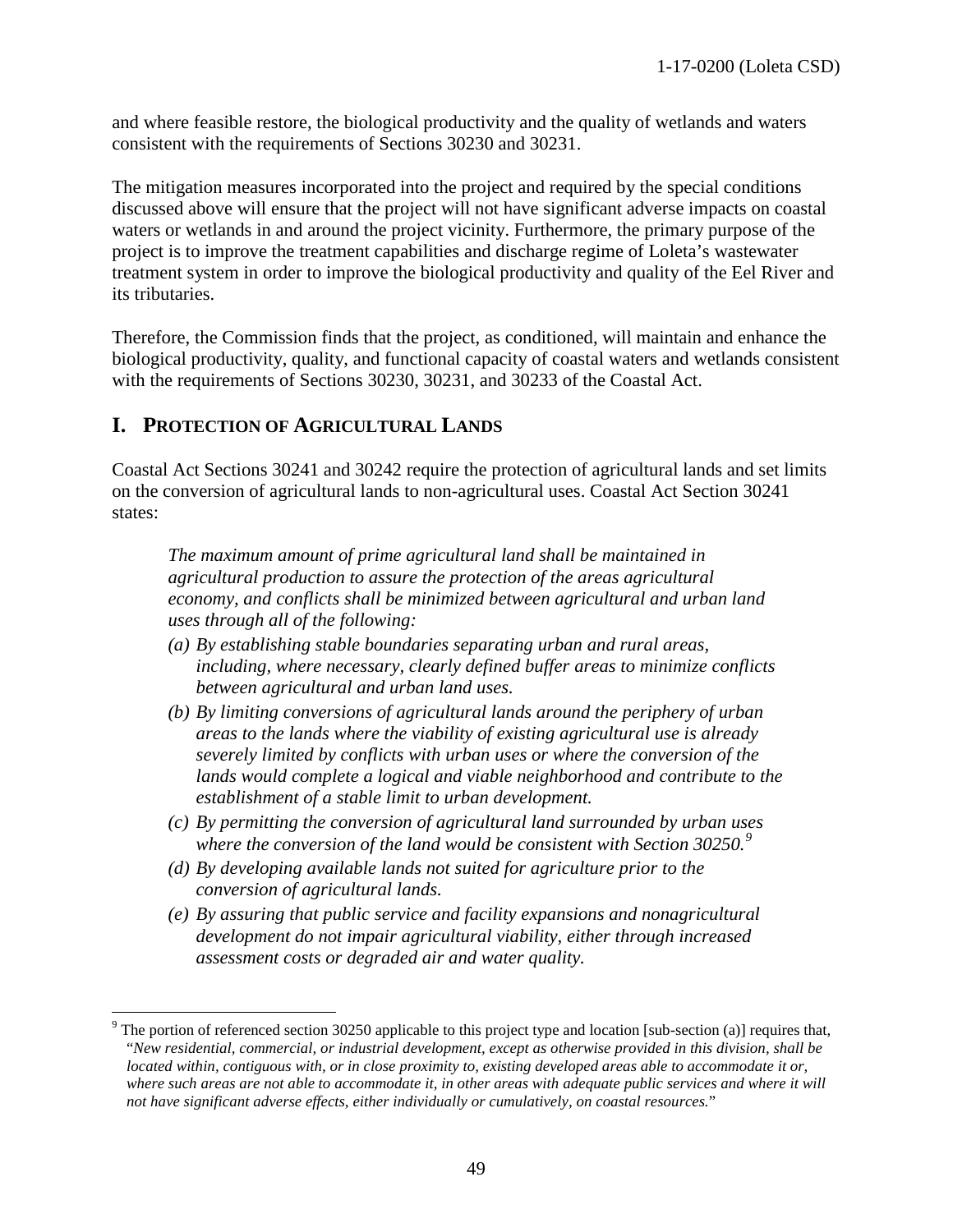and where feasible restore, the biological productivity and the quality of wetlands and waters consistent with the requirements of Sections 30230 and 30231.

The mitigation measures incorporated into the project and required by the special conditions discussed above will ensure that the project will not have significant adverse impacts on coastal waters or wetlands in and around the project vicinity. Furthermore, the primary purpose of the project is to improve the treatment capabilities and discharge regime of Loleta's wastewater treatment system in order to improve the biological productivity and quality of the Eel River and its tributaries.

Therefore, the Commission finds that the project, as conditioned, will maintain and enhance the biological productivity, quality, and functional capacity of coastal waters and wetlands consistent with the requirements of Sections 30230, 30231, and 30233 of the Coastal Act.

## <span id="page-48-0"></span>**I. PROTECTION OF AGRICULTURAL LANDS**

Coastal Act Sections 30241 and 30242 require the protection of agricultural lands and set limits on the conversion of agricultural lands to non-agricultural uses. Coastal Act Section 30241 states:

*The maximum amount of prime agricultural land shall be maintained in agricultural production to assure the protection of the areas agricultural economy, and conflicts shall be minimized between agricultural and urban land uses through all of the following:* 

- *(a) By establishing stable boundaries separating urban and rural areas, including, where necessary, clearly defined buffer areas to minimize conflicts between agricultural and urban land uses.*
- *(b) By limiting conversions of agricultural lands around the periphery of urban areas to the lands where the viability of existing agricultural use is already severely limited by conflicts with urban uses or where the conversion of the lands would complete a logical and viable neighborhood and contribute to the establishment of a stable limit to urban development.*
- *(c) By permitting the conversion of agricultural land surrounded by urban uses where the conversion of the land would be consistent with Section 30250.[9](#page-48-1)*
- *(d) By developing available lands not suited for agriculture prior to the conversion of agricultural lands.*
- *(e) By assuring that public service and facility expansions and nonagricultural development do not impair agricultural viability, either through increased assessment costs or degraded air and water quality.*

<span id="page-48-1"></span> $\overline{a}$ <sup>9</sup> The portion of referenced section 30250 applicable to this project type and location [sub-section (a)] requires that, "*New residential, commercial, or industrial development, except as otherwise provided in this division, shall be located within, contiguous with, or in close proximity to, existing developed areas able to accommodate it or,*  where such areas are not able to accommodate it, in other areas with adequate public services and where it will *not have significant adverse effects, either individually or cumulatively, on coastal resources.*"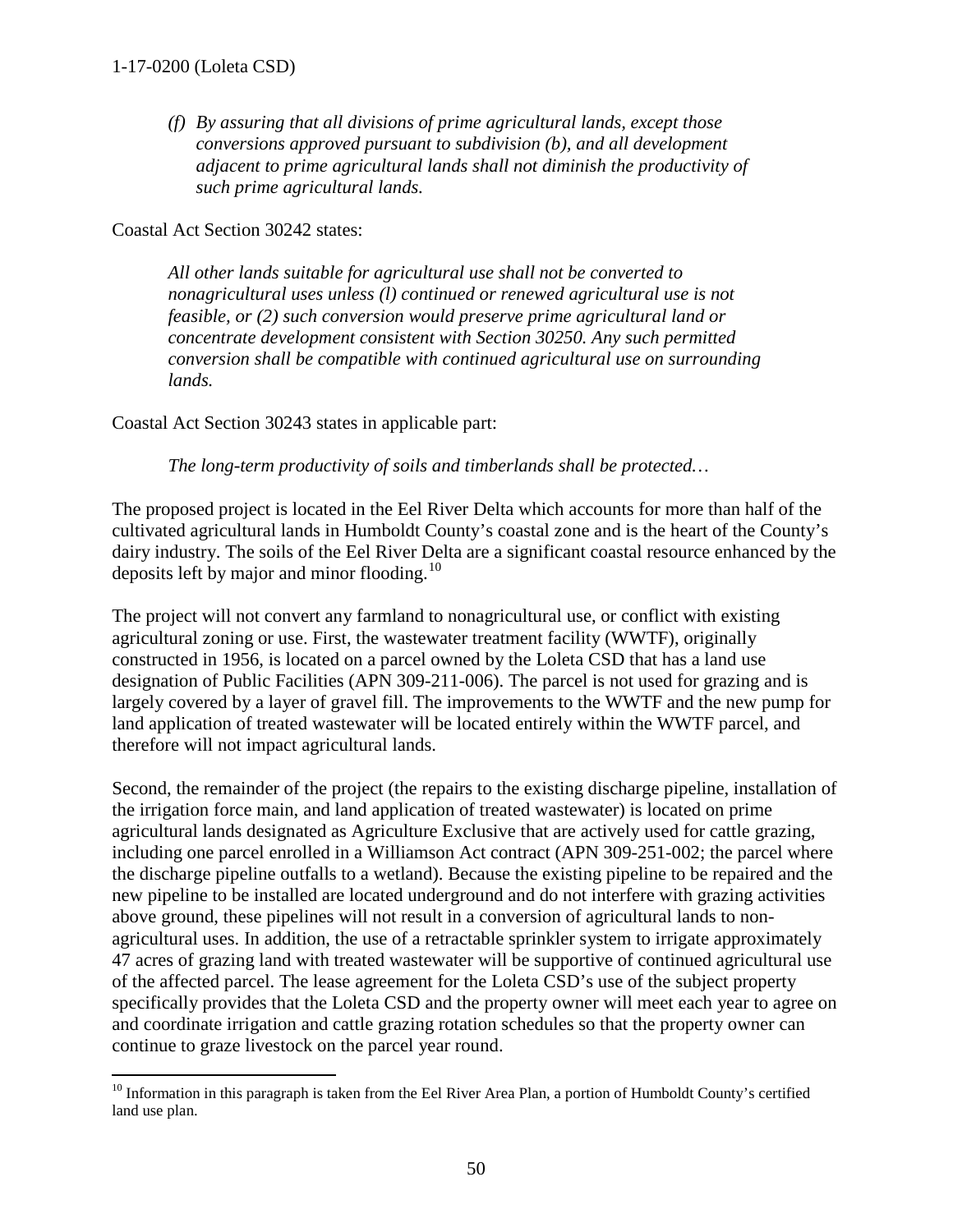*(f) By assuring that all divisions of prime agricultural lands, except those conversions approved pursuant to subdivision (b), and all development adjacent to prime agricultural lands shall not diminish the productivity of such prime agricultural lands.* 

Coastal Act Section 30242 states:

*All other lands suitable for agricultural use shall not be converted to nonagricultural uses unless (l) continued or renewed agricultural use is not feasible, or (2) such conversion would preserve prime agricultural land or concentrate development consistent with Section 30250. Any such permitted conversion shall be compatible with continued agricultural use on surrounding lands.* 

Coastal Act Section 30243 states in applicable part:

*The long-term productivity of soils and timberlands shall be protected…* 

The proposed project is located in the Eel River Delta which accounts for more than half of the cultivated agricultural lands in Humboldt County's coastal zone and is the heart of the County's dairy industry. The soils of the Eel River Delta are a significant coastal resource enhanced by the deposits left by major and minor flooding.<sup>[10](#page-49-0)</sup>

The project will not convert any farmland to nonagricultural use, or conflict with existing agricultural zoning or use. First, the wastewater treatment facility (WWTF), originally constructed in 1956, is located on a parcel owned by the Loleta CSD that has a land use designation of Public Facilities (APN 309-211-006). The parcel is not used for grazing and is largely covered by a layer of gravel fill. The improvements to the WWTF and the new pump for land application of treated wastewater will be located entirely within the WWTF parcel, and therefore will not impact agricultural lands.

Second, the remainder of the project (the repairs to the existing discharge pipeline, installation of the irrigation force main, and land application of treated wastewater) is located on prime agricultural lands designated as Agriculture Exclusive that are actively used for cattle grazing, including one parcel enrolled in a Williamson Act contract (APN 309-251-002; the parcel where the discharge pipeline outfalls to a wetland). Because the existing pipeline to be repaired and the new pipeline to be installed are located underground and do not interfere with grazing activities above ground, these pipelines will not result in a conversion of agricultural lands to nonagricultural uses. In addition, the use of a retractable sprinkler system to irrigate approximately 47 acres of grazing land with treated wastewater will be supportive of continued agricultural use of the affected parcel. The lease agreement for the Loleta CSD's use of the subject property specifically provides that the Loleta CSD and the property owner will meet each year to agree on and coordinate irrigation and cattle grazing rotation schedules so that the property owner can continue to graze livestock on the parcel year round.

<span id="page-49-0"></span> $\overline{a}$  $10$  Information in this paragraph is taken from the Eel River Area Plan, a portion of Humboldt County's certified land use plan.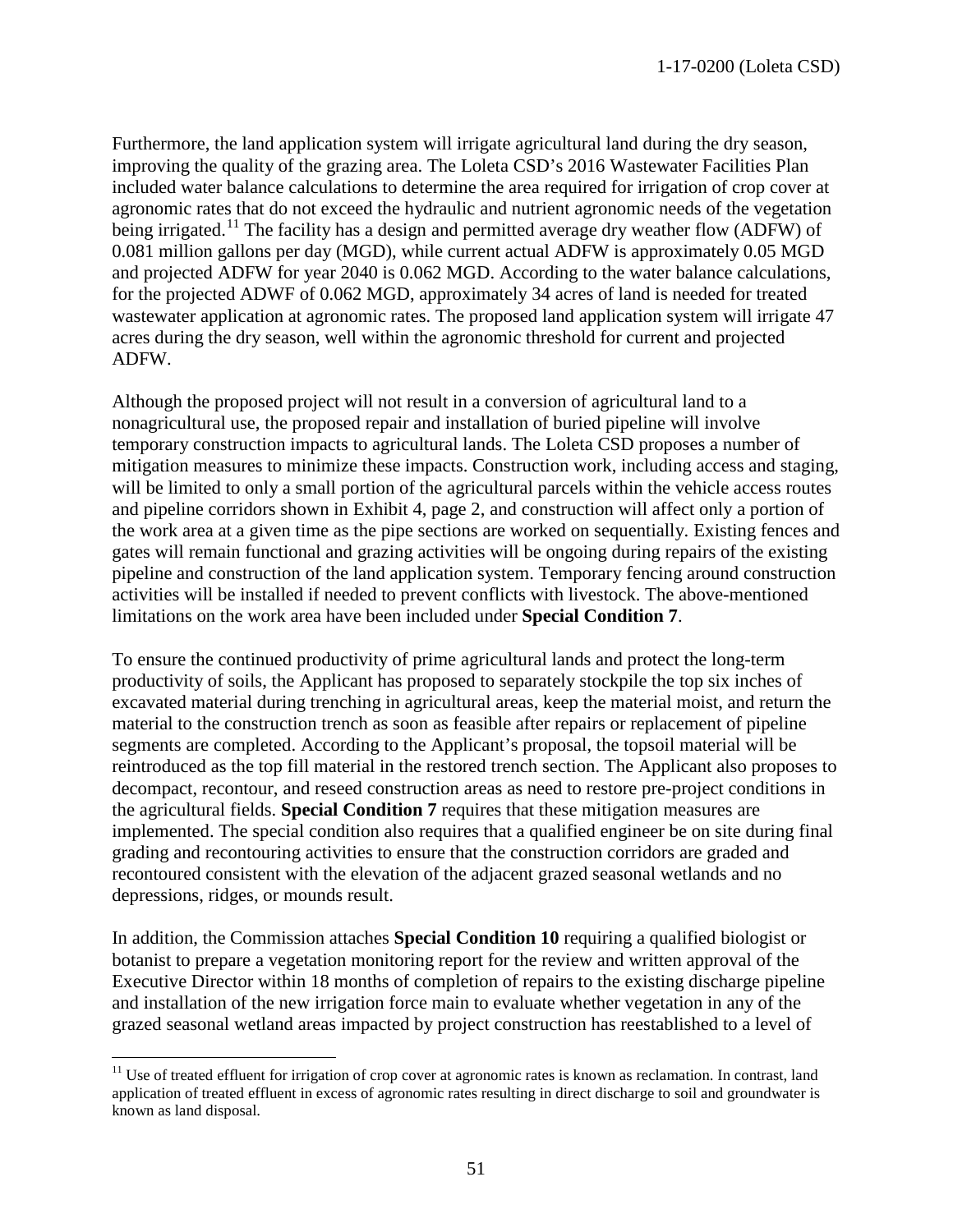Furthermore, the land application system will irrigate agricultural land during the dry season, improving the quality of the grazing area. The Loleta CSD's 2016 Wastewater Facilities Plan included water balance calculations to determine the area required for irrigation of crop cover at agronomic rates that do not exceed the hydraulic and nutrient agronomic needs of the vegetation being irrigated.<sup>[11](#page-50-0)</sup> The facility has a design and permitted average dry weather flow (ADFW) of 0.081 million gallons per day (MGD), while current actual ADFW is approximately 0.05 MGD and projected ADFW for year 2040 is 0.062 MGD. According to the water balance calculations, for the projected ADWF of 0.062 MGD, approximately 34 acres of land is needed for treated wastewater application at agronomic rates. The proposed land application system will irrigate 47 acres during the dry season, well within the agronomic threshold for current and projected ADFW.

Although the proposed project will not result in a conversion of agricultural land to a nonagricultural use, the proposed repair and installation of buried pipeline will involve temporary construction impacts to agricultural lands. The Loleta CSD proposes a number of mitigation measures to minimize these impacts. Construction work, including access and staging, will be limited to only a small portion of the agricultural parcels within the vehicle access routes and pipeline corridors shown in Exhibit 4, page 2, and construction will affect only a portion of the work area at a given time as the pipe sections are worked on sequentially. Existing fences and gates will remain functional and grazing activities will be ongoing during repairs of the existing pipeline and construction of the land application system. Temporary fencing around construction activities will be installed if needed to prevent conflicts with livestock. The above-mentioned limitations on the work area have been included under **Special Condition 7**.

To ensure the continued productivity of prime agricultural lands and protect the long-term productivity of soils, the Applicant has proposed to separately stockpile the top six inches of excavated material during trenching in agricultural areas, keep the material moist, and return the material to the construction trench as soon as feasible after repairs or replacement of pipeline segments are completed. According to the Applicant's proposal, the topsoil material will be reintroduced as the top fill material in the restored trench section. The Applicant also proposes to decompact, recontour, and reseed construction areas as need to restore pre-project conditions in the agricultural fields. **Special Condition 7** requires that these mitigation measures are implemented. The special condition also requires that a qualified engineer be on site during final grading and recontouring activities to ensure that the construction corridors are graded and recontoured consistent with the elevation of the adjacent grazed seasonal wetlands and no depressions, ridges, or mounds result.

In addition, the Commission attaches **Special Condition 10** requiring a qualified biologist or botanist to prepare a vegetation monitoring report for the review and written approval of the Executive Director within 18 months of completion of repairs to the existing discharge pipeline and installation of the new irrigation force main to evaluate whether vegetation in any of the grazed seasonal wetland areas impacted by project construction has reestablished to a level of

<span id="page-50-0"></span> $\overline{a}$ <sup>11</sup> Use of treated effluent for irrigation of crop cover at agronomic rates is known as reclamation. In contrast, land application of treated effluent in excess of agronomic rates resulting in direct discharge to soil and groundwater is known as land disposal.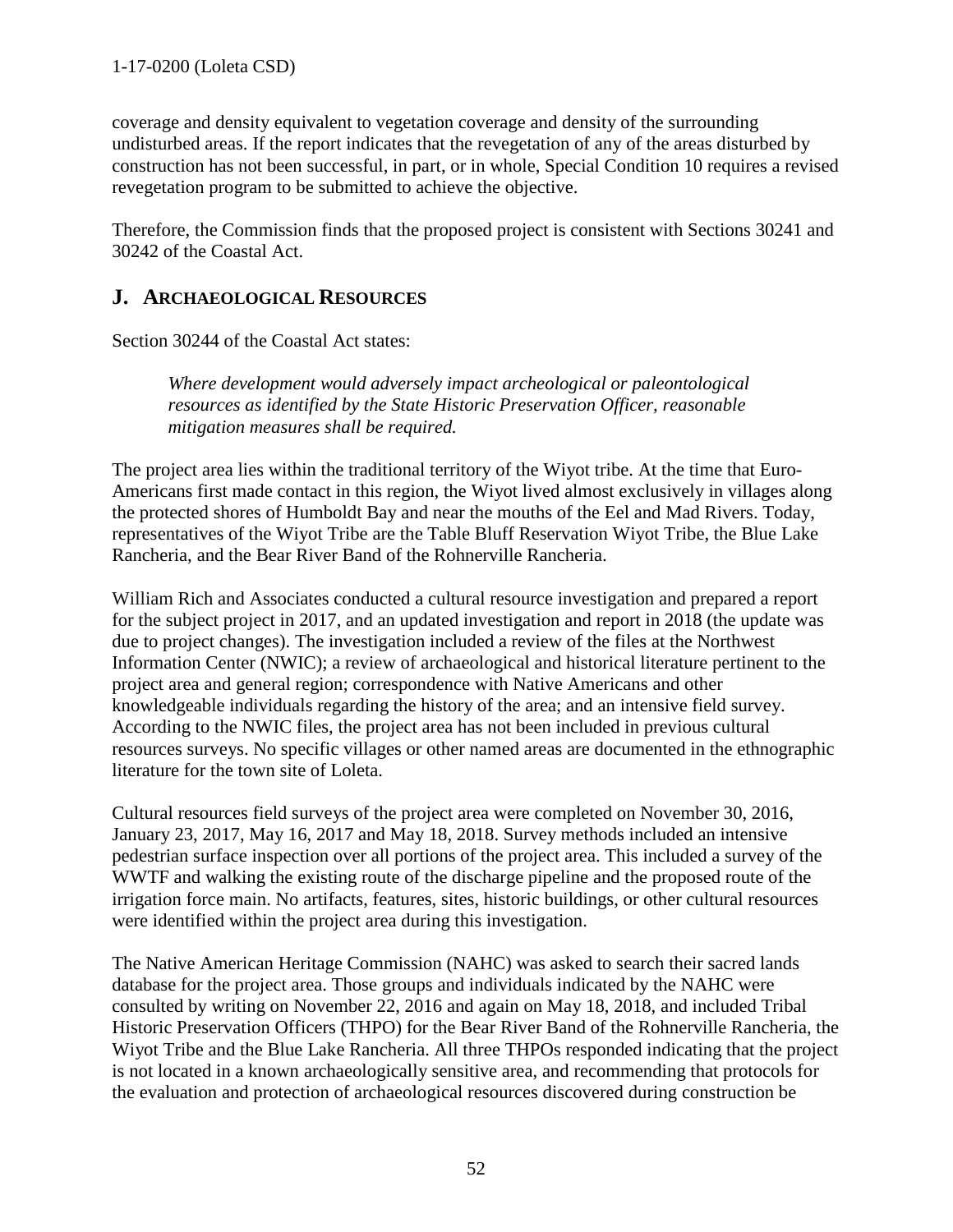coverage and density equivalent to vegetation coverage and density of the surrounding undisturbed areas. If the report indicates that the revegetation of any of the areas disturbed by construction has not been successful, in part, or in whole, Special Condition 10 requires a revised revegetation program to be submitted to achieve the objective.

Therefore, the Commission finds that the proposed project is consistent with Sections 30241 and 30242 of the Coastal Act.

## <span id="page-51-0"></span>**J. ARCHAEOLOGICAL RESOURCES**

Section 30244 of the Coastal Act states:

 *Where development would adversely impact archeological or paleontological resources as identified by the State Historic Preservation Officer, reasonable mitigation measures shall be required.* 

The project area lies within the traditional territory of the Wiyot tribe. At the time that Euro-Americans first made contact in this region, the Wiyot lived almost exclusively in villages along the protected shores of Humboldt Bay and near the mouths of the Eel and Mad Rivers. Today, representatives of the Wiyot Tribe are the Table Bluff Reservation Wiyot Tribe, the Blue Lake Rancheria, and the Bear River Band of the Rohnerville Rancheria.

William Rich and Associates conducted a cultural resource investigation and prepared a report for the subject project in 2017, and an updated investigation and report in 2018 (the update was due to project changes). The investigation included a review of the files at the Northwest Information Center (NWIC); a review of archaeological and historical literature pertinent to the project area and general region; correspondence with Native Americans and other knowledgeable individuals regarding the history of the area; and an intensive field survey. According to the NWIC files, the project area has not been included in previous cultural resources surveys. No specific villages or other named areas are documented in the ethnographic literature for the town site of Loleta.

Cultural resources field surveys of the project area were completed on November 30, 2016, January 23, 2017, May 16, 2017 and May 18, 2018. Survey methods included an intensive pedestrian surface inspection over all portions of the project area. This included a survey of the WWTF and walking the existing route of the discharge pipeline and the proposed route of the irrigation force main. No artifacts, features, sites, historic buildings, or other cultural resources were identified within the project area during this investigation.

The Native American Heritage Commission (NAHC) was asked to search their sacred lands database for the project area. Those groups and individuals indicated by the NAHC were consulted by writing on November 22, 2016 and again on May 18, 2018, and included Tribal Historic Preservation Officers (THPO) for the Bear River Band of the Rohnerville Rancheria, the Wiyot Tribe and the Blue Lake Rancheria. All three THPOs responded indicating that the project is not located in a known archaeologically sensitive area, and recommending that protocols for the evaluation and protection of archaeological resources discovered during construction be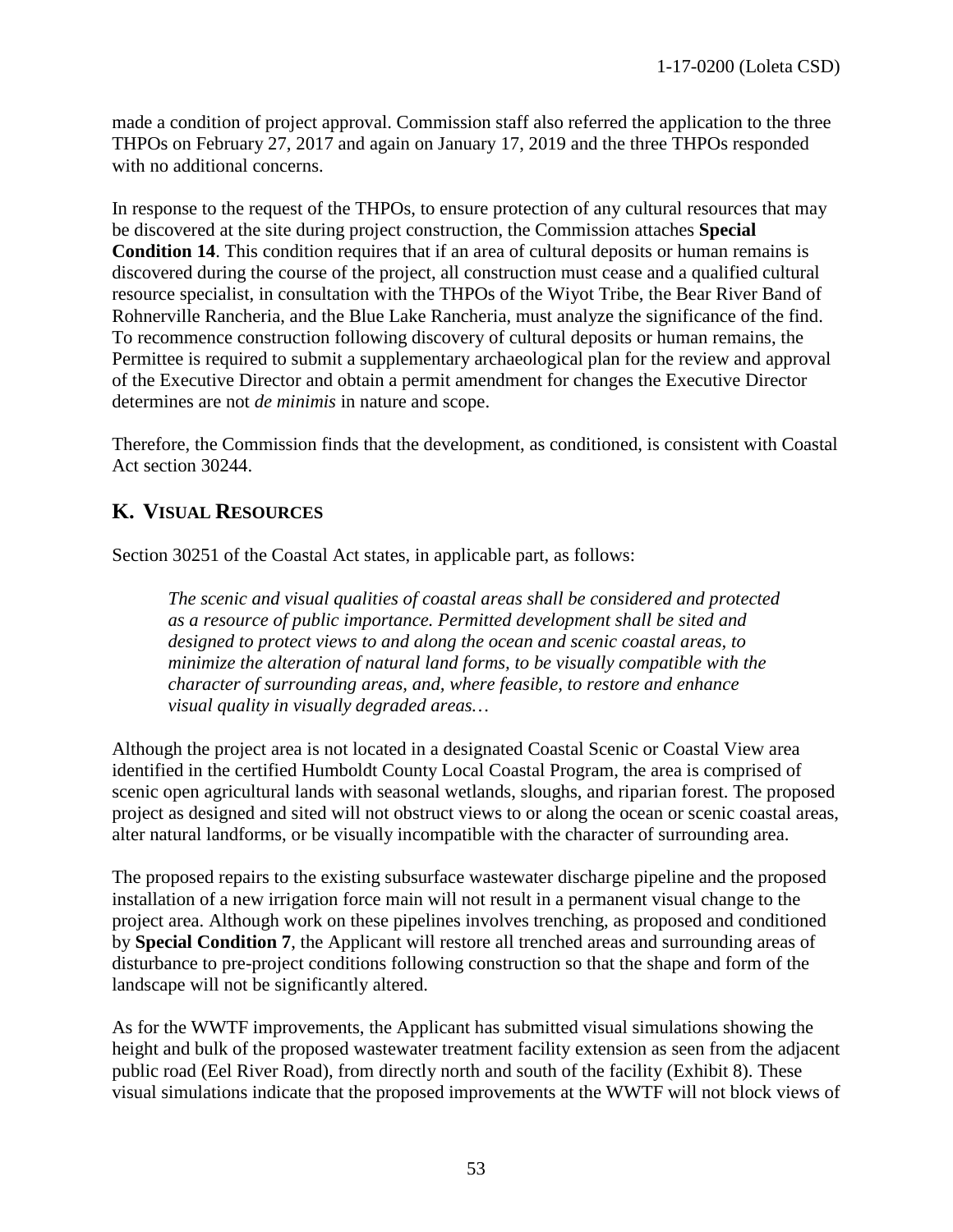made a condition of project approval. Commission staff also referred the application to the three THPOs on February 27, 2017 and again on January 17, 2019 and the three THPOs responded with no additional concerns.

In response to the request of the THPOs, to ensure protection of any cultural resources that may be discovered at the site during project construction, the Commission attaches **Special Condition 14**. This condition requires that if an area of cultural deposits or human remains is discovered during the course of the project, all construction must cease and a qualified cultural resource specialist, in consultation with the THPOs of the Wiyot Tribe, the Bear River Band of Rohnerville Rancheria, and the Blue Lake Rancheria, must analyze the significance of the find. To recommence construction following discovery of cultural deposits or human remains, the Permittee is required to submit a supplementary archaeological plan for the review and approval of the Executive Director and obtain a permit amendment for changes the Executive Director determines are not *de minimis* in nature and scope.

Therefore, the Commission finds that the development, as conditioned, is consistent with Coastal Act section 30244.

## <span id="page-52-0"></span>**K. VISUAL RESOURCES**

Section 30251 of the Coastal Act states, in applicable part, as follows:

*The scenic and visual qualities of coastal areas shall be considered and protected as a resource of public importance. Permitted development shall be sited and designed to protect views to and along the ocean and scenic coastal areas, to minimize the alteration of natural land forms, to be visually compatible with the character of surrounding areas, and, where feasible, to restore and enhance visual quality in visually degraded areas…* 

Although the project area is not located in a designated Coastal Scenic or Coastal View area identified in the certified Humboldt County Local Coastal Program, the area is comprised of scenic open agricultural lands with seasonal wetlands, sloughs, and riparian forest. The proposed project as designed and sited will not obstruct views to or along the ocean or scenic coastal areas, alter natural landforms, or be visually incompatible with the character of surrounding area.

The proposed repairs to the existing subsurface wastewater discharge pipeline and the proposed installation of a new irrigation force main will not result in a permanent visual change to the project area. Although work on these pipelines involves trenching, as proposed and conditioned by **Special Condition 7**, the Applicant will restore all trenched areas and surrounding areas of disturbance to pre-project conditions following construction so that the shape and form of the landscape will not be significantly altered.

As for the WWTF improvements, the Applicant has submitted visual simulations showing the height and bulk of the proposed wastewater treatment facility extension as seen from the adjacent public road (Eel River Road), from directly north and south of the facility (Exhibit 8). These visual simulations indicate that the proposed improvements at the WWTF will not block views of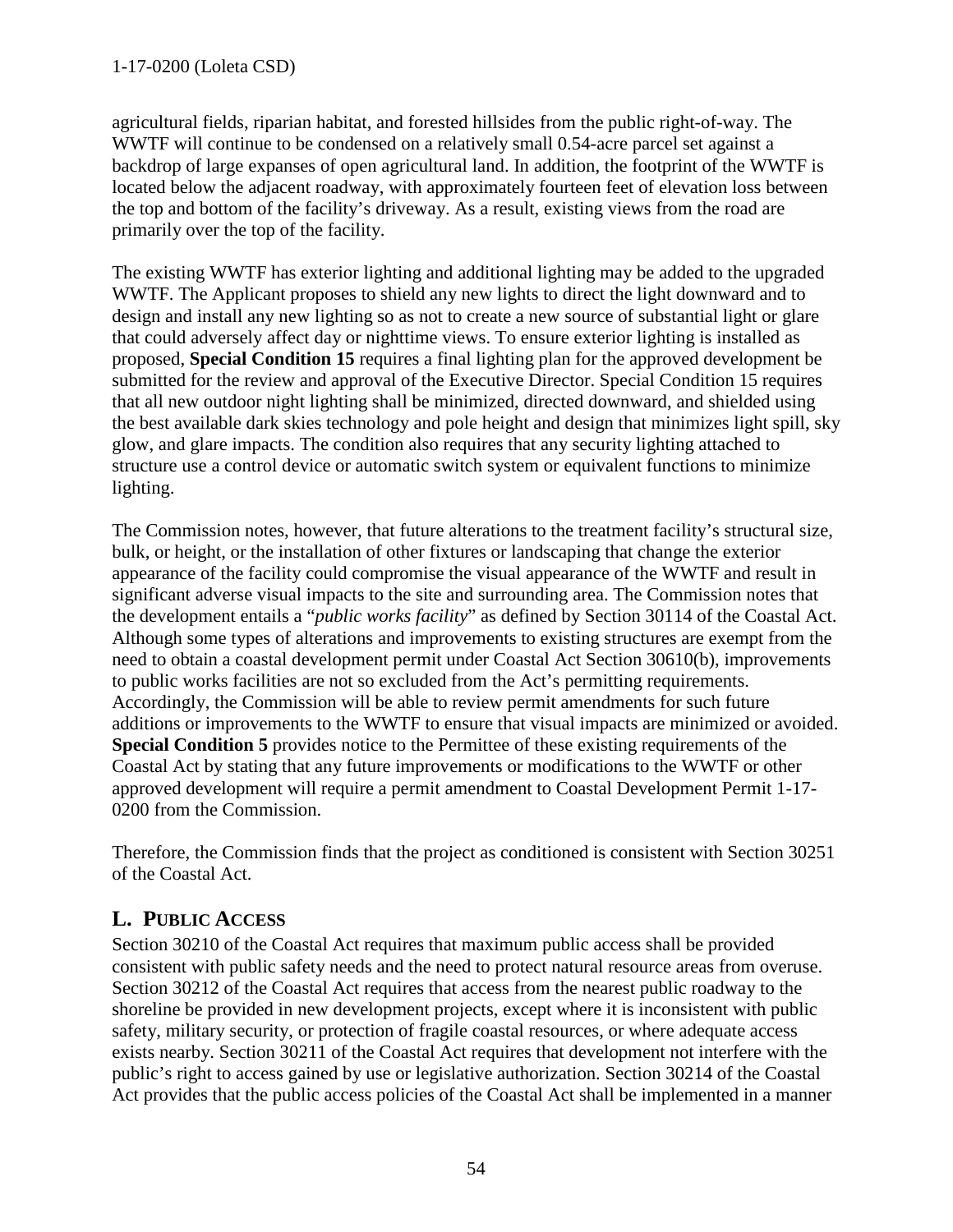agricultural fields, riparian habitat, and forested hillsides from the public right-of-way. The WWTF will continue to be condensed on a relatively small 0.54-acre parcel set against a backdrop of large expanses of open agricultural land. In addition, the footprint of the WWTF is located below the adjacent roadway, with approximately fourteen feet of elevation loss between the top and bottom of the facility's driveway. As a result, existing views from the road are primarily over the top of the facility.

The existing WWTF has exterior lighting and additional lighting may be added to the upgraded WWTF. The Applicant proposes to shield any new lights to direct the light downward and to design and install any new lighting so as not to create a new source of substantial light or glare that could adversely affect day or nighttime views. To ensure exterior lighting is installed as proposed, **Special Condition 15** requires a final lighting plan for the approved development be submitted for the review and approval of the Executive Director. Special Condition 15 requires that all new outdoor night lighting shall be minimized, directed downward, and shielded using the best available dark skies technology and pole height and design that minimizes light spill, sky glow, and glare impacts. The condition also requires that any security lighting attached to structure use a control device or automatic switch system or equivalent functions to minimize lighting.

The Commission notes, however, that future alterations to the treatment facility's structural size, bulk, or height, or the installation of other fixtures or landscaping that change the exterior appearance of the facility could compromise the visual appearance of the WWTF and result in significant adverse visual impacts to the site and surrounding area. The Commission notes that the development entails a "*public works facility*" as defined by Section 30114 of the Coastal Act. Although some types of alterations and improvements to existing structures are exempt from the need to obtain a coastal development permit under Coastal Act Section 30610(b), improvements to public works facilities are not so excluded from the Act's permitting requirements. Accordingly, the Commission will be able to review permit amendments for such future additions or improvements to the WWTF to ensure that visual impacts are minimized or avoided. **Special Condition 5** provides notice to the Permittee of these existing requirements of the Coastal Act by stating that any future improvements or modifications to the WWTF or other approved development will require a permit amendment to Coastal Development Permit 1-17- 0200 from the Commission.

Therefore, the Commission finds that the project as conditioned is consistent with Section 30251 of the Coastal Act.

# <span id="page-53-0"></span>**L. PUBLIC ACCESS**

Section 30210 of the Coastal Act requires that maximum public access shall be provided consistent with public safety needs and the need to protect natural resource areas from overuse. Section 30212 of the Coastal Act requires that access from the nearest public roadway to the shoreline be provided in new development projects, except where it is inconsistent with public safety, military security, or protection of fragile coastal resources, or where adequate access exists nearby. Section 30211 of the Coastal Act requires that development not interfere with the public's right to access gained by use or legislative authorization. Section 30214 of the Coastal Act provides that the public access policies of the Coastal Act shall be implemented in a manner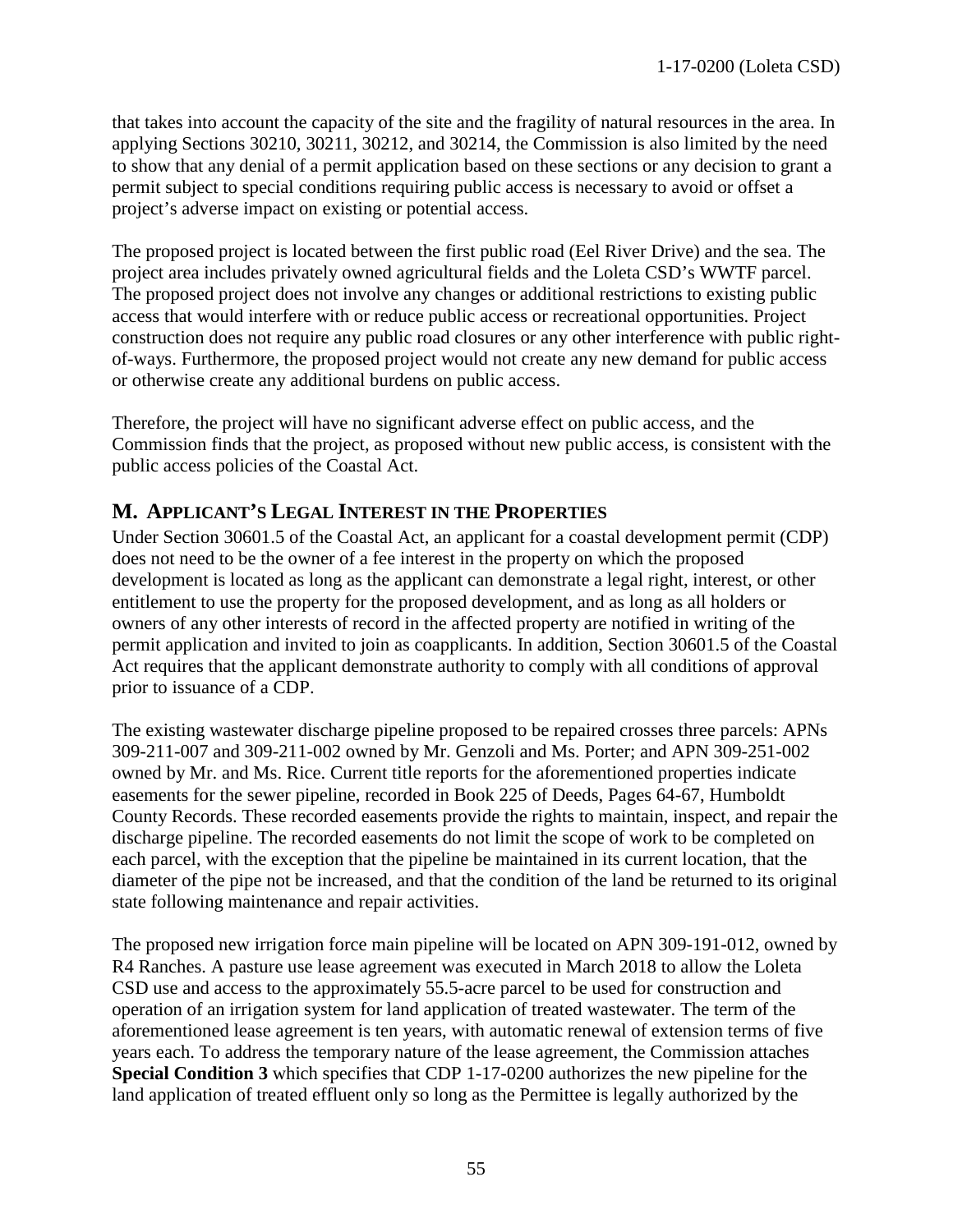that takes into account the capacity of the site and the fragility of natural resources in the area. In applying Sections 30210, 30211, 30212, and 30214, the Commission is also limited by the need to show that any denial of a permit application based on these sections or any decision to grant a permit subject to special conditions requiring public access is necessary to avoid or offset a project's adverse impact on existing or potential access.

The proposed project is located between the first public road (Eel River Drive) and the sea. The project area includes privately owned agricultural fields and the Loleta CSD's WWTF parcel. The proposed project does not involve any changes or additional restrictions to existing public access that would interfere with or reduce public access or recreational opportunities. Project construction does not require any public road closures or any other interference with public rightof-ways. Furthermore, the proposed project would not create any new demand for public access or otherwise create any additional burdens on public access.

Therefore, the project will have no significant adverse effect on public access, and the Commission finds that the project, as proposed without new public access, is consistent with the public access policies of the Coastal Act.

# <span id="page-54-0"></span>**M. APPLICANT'S LEGAL INTEREST IN THE PROPERTIES**

Under Section 30601.5 of the Coastal Act, an applicant for a coastal development permit (CDP) does not need to be the owner of a fee interest in the property on which the proposed development is located as long as the applicant can demonstrate a legal right, interest, or other entitlement to use the property for the proposed development, and as long as all holders or owners of any other interests of record in the affected property are notified in writing of the permit application and invited to join as coapplicants. In addition, Section 30601.5 of the Coastal Act requires that the applicant demonstrate authority to comply with all conditions of approval prior to issuance of a CDP.

The existing wastewater discharge pipeline proposed to be repaired crosses three parcels: APNs 309-211-007 and 309-211-002 owned by Mr. Genzoli and Ms. Porter; and APN 309-251-002 owned by Mr. and Ms. Rice. Current title reports for the aforementioned properties indicate easements for the sewer pipeline, recorded in Book 225 of Deeds, Pages 64-67, Humboldt County Records. These recorded easements provide the rights to maintain, inspect, and repair the discharge pipeline. The recorded easements do not limit the scope of work to be completed on each parcel, with the exception that the pipeline be maintained in its current location, that the diameter of the pipe not be increased, and that the condition of the land be returned to its original state following maintenance and repair activities.

The proposed new irrigation force main pipeline will be located on APN 309-191-012, owned by R4 Ranches. A pasture use lease agreement was executed in March 2018 to allow the Loleta CSD use and access to the approximately 55.5-acre parcel to be used for construction and operation of an irrigation system for land application of treated wastewater. The term of the aforementioned lease agreement is ten years, with automatic renewal of extension terms of five years each. To address the temporary nature of the lease agreement, the Commission attaches **Special Condition 3** which specifies that CDP 1-17-0200 authorizes the new pipeline for the land application of treated effluent only so long as the Permittee is legally authorized by the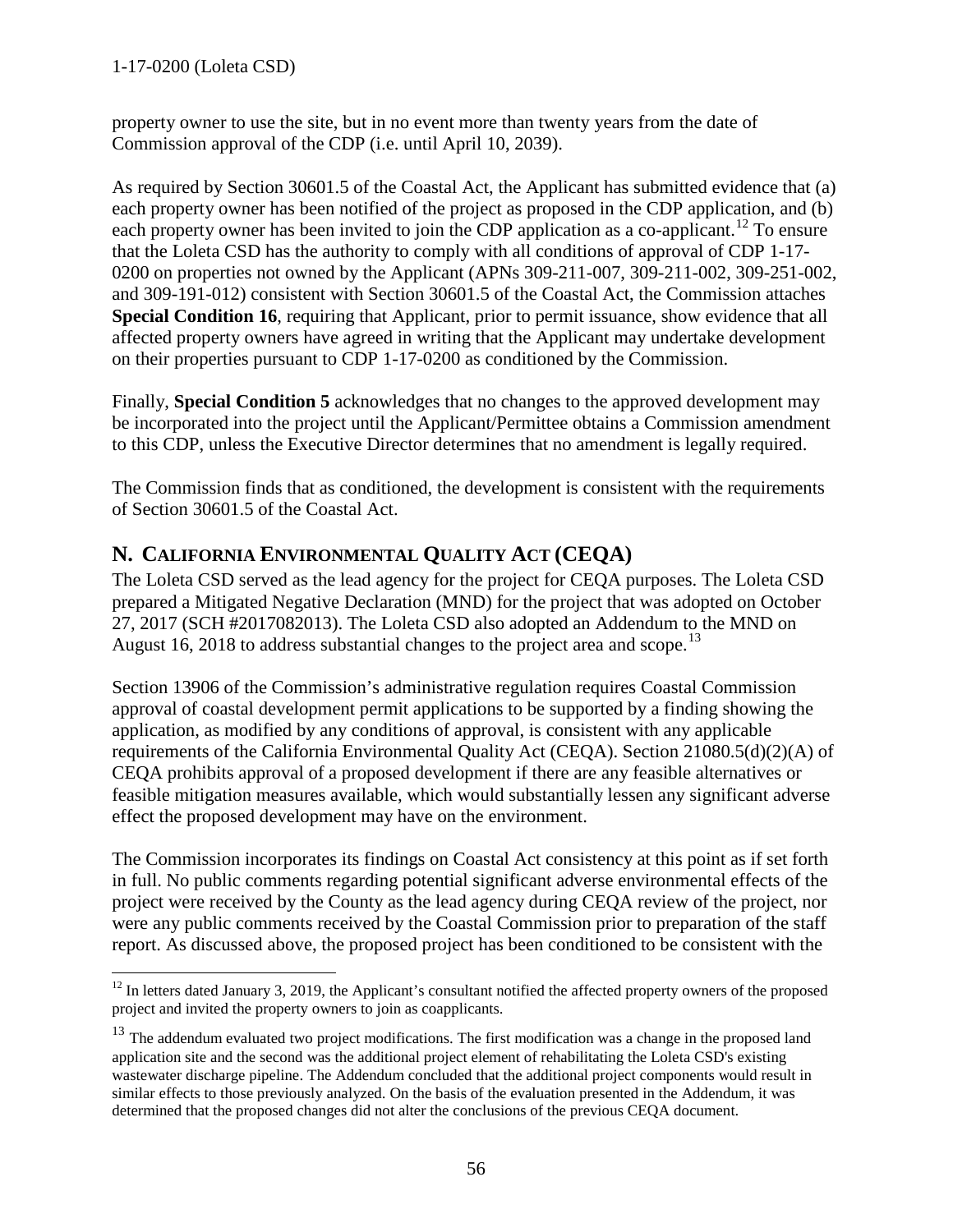1-17-0200 (Loleta CSD)

property owner to use the site, but in no event more than twenty years from the date of Commission approval of the CDP (i.e. until April 10, 2039).

As required by Section 30601.5 of the Coastal Act, the Applicant has submitted evidence that (a) each property owner has been notified of the project as proposed in the CDP application, and (b) each property owner has been invited to join the CDP application as a co-applicant.<sup>[12](#page-55-1)</sup> To ensure that the Loleta CSD has the authority to comply with all conditions of approval of CDP 1-17- 0200 on properties not owned by the Applicant (APNs 309-211-007, 309-211-002, 309-251-002, and 309-191-012) consistent with Section 30601.5 of the Coastal Act, the Commission attaches **Special Condition 16**, requiring that Applicant, prior to permit issuance, show evidence that all affected property owners have agreed in writing that the Applicant may undertake development on their properties pursuant to CDP 1-17-0200 as conditioned by the Commission.

Finally, **Special Condition 5** acknowledges that no changes to the approved development may be incorporated into the project until the Applicant/Permittee obtains a Commission amendment to this CDP, unless the Executive Director determines that no amendment is legally required.

The Commission finds that as conditioned, the development is consistent with the requirements of Section 30601.5 of the Coastal Act.

# <span id="page-55-0"></span>**N. CALIFORNIA ENVIRONMENTAL QUALITY ACT (CEQA)**

The Loleta CSD served as the lead agency for the project for CEQA purposes. The Loleta CSD prepared a Mitigated Negative Declaration (MND) for the project that was adopted on October 27, 2017 (SCH #2017082013). The Loleta CSD also adopted an Addendum to the MND on August 16, 2018 to address substantial changes to the project area and scope.<sup>[13](#page-55-2)</sup>

Section 13906 of the Commission's administrative regulation requires Coastal Commission approval of coastal development permit applications to be supported by a finding showing the application, as modified by any conditions of approval, is consistent with any applicable requirements of the California Environmental Quality Act (CEQA). Section 21080.5(d)(2)(A) of CEQA prohibits approval of a proposed development if there are any feasible alternatives or feasible mitigation measures available, which would substantially lessen any significant adverse effect the proposed development may have on the environment.

The Commission incorporates its findings on Coastal Act consistency at this point as if set forth in full. No public comments regarding potential significant adverse environmental effects of the project were received by the County as the lead agency during CEQA review of the project, nor were any public comments received by the Coastal Commission prior to preparation of the staff report. As discussed above, the proposed project has been conditioned to be consistent with the

<span id="page-55-1"></span> $\overline{a}$  $12$  In letters dated January 3, 2019, the Applicant's consultant notified the affected property owners of the proposed project and invited the property owners to join as coapplicants.

<span id="page-55-2"></span><sup>&</sup>lt;sup>13</sup> The addendum evaluated two project modifications. The first modification was a change in the proposed land application site and the second was the additional project element of rehabilitating the Loleta CSD's existing wastewater discharge pipeline. The Addendum concluded that the additional project components would result in similar effects to those previously analyzed. On the basis of the evaluation presented in the Addendum, it was determined that the proposed changes did not alter the conclusions of the previous CEQA document.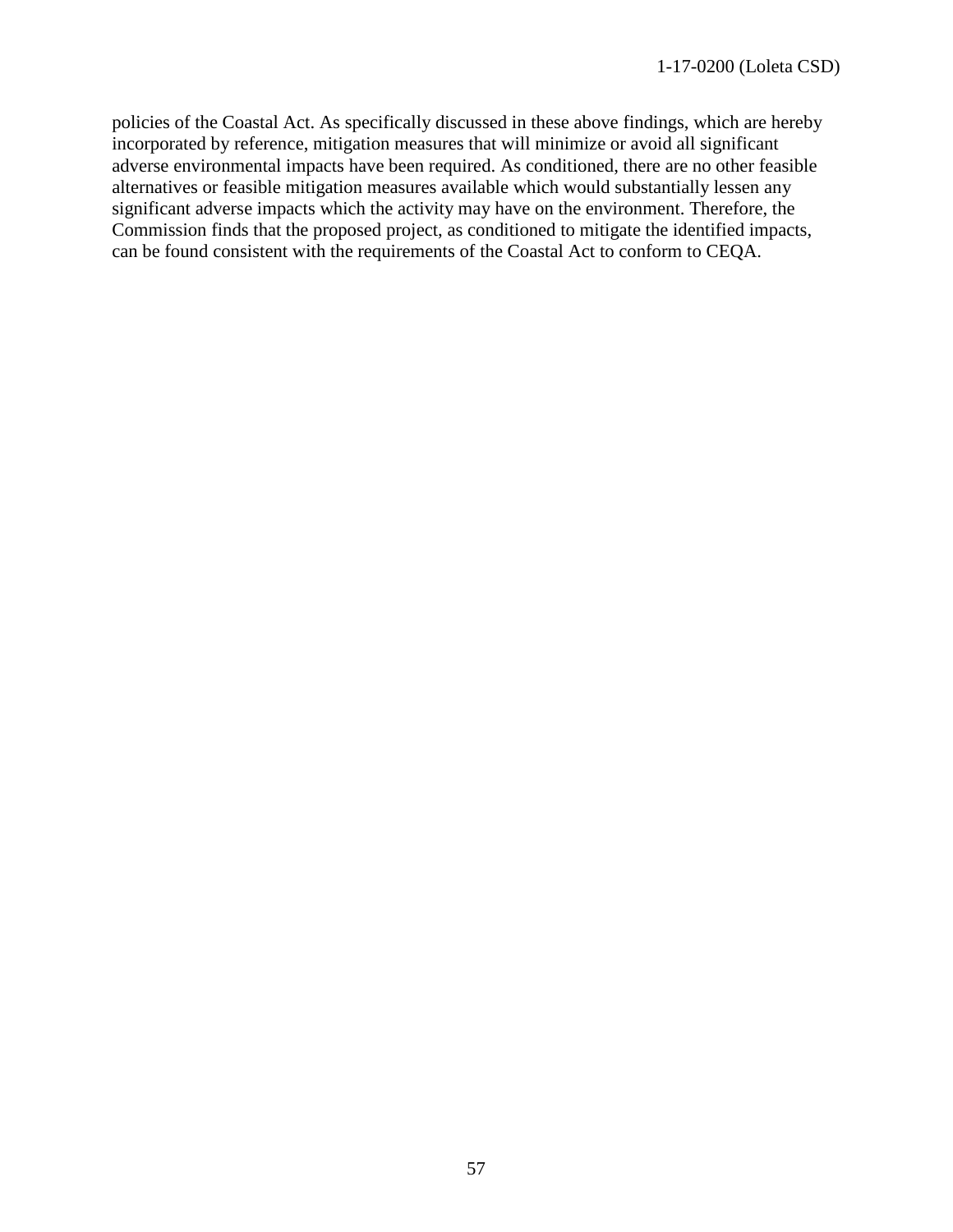policies of the Coastal Act. As specifically discussed in these above findings, which are hereby incorporated by reference, mitigation measures that will minimize or avoid all significant adverse environmental impacts have been required. As conditioned, there are no other feasible alternatives or feasible mitigation measures available which would substantially lessen any significant adverse impacts which the activity may have on the environment. Therefore, the Commission finds that the proposed project, as conditioned to mitigate the identified impacts, can be found consistent with the requirements of the Coastal Act to conform to CEQA.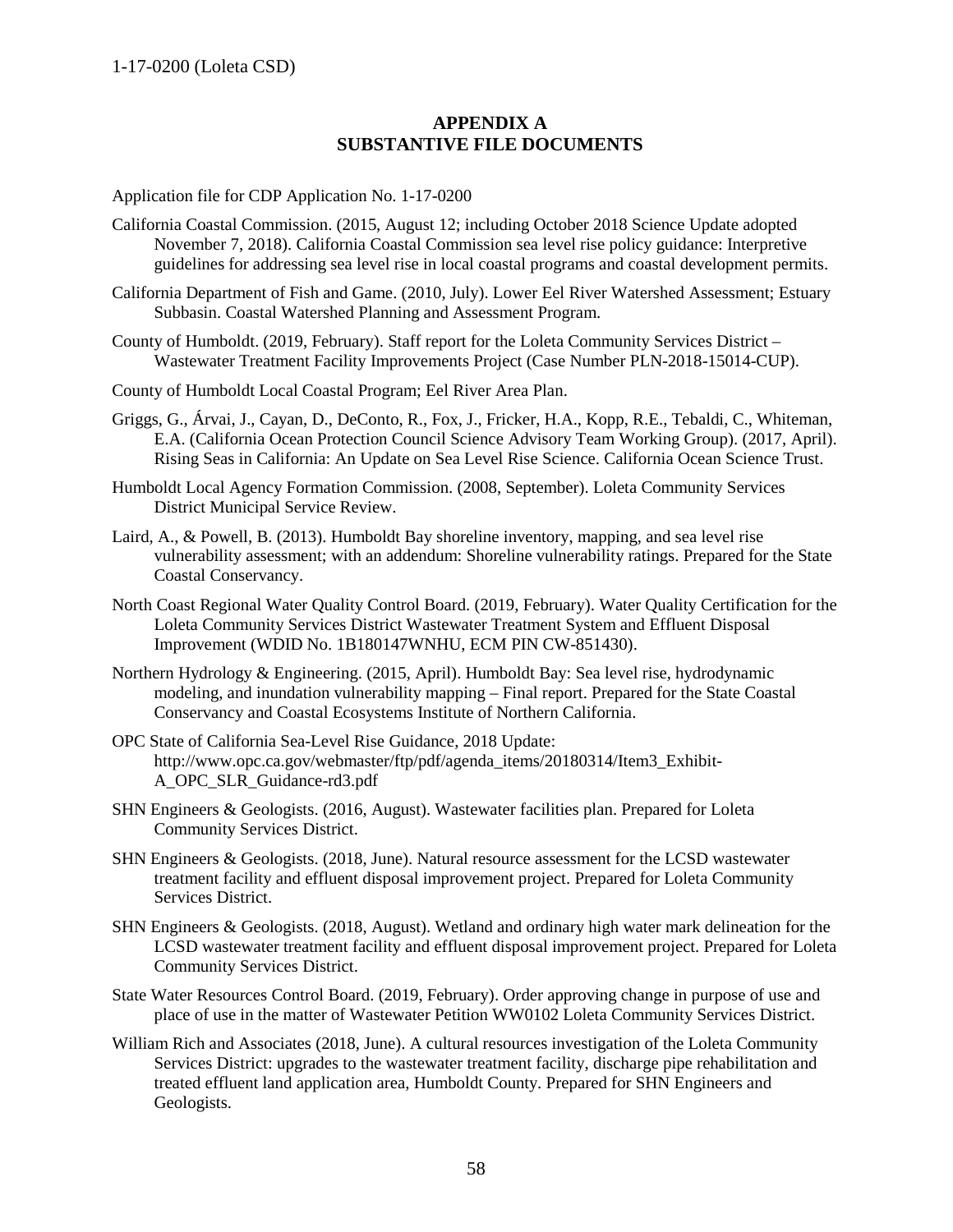<span id="page-57-0"></span>1-17-0200 (Loleta CSD)

#### **APPENDIX A SUBSTANTIVE FILE DOCUMENTS**

Application file for CDP Application No. 1-17-0200

- California Coastal Commission. (2015, August 12; including October 2018 Science Update adopted November 7, 2018). California Coastal Commission sea level rise policy guidance: Interpretive guidelines for addressing sea level rise in local coastal programs and coastal development permits.
- California Department of Fish and Game. (2010, July). Lower Eel River Watershed Assessment; Estuary Subbasin. Coastal Watershed Planning and Assessment Program.
- County of Humboldt. (2019, February). Staff report for the Loleta Community Services District Wastewater Treatment Facility Improvements Project (Case Number PLN-2018-15014-CUP).
- County of Humboldt Local Coastal Program; Eel River Area Plan.
- Griggs, G., Árvai, J., Cayan, D., DeConto, R., Fox, J., Fricker, H.A., Kopp, R.E., Tebaldi, C., Whiteman, E.A. (California Ocean Protection Council Science Advisory Team Working Group). (2017, April). Rising Seas in California: An Update on Sea Level Rise Science. California Ocean Science Trust.
- Humboldt Local Agency Formation Commission. (2008, September). Loleta Community Services District Municipal Service Review.
- Laird, A., & Powell, B. (2013). Humboldt Bay shoreline inventory, mapping, and sea level rise vulnerability assessment; with an addendum: Shoreline vulnerability ratings. Prepared for the State Coastal Conservancy.
- North Coast Regional Water Quality Control Board. (2019, February). Water Quality Certification for the Loleta Community Services District Wastewater Treatment System and Effluent Disposal Improvement (WDID No. 1B180147WNHU, ECM PIN CW-851430).
- Northern Hydrology & Engineering. (2015, April). Humboldt Bay: Sea level rise, hydrodynamic modeling, and inundation vulnerability mapping – Final report. Prepared for the State Coastal Conservancy and Coastal Ecosystems Institute of Northern California.
- OPC State of California Sea-Level Rise Guidance, 2018 Update: http://www.opc.ca.gov/webmaster/ftp/pdf/agenda\_items/20180314/Item3\_Exhibit-A\_OPC\_SLR\_Guidance-rd3.pdf
- SHN Engineers & Geologists. (2016, August). Wastewater facilities plan. Prepared for Loleta Community Services District.
- SHN Engineers & Geologists. (2018, June). Natural resource assessment for the LCSD wastewater treatment facility and effluent disposal improvement project. Prepared for Loleta Community Services District.
- SHN Engineers & Geologists. (2018, August). Wetland and ordinary high water mark delineation for the LCSD wastewater treatment facility and effluent disposal improvement project. Prepared for Loleta Community Services District.
- State Water Resources Control Board. (2019, February). Order approving change in purpose of use and place of use in the matter of Wastewater Petition WW0102 Loleta Community Services District.
- William Rich and Associates (2018, June). A cultural resources investigation of the Loleta Community Services District: upgrades to the wastewater treatment facility, discharge pipe rehabilitation and treated effluent land application area, Humboldt County. Prepared for SHN Engineers and Geologists.